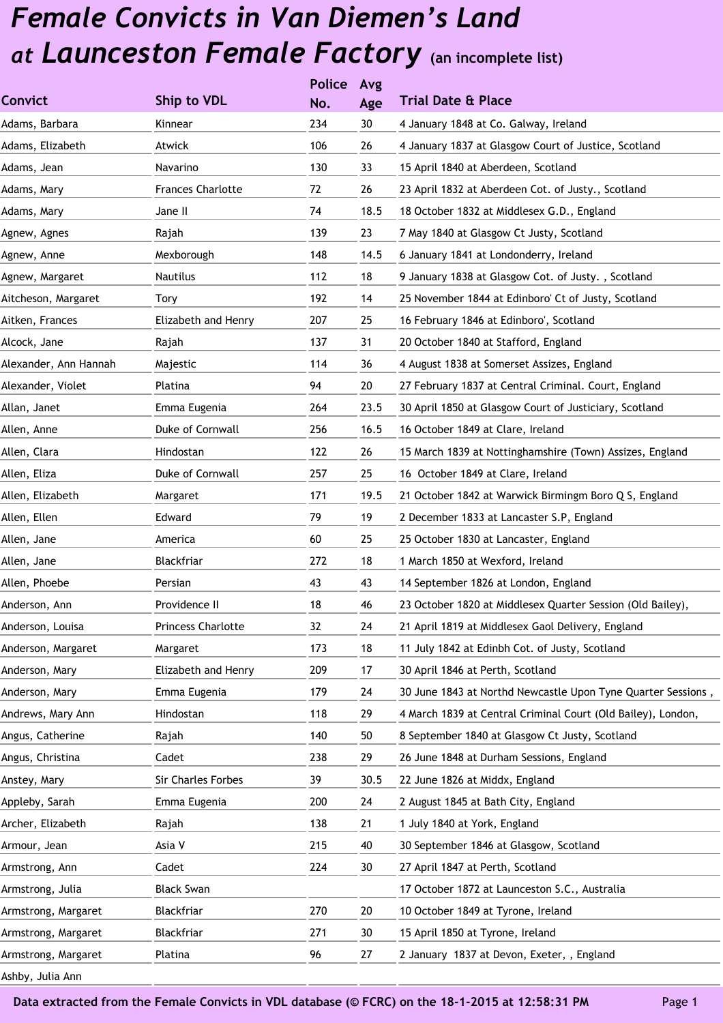|                       |                          | <b>Police</b> | Avg  |                                                              |
|-----------------------|--------------------------|---------------|------|--------------------------------------------------------------|
| <b>Convict</b>        | Ship to VDL              | No.           | Age  | <b>Trial Date &amp; Place</b>                                |
| Adams, Barbara        | Kinnear                  | 234           | 30   | 4 January 1848 at Co. Galway, Ireland                        |
| Adams, Elizabeth      | Atwick                   | 106           | 26   | 4 January 1837 at Glasgow Court of Justice, Scotland         |
| Adams, Jean           | Navarino                 | 130           | 33   | 15 April 1840 at Aberdeen, Scotland                          |
| Adams, Mary           | <b>Frances Charlotte</b> | 72            | 26   | 23 April 1832 at Aberdeen Cot. of Justy., Scotland           |
| Adams, Mary           | Jane II                  | 74            | 18.5 | 18 October 1832 at Middlesex G.D., England                   |
| Agnew, Agnes          | Rajah                    | 139           | 23   | 7 May 1840 at Glasgow Ct Justy, Scotland                     |
| Agnew, Anne           | Mexborough               | 148           | 14.5 | 6 January 1841 at Londonderry, Ireland                       |
| Agnew, Margaret       | Nautilus                 | 112           | 18   | 9 January 1838 at Glasgow Cot. of Justy., Scotland           |
| Aitcheson, Margaret   | Tory                     | 192           | 14   | 25 November 1844 at Edinboro' Ct of Justy, Scotland          |
| Aitken, Frances       | Elizabeth and Henry      | 207           | 25   | 16 February 1846 at Edinboro', Scotland                      |
| Alcock, Jane          | Rajah                    | 137           | 31   | 20 October 1840 at Stafford, England                         |
| Alexander, Ann Hannah | Majestic                 | 114           | 36   | 4 August 1838 at Somerset Assizes, England                   |
| Alexander, Violet     | Platina                  | 94            | 20   | 27 February 1837 at Central Criminal. Court, England         |
| Allan, Janet          | Emma Eugenia             | 264           | 23.5 | 30 April 1850 at Glasgow Court of Justiciary, Scotland       |
| Allen, Anne           | Duke of Cornwall         | 256           | 16.5 | 16 October 1849 at Clare, Ireland                            |
| Allen, Clara          | Hindostan                | 122           | 26   | 15 March 1839 at Nottinghamshire (Town) Assizes, England     |
| Allen, Eliza          | Duke of Cornwall         | 257           | 25   | 16 October 1849 at Clare, Ireland                            |
| Allen, Elizabeth      | Margaret                 | 171           | 19.5 | 21 October 1842 at Warwick Birmingm Boro Q S, England        |
| Allen, Ellen          | Edward                   | 79            | 19   | 2 December 1833 at Lancaster S.P, England                    |
| Allen, Jane           | America                  | 60            | 25   | 25 October 1830 at Lancaster, England                        |
| Allen, Jane           | Blackfriar               | 272           | 18   | 1 March 1850 at Wexford, Ireland                             |
| Allen, Phoebe         | Persian                  | 43            | 43   | 14 September 1826 at London, England                         |
| Anderson, Ann         | Providence II            | 18            | 46   | 23 October 1820 at Middlesex Quarter Session (Old Bailey),   |
| Anderson, Louisa      | Princess Charlotte       | 32            | 24   | 21 April 1819 at Middlesex Gaol Delivery, England            |
| Anderson, Margaret    | Margaret                 | 173           | 18   | 11 July 1842 at Edinbh Cot. of Justy, Scotland               |
| Anderson, Mary        | Elizabeth and Henry      | 209           | 17   | 30 April 1846 at Perth, Scotland                             |
| Anderson, Mary        | Emma Eugenia             | 179           | 24   | 30 June 1843 at Northd Newcastle Upon Tyne Quarter Sessions, |
| Andrews, Mary Ann     | Hindostan                | 118           | 29   | 4 March 1839 at Central Criminal Court (Old Bailey), London, |
| Angus, Catherine      | Rajah                    | 140           | 50   | 8 September 1840 at Glasgow Ct Justy, Scotland               |
| Angus, Christina      | Cadet                    | 238           | 29   | 26 June 1848 at Durham Sessions, England                     |
| Anstey, Mary          | Sir Charles Forbes       | 39            | 30.5 | 22 June 1826 at Middx, England                               |
| Appleby, Sarah        | Emma Eugenia             | 200           | 24   | 2 August 1845 at Bath City, England                          |
| Archer, Elizabeth     | Rajah                    | 138           | 21   | 1 July 1840 at York, England                                 |
| Armour, Jean          | Asia V                   | 215           | 40   | 30 September 1846 at Glasgow, Scotland                       |
| Armstrong, Ann        | Cadet                    | 224           | 30   | 27 April 1847 at Perth, Scotland                             |
| Armstrong, Julia      | <b>Black Swan</b>        |               |      | 17 October 1872 at Launceston S.C., Australia                |
| Armstrong, Margaret   | Blackfriar               | 270           | 20   | 10 October 1849 at Tyrone, Ireland                           |
| Armstrong, Margaret   | Blackfriar               | 271           | 30   | 15 April 1850 at Tyrone, Ireland                             |
| Armstrong, Margaret   | Platina                  | 96            | 27   | 2 January 1837 at Devon, Exeter, , England                   |
| Ashby, Julia Ann      |                          |               |      |                                                              |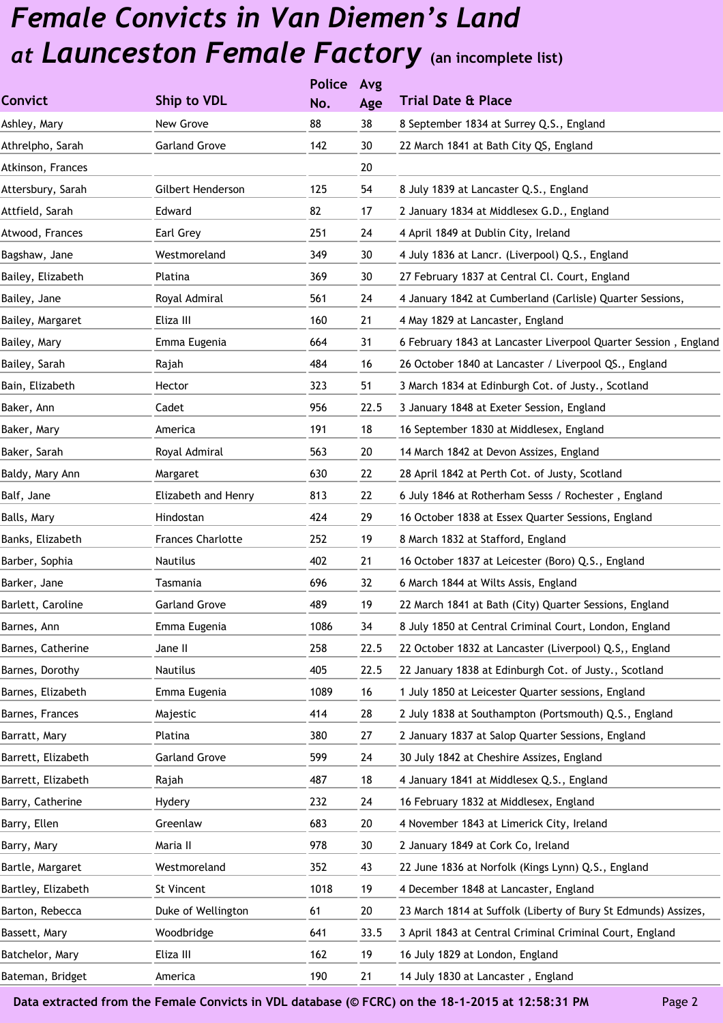|                    |                          | <b>Police</b> | Avg  |                                                                 |
|--------------------|--------------------------|---------------|------|-----------------------------------------------------------------|
| <b>Convict</b>     | Ship to VDL              | No.           | Age  | <b>Trial Date &amp; Place</b>                                   |
| Ashley, Mary       | New Grove                | 88            | 38   | 8 September 1834 at Surrey Q.S., England                        |
| Athrelpho, Sarah   | <b>Garland Grove</b>     | 142           | 30   | 22 March 1841 at Bath City QS, England                          |
| Atkinson, Frances  |                          |               | 20   |                                                                 |
| Attersbury, Sarah  | Gilbert Henderson        | 125           | 54   | 8 July 1839 at Lancaster Q.S., England                          |
| Attfield, Sarah    | Edward                   | 82            | 17   | 2 January 1834 at Middlesex G.D., England                       |
| Atwood, Frances    | Earl Grey                | 251           | 24   | 4 April 1849 at Dublin City, Ireland                            |
| Bagshaw, Jane      | Westmoreland             | 349           | 30   | 4 July 1836 at Lancr. (Liverpool) Q.S., England                 |
| Bailey, Elizabeth  | Platina                  | 369           | 30   | 27 February 1837 at Central Cl. Court, England                  |
| Bailey, Jane       | Royal Admiral            | 561           | 24   | 4 January 1842 at Cumberland (Carlisle) Quarter Sessions,       |
| Bailey, Margaret   | Eliza III                | 160           | 21   | 4 May 1829 at Lancaster, England                                |
| Bailey, Mary       | Emma Eugenia             | 664           | 31   | 6 February 1843 at Lancaster Liverpool Quarter Session, England |
| Bailey, Sarah      | Rajah                    | 484           | 16   | 26 October 1840 at Lancaster / Liverpool QS., England           |
| Bain, Elizabeth    | Hector                   | 323           | 51   | 3 March 1834 at Edinburgh Cot. of Justy., Scotland              |
| Baker, Ann         | Cadet                    | 956           | 22.5 | 3 January 1848 at Exeter Session, England                       |
| Baker, Mary        | America                  | 191           | 18   | 16 September 1830 at Middlesex, England                         |
| Baker, Sarah       | Royal Admiral            | 563           | 20   | 14 March 1842 at Devon Assizes, England                         |
| Baldy, Mary Ann    | Margaret                 | 630           | 22   | 28 April 1842 at Perth Cot. of Justy, Scotland                  |
| Balf, Jane         | Elizabeth and Henry      | 813           | 22   | 6 July 1846 at Rotherham Sesss / Rochester, England             |
| Balls, Mary        | <b>Hindostan</b>         | 424           | 29   | 16 October 1838 at Essex Quarter Sessions, England              |
| Banks, Elizabeth   | <b>Frances Charlotte</b> | 252           | 19   | 8 March 1832 at Stafford, England                               |
| Barber, Sophia     | <b>Nautilus</b>          | 402           | 21   | 16 October 1837 at Leicester (Boro) Q.S., England               |
| Barker, Jane       | Tasmania                 | 696           | 32   | 6 March 1844 at Wilts Assis, England                            |
| Barlett, Caroline  | <b>Garland Grove</b>     | 489           | 19   | 22 March 1841 at Bath (City) Quarter Sessions, England          |
| Barnes, Ann        | Emma Eugenia             | 1086          | 34   | 8 July 1850 at Central Criminal Court, London, England          |
| Barnes, Catherine  | Jane II                  | 258           | 22.5 | 22 October 1832 at Lancaster (Liverpool) Q.S,, England          |
| Barnes, Dorothy    | <b>Nautilus</b>          | 405           | 22.5 | 22 January 1838 at Edinburgh Cot. of Justy., Scotland           |
| Barnes, Elizabeth  | Emma Eugenia             | 1089          | 16   | 1 July 1850 at Leicester Quarter sessions, England              |
| Barnes, Frances    | Majestic                 | 414           | 28   | 2 July 1838 at Southampton (Portsmouth) Q.S., England           |
| Barratt, Mary      | Platina                  | 380           | 27   | 2 January 1837 at Salop Quarter Sessions, England               |
| Barrett, Elizabeth | <b>Garland Grove</b>     | 599           | 24   | 30 July 1842 at Cheshire Assizes, England                       |
| Barrett, Elizabeth | Rajah                    | 487           | 18   | 4 January 1841 at Middlesex Q.S., England                       |
| Barry, Catherine   | Hydery                   | 232           | 24   | 16 February 1832 at Middlesex, England                          |
| Barry, Ellen       | Greenlaw                 | 683           | 20   | 4 November 1843 at Limerick City, Ireland                       |
| Barry, Mary        | Maria II                 | 978           | 30   | 2 January 1849 at Cork Co, Ireland                              |
| Bartle, Margaret   | Westmoreland             | 352           | 43   | 22 June 1836 at Norfolk (Kings Lynn) Q.S., England              |
| Bartley, Elizabeth | St Vincent               | 1018          | 19   | 4 December 1848 at Lancaster, England                           |
| Barton, Rebecca    | Duke of Wellington       | 61            | 20   | 23 March 1814 at Suffolk (Liberty of Bury St Edmunds) Assizes,  |
| Bassett, Mary      | Woodbridge               | 641           | 33.5 | 3 April 1843 at Central Criminal Criminal Court, England        |
| Batchelor, Mary    | Eliza III                | 162           | 19   | 16 July 1829 at London, England                                 |
| Bateman, Bridget   | America                  | 190           | 21   | 14 July 1830 at Lancaster, England                              |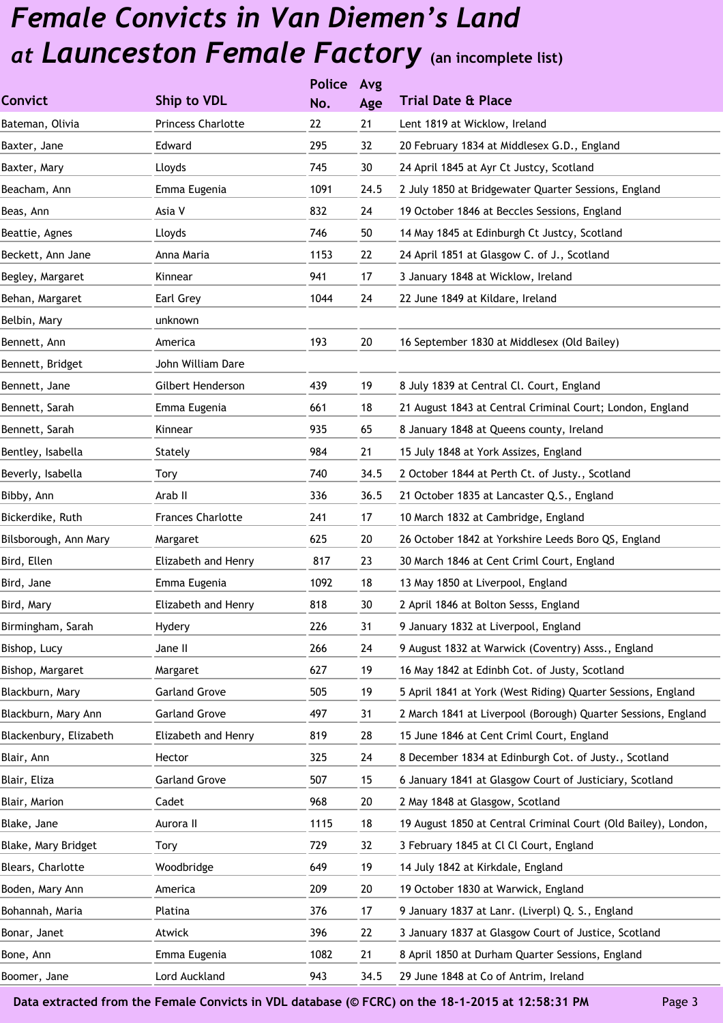|                        |                           | <b>Police</b> | Avg  |                                                                |
|------------------------|---------------------------|---------------|------|----------------------------------------------------------------|
| <b>Convict</b>         | Ship to VDL               | No.           | Age  | <b>Trial Date &amp; Place</b>                                  |
| Bateman, Olivia        | <b>Princess Charlotte</b> | 22            | 21   | Lent 1819 at Wicklow, Ireland                                  |
| Baxter, Jane           | Edward                    | 295           | 32   | 20 February 1834 at Middlesex G.D., England                    |
| Baxter, Mary           | Lloyds                    | 745           | 30   | 24 April 1845 at Ayr Ct Justcy, Scotland                       |
| Beacham, Ann           | Emma Eugenia              | 1091          | 24.5 | 2 July 1850 at Bridgewater Quarter Sessions, England           |
| Beas, Ann              | Asia V                    | 832           | 24   | 19 October 1846 at Beccles Sessions, England                   |
| Beattie, Agnes         | Lloyds                    | 746           | 50   | 14 May 1845 at Edinburgh Ct Justcy, Scotland                   |
| Beckett, Ann Jane      | Anna Maria                | 1153          | 22   | 24 April 1851 at Glasgow C. of J., Scotland                    |
| Begley, Margaret       | Kinnear                   | 941           | 17   | 3 January 1848 at Wicklow, Ireland                             |
| Behan, Margaret        | Earl Grey                 | 1044          | 24   | 22 June 1849 at Kildare, Ireland                               |
| Belbin, Mary           | unknown                   |               |      |                                                                |
| Bennett, Ann           | America                   | 193           | 20   | 16 September 1830 at Middlesex (Old Bailey)                    |
| Bennett, Bridget       | John William Dare         |               |      |                                                                |
| Bennett, Jane          | Gilbert Henderson         | 439           | 19   | 8 July 1839 at Central Cl. Court, England                      |
| Bennett, Sarah         | Emma Eugenia              | 661           | 18   | 21 August 1843 at Central Criminal Court; London, England      |
| Bennett, Sarah         | Kinnear                   | 935           | 65   | 8 January 1848 at Queens county, Ireland                       |
| Bentley, Isabella      | Stately                   | 984           | 21   | 15 July 1848 at York Assizes, England                          |
| Beverly, Isabella      | Tory                      | 740           | 34.5 | 2 October 1844 at Perth Ct. of Justy., Scotland                |
| Bibby, Ann             | Arab II                   | 336           | 36.5 | 21 October 1835 at Lancaster Q.S., England                     |
| Bickerdike, Ruth       | <b>Frances Charlotte</b>  | 241           | 17   | 10 March 1832 at Cambridge, England                            |
| Bilsborough, Ann Mary  | Margaret                  | 625           | 20   | 26 October 1842 at Yorkshire Leeds Boro QS, England            |
| Bird, Ellen            | Elizabeth and Henry       | 817           | 23   | 30 March 1846 at Cent Criml Court, England                     |
| Bird, Jane             | Emma Eugenia              | 1092          | 18   | 13 May 1850 at Liverpool, England                              |
| Bird, Mary             | Elizabeth and Henry       | 818           | 30   | 2 April 1846 at Bolton Sesss, England                          |
| Birmingham, Sarah      | Hydery                    | 226           | 31   | 9 January 1832 at Liverpool, England                           |
| Bishop, Lucy           | Jane II                   | 266           | 24   | 9 August 1832 at Warwick (Coventry) Asss., England             |
| Bishop, Margaret       | Margaret                  | 627           | 19   | 16 May 1842 at Edinbh Cot. of Justy, Scotland                  |
| Blackburn, Mary        | <b>Garland Grove</b>      | 505           | 19   | 5 April 1841 at York (West Riding) Quarter Sessions, England   |
| Blackburn, Mary Ann    | <b>Garland Grove</b>      | 497           | 31   | 2 March 1841 at Liverpool (Borough) Quarter Sessions, England  |
| Blackenbury, Elizabeth | Elizabeth and Henry       | 819           | 28   | 15 June 1846 at Cent Criml Court, England                      |
| Blair, Ann             | Hector                    | 325           | 24   | 8 December 1834 at Edinburgh Cot. of Justy., Scotland          |
| Blair, Eliza           | <b>Garland Grove</b>      | 507           | 15   | 6 January 1841 at Glasgow Court of Justiciary, Scotland        |
| Blair, Marion          | Cadet                     | 968           | 20   | 2 May 1848 at Glasgow, Scotland                                |
| Blake, Jane            | Aurora II                 | 1115          | 18   | 19 August 1850 at Central Criminal Court (Old Bailey), London, |
| Blake, Mary Bridget    | Tory                      | 729           | 32   | 3 February 1845 at Cl Cl Court, England                        |
| Blears, Charlotte      | Woodbridge                | 649           | 19   | 14 July 1842 at Kirkdale, England                              |
| Boden, Mary Ann        | America                   | 209           | 20   | 19 October 1830 at Warwick, England                            |
| Bohannah, Maria        | Platina                   | 376           | 17   | 9 January 1837 at Lanr. (Liverpl) Q. S., England               |
| Bonar, Janet           | Atwick                    | 396           | 22   | 3 January 1837 at Glasgow Court of Justice, Scotland           |
| Bone, Ann              | Emma Eugenia              | 1082          | 21   | 8 April 1850 at Durham Quarter Sessions, England               |
| Boomer, Jane           | Lord Auckland             | 943           | 34.5 | 29 June 1848 at Co of Antrim, Ireland                          |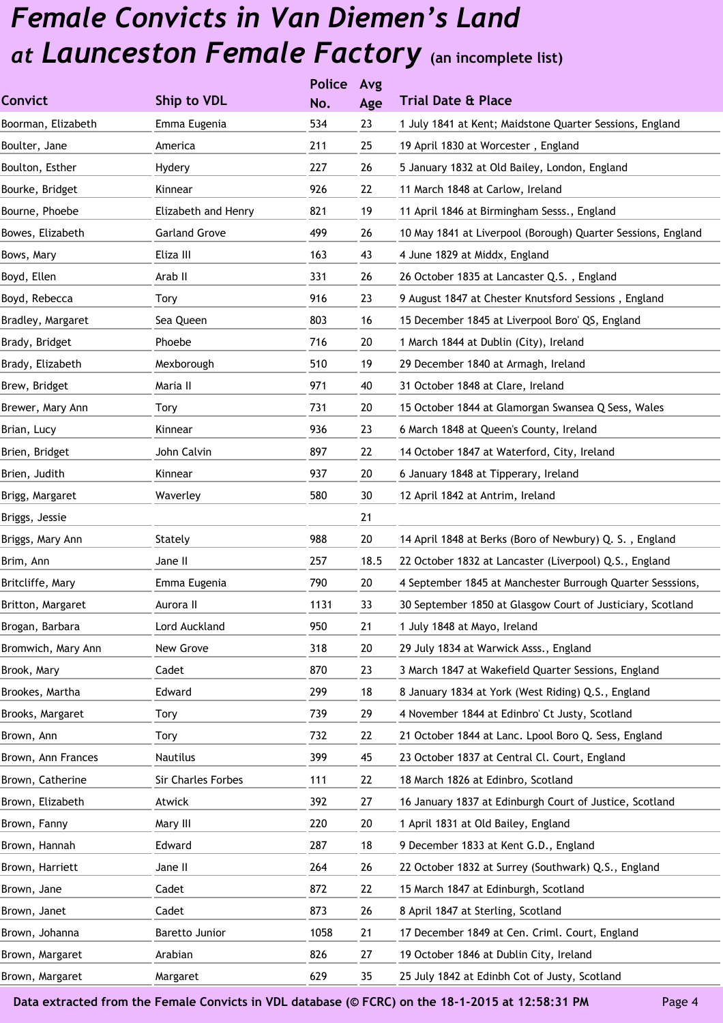|                    |                           | <b>Police</b> | Avg  |                                                              |
|--------------------|---------------------------|---------------|------|--------------------------------------------------------------|
| <b>Convict</b>     | Ship to VDL               | No.           | Age  | <b>Trial Date &amp; Place</b>                                |
| Boorman, Elizabeth | Emma Eugenia              | 534           | 23   | 1 July 1841 at Kent; Maidstone Quarter Sessions, England     |
| Boulter, Jane      | America                   | 211           | 25   | 19 April 1830 at Worcester, England                          |
| Boulton, Esther    | Hydery                    | 227           | 26   | 5 January 1832 at Old Bailey, London, England                |
| Bourke, Bridget    | Kinnear                   | 926           | 22   | 11 March 1848 at Carlow, Ireland                             |
| Bourne, Phoebe     | Elizabeth and Henry       | 821           | 19   | 11 April 1846 at Birmingham Sesss., England                  |
| Bowes, Elizabeth   | <b>Garland Grove</b>      | 499           | 26   | 10 May 1841 at Liverpool (Borough) Quarter Sessions, England |
| Bows, Mary         | Eliza III                 | 163           | 43   | 4 June 1829 at Middx, England                                |
| Boyd, Ellen        | Arab II                   | 331           | 26   | 26 October 1835 at Lancaster Q.S., England                   |
| Boyd, Rebecca      | <b>Tory</b>               | 916           | 23   | 9 August 1847 at Chester Knutsford Sessions, England         |
| Bradley, Margaret  | Sea Queen                 | 803           | 16   | 15 December 1845 at Liverpool Boro' QS, England              |
| Brady, Bridget     | Phoebe                    | 716           | 20   | 1 March 1844 at Dublin (City), Ireland                       |
| Brady, Elizabeth   | Mexborough                | 510           | 19   | 29 December 1840 at Armagh, Ireland                          |
| Brew, Bridget      | Maria II                  | 971           | 40   | 31 October 1848 at Clare, Ireland                            |
| Brewer, Mary Ann   | Tory                      | 731           | 20   | 15 October 1844 at Glamorgan Swansea Q Sess, Wales           |
| Brian, Lucy        | Kinnear                   | 936           | 23   | 6 March 1848 at Queen's County, Ireland                      |
| Brien, Bridget     | John Calvin               | 897           | 22   | 14 October 1847 at Waterford, City, Ireland                  |
| Brien, Judith      | Kinnear                   | 937           | 20   | 6 January 1848 at Tipperary, Ireland                         |
| Brigg, Margaret    | Waverley                  | 580           | 30   | 12 April 1842 at Antrim, Ireland                             |
| Briggs, Jessie     |                           |               | 21   |                                                              |
| Briggs, Mary Ann   | Stately                   | 988           | 20   | 14 April 1848 at Berks (Boro of Newbury) Q. S., England      |
| Brim, Ann          | Jane II                   | 257           | 18.5 | 22 October 1832 at Lancaster (Liverpool) Q.S., England       |
| Britcliffe, Mary   | Emma Eugenia              | 790           | 20   | 4 September 1845 at Manchester Burrough Quarter Sesssions,   |
| Britton, Margaret  | Aurora II                 | 1131          | 33   | 30 September 1850 at Glasgow Court of Justiciary, Scotland   |
| Brogan, Barbara    | Lord Auckland             | 950           | 21   | 1 July 1848 at Mayo, Ireland                                 |
| Bromwich, Mary Ann | New Grove                 | 318           | 20   | 29 July 1834 at Warwick Asss., England                       |
| Brook, Mary        | Cadet                     | 870           | 23   | 3 March 1847 at Wakefield Quarter Sessions, England          |
| Brookes, Martha    | Edward                    | 299           | 18   | 8 January 1834 at York (West Riding) Q.S., England           |
| Brooks, Margaret   | <b>Tory</b>               | 739           | 29   | 4 November 1844 at Edinbro' Ct Justy, Scotland               |
| Brown, Ann         | Tory                      | 732           | 22   | 21 October 1844 at Lanc. Lpool Boro Q. Sess, England         |
| Brown, Ann Frances | Nautilus                  | 399           | 45   | 23 October 1837 at Central Cl. Court, England                |
| Brown, Catherine   | <b>Sir Charles Forbes</b> | 111           | 22   | 18 March 1826 at Edinbro, Scotland                           |
| Brown, Elizabeth   | Atwick                    | 392           | 27   | 16 January 1837 at Edinburgh Court of Justice, Scotland      |
| Brown, Fanny       | Mary III                  | 220           | 20   | 1 April 1831 at Old Bailey, England                          |
| Brown, Hannah      | Edward                    | 287           | 18   | 9 December 1833 at Kent G.D., England                        |
| Brown, Harriett    | Jane II                   | 264           | 26   | 22 October 1832 at Surrey (Southwark) Q.S., England          |
| Brown, Jane        | Cadet                     | 872           | 22   | 15 March 1847 at Edinburgh, Scotland                         |
| Brown, Janet       | Cadet                     | 873           | 26   | 8 April 1847 at Sterling, Scotland                           |
| Brown, Johanna     | Baretto Junior            | 1058          | 21   | 17 December 1849 at Cen. Criml. Court, England               |
| Brown, Margaret    | Arabian                   | 826           | 27   | 19 October 1846 at Dublin City, Ireland                      |
| Brown, Margaret    | Margaret                  | 629           | 35   | 25 July 1842 at Edinbh Cot of Justy, Scotland                |
|                    |                           |               |      |                                                              |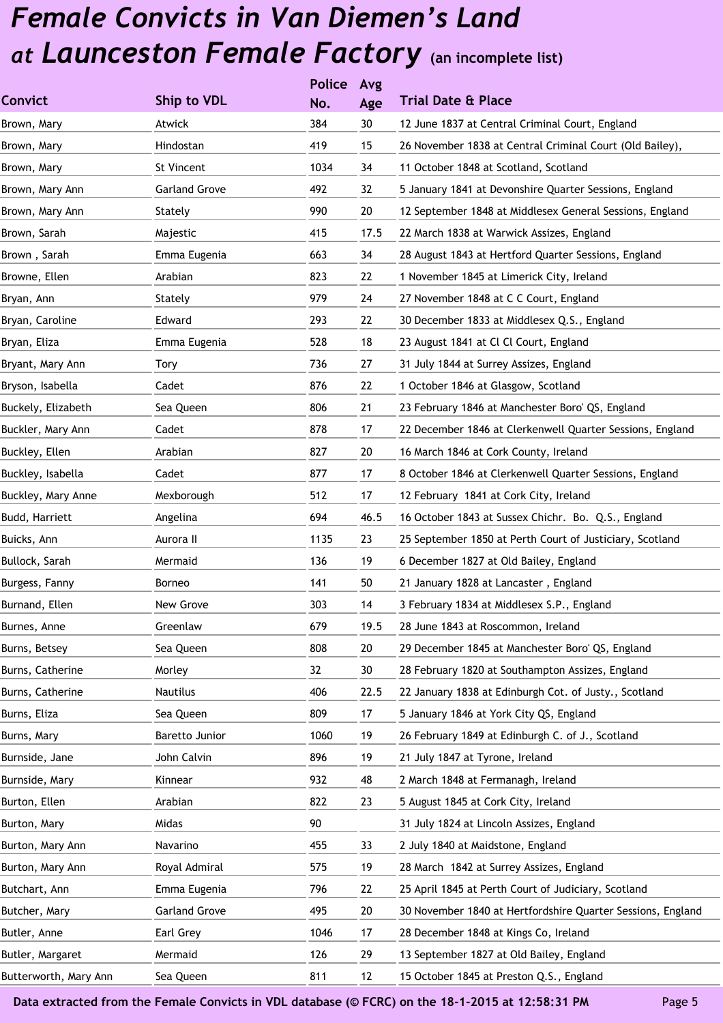|                       |                      | <b>Police</b> | Avg  |                                                             |
|-----------------------|----------------------|---------------|------|-------------------------------------------------------------|
| <b>Convict</b>        | Ship to VDL          | No.           | Age  | <b>Trial Date &amp; Place</b>                               |
| Brown, Mary           | Atwick               | 384           | 30   | 12 June 1837 at Central Criminal Court, England             |
| Brown, Mary           | Hindostan            | 419           | 15   | 26 November 1838 at Central Criminal Court (Old Bailey),    |
| Brown, Mary           | <b>St Vincent</b>    | 1034          | 34   | 11 October 1848 at Scotland, Scotland                       |
| Brown, Mary Ann       | <b>Garland Grove</b> | 492           | 32   | 5 January 1841 at Devonshire Quarter Sessions, England      |
| Brown, Mary Ann       | Stately              | 990           | 20   | 12 September 1848 at Middlesex General Sessions, England    |
| Brown, Sarah          | Majestic             | 415           | 17.5 | 22 March 1838 at Warwick Assizes, England                   |
| Brown, Sarah          | Emma Eugenia         | 663           | 34   | 28 August 1843 at Hertford Quarter Sessions, England        |
| Browne, Ellen         | Arabian              | 823           | 22   | 1 November 1845 at Limerick City, Ireland                   |
| Bryan, Ann            | Stately              | 979           | 24   | 27 November 1848 at C C Court, England                      |
| Bryan, Caroline       | Edward               | 293           | 22   | 30 December 1833 at Middlesex Q.S., England                 |
| Bryan, Eliza          | Emma Eugenia         | 528           | 18   | 23 August 1841 at Cl Cl Court, England                      |
| Bryant, Mary Ann      | Tory                 | 736           | 27   | 31 July 1844 at Surrey Assizes, England                     |
| Bryson, Isabella      | Cadet                | 876           | 22   | 1 October 1846 at Glasgow, Scotland                         |
| Buckely, Elizabeth    | Sea Queen            | 806           | 21   | 23 February 1846 at Manchester Boro' QS, England            |
| Buckler, Mary Ann     | Cadet                | 878           | 17   | 22 December 1846 at Clerkenwell Quarter Sessions, England   |
| Buckley, Ellen        | Arabian              | 827           | 20   | 16 March 1846 at Cork County, Ireland                       |
| Buckley, Isabella     | Cadet                | 877           | 17   | 8 October 1846 at Clerkenwell Quarter Sessions, England     |
| Buckley, Mary Anne    | Mexborough           | 512           | 17   | 12 February 1841 at Cork City, Ireland                      |
| Budd, Harriett        | Angelina             | 694           | 46.5 | 16 October 1843 at Sussex Chichr. Bo. Q.S., England         |
| Buicks, Ann           | Aurora II            | 1135          | 23   | 25 September 1850 at Perth Court of Justiciary, Scotland    |
| Bullock, Sarah        | Mermaid              | 136           | 19   | 6 December 1827 at Old Bailey, England                      |
| Burgess, Fanny        | Borneo               | 141           | 50   | 21 January 1828 at Lancaster, England                       |
| Burnand, Ellen        | New Grove            | 303           | 14   | 3 February 1834 at Middlesex S.P., England                  |
| Burnes, Anne          | Greenlaw             | 679           | 19.5 | 28 June 1843 at Roscommon, Ireland                          |
| Burns, Betsey         | Sea Queen            | 808           | 20   | 29 December 1845 at Manchester Boro' QS, England            |
| Burns, Catherine      | Morley               | 32            | 30   | 28 February 1820 at Southampton Assizes, England            |
| Burns, Catherine      | <b>Nautilus</b>      | 406           | 22.5 | 22 January 1838 at Edinburgh Cot. of Justy., Scotland       |
| Burns, Eliza          | Sea Queen            | 809           | 17   | 5 January 1846 at York City QS, England                     |
| Burns, Mary           | Baretto Junior       | 1060          | 19   | 26 February 1849 at Edinburgh C. of J., Scotland            |
| Burnside, Jane        | John Calvin          | 896           | 19   | 21 July 1847 at Tyrone, Ireland                             |
| Burnside, Mary        | Kinnear              | 932           | 48   | 2 March 1848 at Fermanagh, Ireland                          |
| Burton, Ellen         | Arabian              | 822           | 23   | 5 August 1845 at Cork City, Ireland                         |
| Burton, Mary          | Midas                | 90            |      | 31 July 1824 at Lincoln Assizes, England                    |
| Burton, Mary Ann      | Navarino             | 455           | 33   | 2 July 1840 at Maidstone, England                           |
| Burton, Mary Ann      | Royal Admiral        | 575           | 19   | 28 March 1842 at Surrey Assizes, England                    |
| Butchart, Ann         | Emma Eugenia         | 796           | 22   | 25 April 1845 at Perth Court of Judiciary, Scotland         |
| Butcher, Mary         | <b>Garland Grove</b> | 495           | 20   | 30 November 1840 at Hertfordshire Quarter Sessions, England |
| Butler, Anne          | Earl Grey            | 1046          | 17   | 28 December 1848 at Kings Co, Ireland                       |
| Butler, Margaret      | Mermaid              | 126           | 29   | 13 September 1827 at Old Bailey, England                    |
| Butterworth, Mary Ann | Sea Queen            | 811           | 12   | 15 October 1845 at Preston Q.S., England                    |
|                       |                      |               |      |                                                             |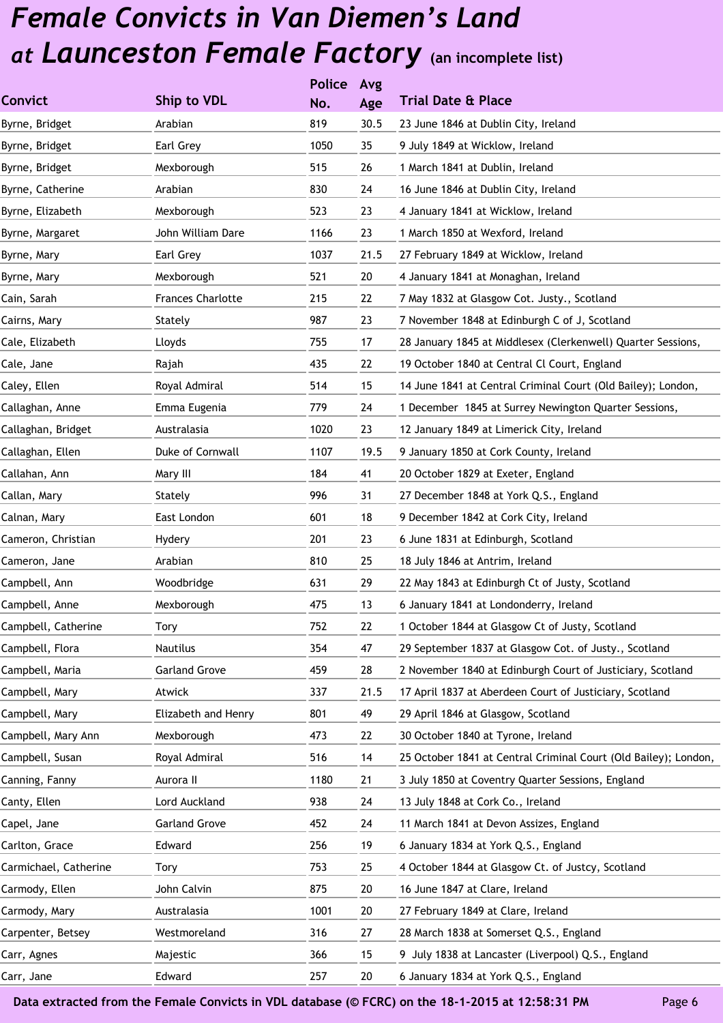|                       |                          | <b>Police</b> | Avg  |                                                                 |
|-----------------------|--------------------------|---------------|------|-----------------------------------------------------------------|
| <b>Convict</b>        | Ship to VDL              | No.           | Age  | <b>Trial Date &amp; Place</b>                                   |
| Byrne, Bridget        | Arabian                  | 819           | 30.5 | 23 June 1846 at Dublin City, Ireland                            |
| Byrne, Bridget        | Earl Grey                | 1050          | 35   | 9 July 1849 at Wicklow, Ireland                                 |
| Byrne, Bridget        | Mexborough               | 515           | 26   | 1 March 1841 at Dublin, Ireland                                 |
| Byrne, Catherine      | Arabian                  | 830           | 24   | 16 June 1846 at Dublin City, Ireland                            |
| Byrne, Elizabeth      | Mexborough               | 523           | 23   | 4 January 1841 at Wicklow, Ireland                              |
| Byrne, Margaret       | John William Dare        | 1166          | 23   | 1 March 1850 at Wexford, Ireland                                |
| Byrne, Mary           | Earl Grey                | 1037          | 21.5 | 27 February 1849 at Wicklow, Ireland                            |
| Byrne, Mary           | Mexborough               | 521           | 20   | 4 January 1841 at Monaghan, Ireland                             |
| Cain, Sarah           | <b>Frances Charlotte</b> | 215           | 22   | 7 May 1832 at Glasgow Cot. Justy., Scotland                     |
| Cairns, Mary          | Stately                  | 987           | 23   | 7 November 1848 at Edinburgh C of J, Scotland                   |
| Cale, Elizabeth       | Lloyds                   | 755           | 17   | 28 January 1845 at Middlesex (Clerkenwell) Quarter Sessions,    |
| Cale, Jane            | Rajah                    | 435           | 22   | 19 October 1840 at Central Cl Court, England                    |
| Caley, Ellen          | Royal Admiral            | 514           | 15   | 14 June 1841 at Central Criminal Court (Old Bailey); London,    |
| Callaghan, Anne       | Emma Eugenia             | 779           | 24   | 1 December 1845 at Surrey Newington Quarter Sessions,           |
| Callaghan, Bridget    | Australasia              | 1020          | 23   | 12 January 1849 at Limerick City, Ireland                       |
| Callaghan, Ellen      | Duke of Cornwall         | 1107          | 19.5 | 9 January 1850 at Cork County, Ireland                          |
| Callahan, Ann         | Mary III                 | 184           | 41   | 20 October 1829 at Exeter, England                              |
| Callan, Mary          | Stately                  | 996           | 31   | 27 December 1848 at York Q.S., England                          |
| Calnan, Mary          | East London              | 601           | 18   | 9 December 1842 at Cork City, Ireland                           |
| Cameron, Christian    | Hydery                   | 201           | 23   | 6 June 1831 at Edinburgh, Scotland                              |
| Cameron, Jane         | Arabian                  | 810           | 25   | 18 July 1846 at Antrim, Ireland                                 |
| Campbell, Ann         | Woodbridge               | 631           | 29   | 22 May 1843 at Edinburgh Ct of Justy, Scotland                  |
| Campbell, Anne        | Mexborough               | 475           | 13   | 6 January 1841 at Londonderry, Ireland                          |
| Campbell, Catherine   | Tory                     | 752           | 22   | 1 October 1844 at Glasgow Ct of Justy, Scotland                 |
| Campbell, Flora       | <b>Nautilus</b>          | 354           | 47   | 29 September 1837 at Glasgow Cot. of Justy., Scotland           |
| Campbell, Maria       | <b>Garland Grove</b>     | 459           | 28   | 2 November 1840 at Edinburgh Court of Justiciary, Scotland      |
| Campbell, Mary        | Atwick                   | 337           | 21.5 | 17 April 1837 at Aberdeen Court of Justiciary, Scotland         |
| Campbell, Mary        | Elizabeth and Henry      | 801           | 49   | 29 April 1846 at Glasgow, Scotland                              |
| Campbell, Mary Ann    | Mexborough               | 473           | 22   | 30 October 1840 at Tyrone, Ireland                              |
| Campbell, Susan       | Royal Admiral            | 516           | 14   | 25 October 1841 at Central Criminal Court (Old Bailey); London, |
| Canning, Fanny        | Aurora II                | 1180          | 21   | 3 July 1850 at Coventry Quarter Sessions, England               |
| Canty, Ellen          | Lord Auckland            | 938           | 24   | 13 July 1848 at Cork Co., Ireland                               |
| Capel, Jane           | <b>Garland Grove</b>     | 452           | 24   | 11 March 1841 at Devon Assizes, England                         |
| Carlton, Grace        | Edward                   | 256           | 19   | 6 January 1834 at York Q.S., England                            |
| Carmichael, Catherine | Tory                     | 753           | 25   | 4 October 1844 at Glasgow Ct. of Justcy, Scotland               |
| Carmody, Ellen        | John Calvin              | 875           | 20   | 16 June 1847 at Clare, Ireland                                  |
| Carmody, Mary         | Australasia              | 1001          | 20   | 27 February 1849 at Clare, Ireland                              |
| Carpenter, Betsey     | Westmoreland             | 316           | 27   | 28 March 1838 at Somerset Q.S., England                         |
| Carr, Agnes           | Majestic                 | 366           | 15   | 9 July 1838 at Lancaster (Liverpool) Q.S., England              |
| Carr, Jane            | Edward                   | 257           | 20   | 6 January 1834 at York Q.S., England                            |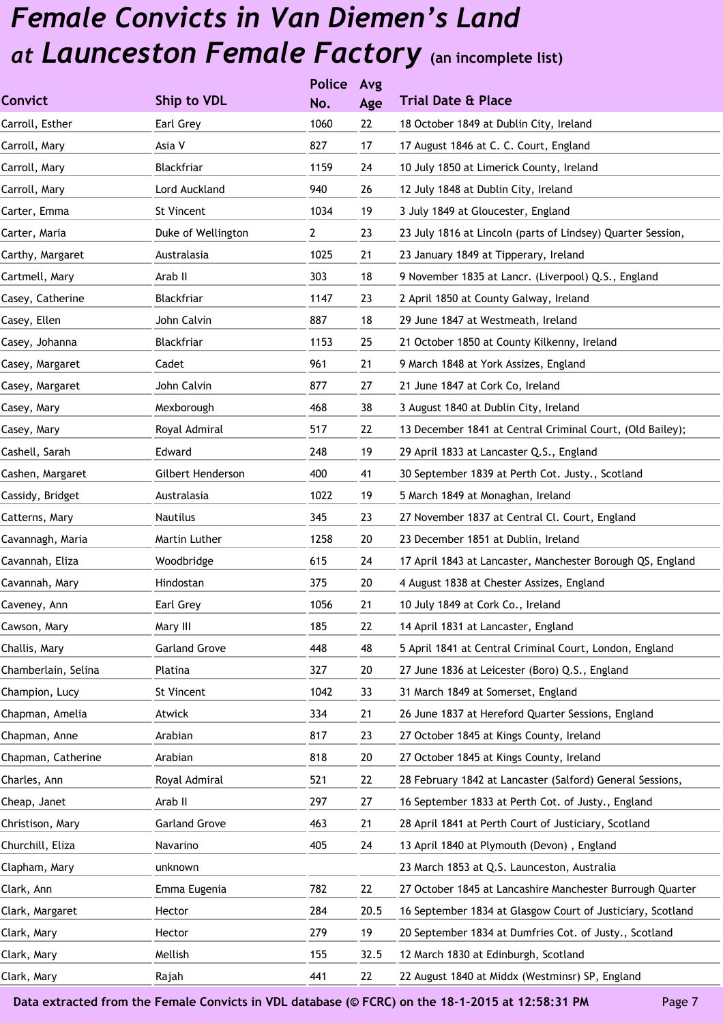|                     |                      | <b>Police</b> | Avg  |                                                             |
|---------------------|----------------------|---------------|------|-------------------------------------------------------------|
| <b>Convict</b>      | Ship to VDL          | No.           | Age  | <b>Trial Date &amp; Place</b>                               |
| Carroll, Esther     | Earl Grey            | 1060          | 22   | 18 October 1849 at Dublin City, Ireland                     |
| Carroll, Mary       | Asia V               | 827           | 17   | 17 August 1846 at C. C. Court, England                      |
| Carroll, Mary       | Blackfriar           | 1159          | 24   | 10 July 1850 at Limerick County, Ireland                    |
| Carroll, Mary       | Lord Auckland        | 940           | 26   | 12 July 1848 at Dublin City, Ireland                        |
| Carter, Emma        | St Vincent           | 1034          | 19   | 3 July 1849 at Gloucester, England                          |
| Carter, Maria       | Duke of Wellington   | $\mathbf{2}$  | 23   | 23 July 1816 at Lincoln (parts of Lindsey) Quarter Session, |
| Carthy, Margaret    | Australasia          | 1025          | 21   | 23 January 1849 at Tipperary, Ireland                       |
| Cartmell, Mary      | Arab II              | 303           | 18   | 9 November 1835 at Lancr. (Liverpool) Q.S., England         |
| Casey, Catherine    | Blackfriar           | 1147          | 23   | 2 April 1850 at County Galway, Ireland                      |
| Casey, Ellen        | John Calvin          | 887           | 18   | 29 June 1847 at Westmeath, Ireland                          |
| Casey, Johanna      | Blackfriar           | 1153          | 25   | 21 October 1850 at County Kilkenny, Ireland                 |
| Casey, Margaret     | Cadet                | 961           | 21   | 9 March 1848 at York Assizes, England                       |
| Casey, Margaret     | John Calvin          | 877           | 27   | 21 June 1847 at Cork Co, Ireland                            |
| Casey, Mary         | Mexborough           | 468           | 38   | 3 August 1840 at Dublin City, Ireland                       |
| Casey, Mary         | Royal Admiral        | 517           | 22   | 13 December 1841 at Central Criminal Court, (Old Bailey);   |
| Cashell, Sarah      | Edward               | 248           | 19   | 29 April 1833 at Lancaster Q.S., England                    |
| Cashen, Margaret    | Gilbert Henderson    | 400           | 41   | 30 September 1839 at Perth Cot. Justy., Scotland            |
| Cassidy, Bridget    | Australasia          | 1022          | 19   | 5 March 1849 at Monaghan, Ireland                           |
| Catterns, Mary      | Nautilus             | 345           | 23   | 27 November 1837 at Central Cl. Court, England              |
| Cavannagh, Maria    | Martin Luther        | 1258          | 20   | 23 December 1851 at Dublin, Ireland                         |
| Cavannah, Eliza     | Woodbridge           | 615           | 24   | 17 April 1843 at Lancaster, Manchester Borough QS, England  |
| Cavannah, Mary      | Hindostan            | 375           | 20   | 4 August 1838 at Chester Assizes, England                   |
| Caveney, Ann        | Earl Grey            | 1056          | 21   | 10 July 1849 at Cork Co., Ireland                           |
| Cawson, Mary        | Mary III             | 185           | 22   | 14 April 1831 at Lancaster, England                         |
| Challis, Mary       | <b>Garland Grove</b> | 448           | 48   | 5 April 1841 at Central Criminal Court, London, England     |
| Chamberlain, Selina | Platina              | 327           | 20   | 27 June 1836 at Leicester (Boro) Q.S., England              |
| Champion, Lucy      | St Vincent           | 1042          | 33   | 31 March 1849 at Somerset, England                          |
| Chapman, Amelia     | Atwick               | 334           | 21   | 26 June 1837 at Hereford Quarter Sessions, England          |
| Chapman, Anne       | Arabian              | 817           | 23   | 27 October 1845 at Kings County, Ireland                    |
| Chapman, Catherine  | Arabian              | 818           | 20   | 27 October 1845 at Kings County, Ireland                    |
| Charles, Ann        | Royal Admiral        | 521           | 22   | 28 February 1842 at Lancaster (Salford) General Sessions,   |
| Cheap, Janet        | Arab II              | 297           | 27   | 16 September 1833 at Perth Cot. of Justy., England          |
| Christison, Mary    | <b>Garland Grove</b> | 463           | 21   | 28 April 1841 at Perth Court of Justiciary, Scotland        |
| Churchill, Eliza    | Navarino             | 405           | 24   | 13 April 1840 at Plymouth (Devon), England                  |
| Clapham, Mary       | unknown              |               |      | 23 March 1853 at Q.S. Launceston, Australia                 |
| Clark, Ann          | Emma Eugenia         | 782           | 22   | 27 October 1845 at Lancashire Manchester Burrough Quarter   |
| Clark, Margaret     | Hector               | 284           | 20.5 | 16 September 1834 at Glasgow Court of Justiciary, Scotland  |
| Clark, Mary         | Hector               | 279           | 19   | 20 September 1834 at Dumfries Cot. of Justy., Scotland      |
| Clark, Mary         | Mellish              | 155           | 32.5 | 12 March 1830 at Edinburgh, Scotland                        |
| Clark, Mary         | Rajah                | 441           | 22   | 22 August 1840 at Middx (Westminsr) SP, England             |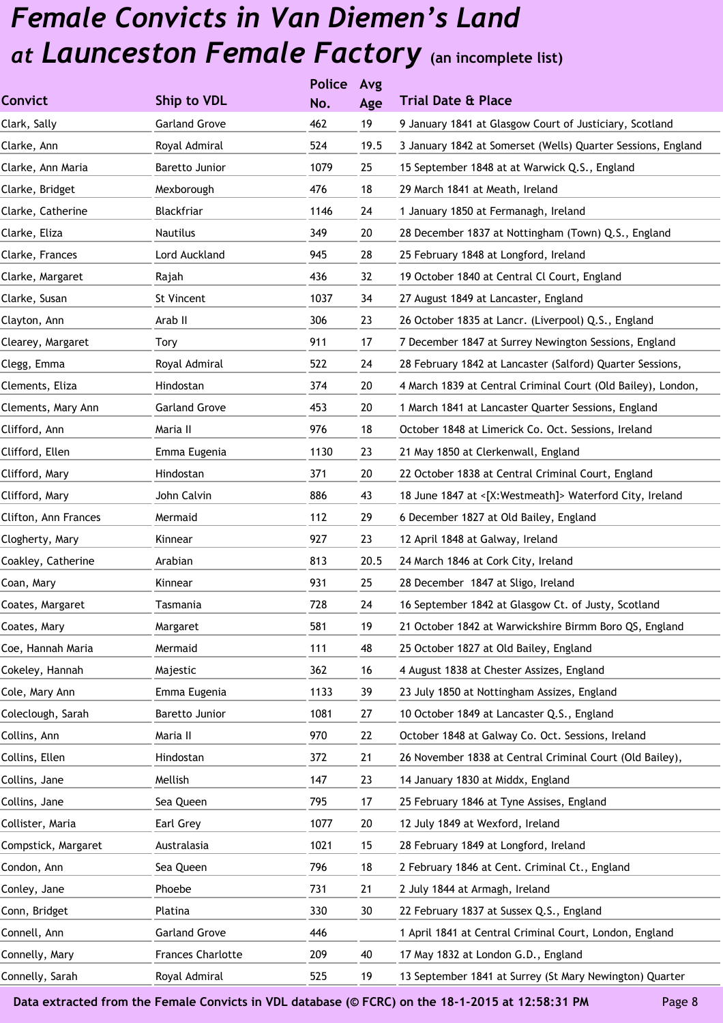|                      |                          | <b>Police</b> | Avg  |                                                              |
|----------------------|--------------------------|---------------|------|--------------------------------------------------------------|
| <b>Convict</b>       | <b>Ship to VDL</b>       | No.           | Age  | <b>Trial Date &amp; Place</b>                                |
| Clark, Sally         | <b>Garland Grove</b>     | 462           | 19   | 9 January 1841 at Glasgow Court of Justiciary, Scotland      |
| Clarke, Ann          | Royal Admiral            | 524           | 19.5 | 3 January 1842 at Somerset (Wells) Quarter Sessions, England |
| Clarke, Ann Maria    | Baretto Junior           | 1079          | 25   | 15 September 1848 at at Warwick Q.S., England                |
| Clarke, Bridget      | Mexborough               | 476           | 18   | 29 March 1841 at Meath, Ireland                              |
| Clarke, Catherine    | Blackfriar               | 1146          | 24   | 1 January 1850 at Fermanagh, Ireland                         |
| Clarke, Eliza        | <b>Nautilus</b>          | 349           | 20   | 28 December 1837 at Nottingham (Town) Q.S., England          |
| Clarke, Frances      | Lord Auckland            | 945           | 28   | 25 February 1848 at Longford, Ireland                        |
| Clarke, Margaret     | Rajah                    | 436           | 32   | 19 October 1840 at Central Cl Court, England                 |
| Clarke, Susan        | St Vincent               | 1037          | 34   | 27 August 1849 at Lancaster, England                         |
| Clayton, Ann         | Arab II                  | 306           | 23   | 26 October 1835 at Lancr. (Liverpool) Q.S., England          |
| Clearey, Margaret    | Tory                     | 911           | 17   | 7 December 1847 at Surrey Newington Sessions, England        |
| Clegg, Emma          | Royal Admiral            | 522           | 24   | 28 February 1842 at Lancaster (Salford) Quarter Sessions,    |
| Clements, Eliza      | Hindostan                | 374           | 20   | 4 March 1839 at Central Criminal Court (Old Bailey), London, |
| Clements, Mary Ann   | <b>Garland Grove</b>     | 453           | 20   | 1 March 1841 at Lancaster Quarter Sessions, England          |
| Clifford, Ann        | Maria II                 | 976           | 18   | October 1848 at Limerick Co. Oct. Sessions, Ireland          |
| Clifford, Ellen      | Emma Eugenia             | 1130          | 23   | 21 May 1850 at Clerkenwall, England                          |
| Clifford, Mary       | Hindostan                | 371           | 20   | 22 October 1838 at Central Criminal Court, England           |
| Clifford, Mary       | John Calvin              | 886           | 43   | 18 June 1847 at <[X:Westmeath]> Waterford City, Ireland      |
| Clifton, Ann Frances | Mermaid                  | 112           | 29   | 6 December 1827 at Old Bailey, England                       |
| Clogherty, Mary      | Kinnear                  | 927           | 23   | 12 April 1848 at Galway, Ireland                             |
| Coakley, Catherine   | Arabian                  | 813           | 20.5 | 24 March 1846 at Cork City, Ireland                          |
| Coan, Mary           | Kinnear                  | 931           | 25   | 28 December 1847 at Sligo, Ireland                           |
| Coates, Margaret     | Tasmania                 | 728           | 24   | 16 September 1842 at Glasgow Ct. of Justy, Scotland          |
| Coates, Mary         | Margaret                 | 581           | 19   | 21 October 1842 at Warwickshire Birmm Boro QS, England       |
| Coe, Hannah Maria    | Mermaid                  | 111           | 48   | 25 October 1827 at Old Bailey, England                       |
| Cokeley, Hannah      | Majestic                 | 362           | 16   | 4 August 1838 at Chester Assizes, England                    |
| Cole, Mary Ann       | Emma Eugenia             | 1133          | 39   | 23 July 1850 at Nottingham Assizes, England                  |
| Coleclough, Sarah    | Baretto Junior           | 1081          | 27   | 10 October 1849 at Lancaster Q.S., England                   |
| Collins, Ann         | Maria II                 | 970           | 22   | October 1848 at Galway Co. Oct. Sessions, Ireland            |
| Collins, Ellen       | Hindostan                | 372           | 21   | 26 November 1838 at Central Criminal Court (Old Bailey),     |
| Collins, Jane        | Mellish                  | 147           | 23   | 14 January 1830 at Middx, England                            |
| Collins, Jane        | Sea Queen                | 795           | 17   | 25 February 1846 at Tyne Assises, England                    |
| Collister, Maria     | Earl Grey                | 1077          | 20   | 12 July 1849 at Wexford, Ireland                             |
| Compstick, Margaret  | Australasia              | 1021          | 15   | 28 February 1849 at Longford, Ireland                        |
| Condon, Ann          | Sea Queen                | 796           | 18   | 2 February 1846 at Cent. Criminal Ct., England               |
| Conley, Jane         | Phoebe                   | 731           | 21   | 2 July 1844 at Armagh, Ireland                               |
| Conn, Bridget        | Platina                  | 330           | 30   | 22 February 1837 at Sussex Q.S., England                     |
| Connell, Ann         | <b>Garland Grove</b>     | 446           |      | 1 April 1841 at Central Criminal Court, London, England      |
| Connelly, Mary       | <b>Frances Charlotte</b> | 209           | 40   | 17 May 1832 at London G.D., England                          |
| Connelly, Sarah      | Royal Admiral            | 525           | 19   | 13 September 1841 at Surrey (St Mary Newington) Quarter      |
|                      |                          |               |      |                                                              |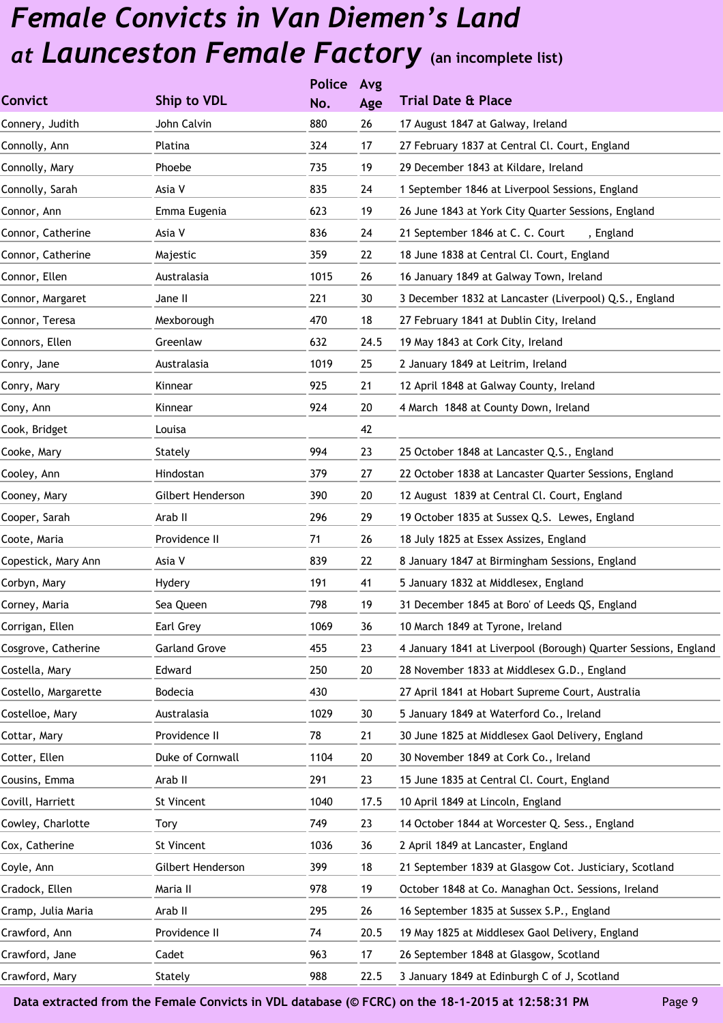|                      |                      | <b>Police</b> | Avg  |                                                                 |
|----------------------|----------------------|---------------|------|-----------------------------------------------------------------|
| <b>Convict</b>       | Ship to VDL          | No.           | Age  | <b>Trial Date &amp; Place</b>                                   |
| Connery, Judith      | John Calvin          | 880           | 26   | 17 August 1847 at Galway, Ireland                               |
| Connolly, Ann        | Platina              | 324           | 17   | 27 February 1837 at Central Cl. Court, England                  |
| Connolly, Mary       | Phoebe               | 735           | 19   | 29 December 1843 at Kildare, Ireland                            |
| Connolly, Sarah      | Asia V               | 835           | 24   | 1 September 1846 at Liverpool Sessions, England                 |
| Connor, Ann          | Emma Eugenia         | 623           | 19   | 26 June 1843 at York City Quarter Sessions, England             |
| Connor, Catherine    | Asia V               | 836           | 24   | 21 September 1846 at C. C. Court<br>, England                   |
| Connor, Catherine    | Majestic             | 359           | 22   | 18 June 1838 at Central Cl. Court, England                      |
| Connor, Ellen        | Australasia          | 1015          | 26   | 16 January 1849 at Galway Town, Ireland                         |
| Connor, Margaret     | Jane II              | 221           | 30   | 3 December 1832 at Lancaster (Liverpool) Q.S., England          |
| Connor, Teresa       | Mexborough           | 470           | 18   | 27 February 1841 at Dublin City, Ireland                        |
| Connors, Ellen       | Greenlaw             | 632           | 24.5 | 19 May 1843 at Cork City, Ireland                               |
| Conry, Jane          | Australasia          | 1019          | 25   | 2 January 1849 at Leitrim, Ireland                              |
| Conry, Mary          | Kinnear              | 925           | 21   | 12 April 1848 at Galway County, Ireland                         |
| Cony, Ann            | Kinnear              | 924           | 20   | 4 March 1848 at County Down, Ireland                            |
| Cook, Bridget        | Louisa               |               | 42   |                                                                 |
| Cooke, Mary          | Stately              | 994           | 23   | 25 October 1848 at Lancaster Q.S., England                      |
| Cooley, Ann          | Hindostan            | 379           | 27   | 22 October 1838 at Lancaster Quarter Sessions, England          |
| Cooney, Mary         | Gilbert Henderson    | 390           | 20   | 12 August 1839 at Central Cl. Court, England                    |
| Cooper, Sarah        | Arab II              | 296           | 29   | 19 October 1835 at Sussex Q.S. Lewes, England                   |
| Coote, Maria         | Providence II        | 71            | 26   | 18 July 1825 at Essex Assizes, England                          |
| Copestick, Mary Ann  | Asia V               | 839           | 22   | 8 January 1847 at Birmingham Sessions, England                  |
| Corbyn, Mary         | Hydery               | 191           | 41   | 5 January 1832 at Middlesex, England                            |
| Corney, Maria        | Sea Queen            | 798           | 19   | 31 December 1845 at Boro' of Leeds QS, England                  |
| Corrigan, Ellen      | Earl Grey            | 1069          | 36   | 10 March 1849 at Tyrone, Ireland                                |
| Cosgrove, Catherine  | <b>Garland Grove</b> | 455           | 23   | 4 January 1841 at Liverpool (Borough) Quarter Sessions, England |
| Costella, Mary       | Edward               | 250           | 20   | 28 November 1833 at Middlesex G.D., England                     |
| Costello, Margarette | Bodecia              | 430           |      | 27 April 1841 at Hobart Supreme Court, Australia                |
| Costelloe, Mary      | Australasia          | 1029          | 30   | 5 January 1849 at Waterford Co., Ireland                        |
| Cottar, Mary         | Providence II        | 78            | 21   | 30 June 1825 at Middlesex Gaol Delivery, England                |
| Cotter, Ellen        | Duke of Cornwall     | 1104          | 20   | 30 November 1849 at Cork Co., Ireland                           |
| Cousins, Emma        | Arab II              | 291           | 23   | 15 June 1835 at Central Cl. Court, England                      |
| Covill, Harriett     | St Vincent           | 1040          | 17.5 | 10 April 1849 at Lincoln, England                               |
| Cowley, Charlotte    | <b>Tory</b>          | 749           | 23   | 14 October 1844 at Worcester Q. Sess., England                  |
| Cox, Catherine       | <b>St Vincent</b>    | 1036          | 36   | 2 April 1849 at Lancaster, England                              |
| Coyle, Ann           | Gilbert Henderson    | 399           | 18   | 21 September 1839 at Glasgow Cot. Justiciary, Scotland          |
| Cradock, Ellen       | Maria II             | 978           | 19   | October 1848 at Co. Managhan Oct. Sessions, Ireland             |
| Cramp, Julia Maria   | Arab II              | 295           | 26   | 16 September 1835 at Sussex S.P., England                       |
| Crawford, Ann        | Providence II        | 74            | 20.5 | 19 May 1825 at Middlesex Gaol Delivery, England                 |
| Crawford, Jane       | Cadet                | 963           | 17   | 26 September 1848 at Glasgow, Scotland                          |
| Crawford, Mary       | Stately              | 988           | 22.5 | 3 January 1849 at Edinburgh C of J, Scotland                    |
|                      |                      |               |      |                                                                 |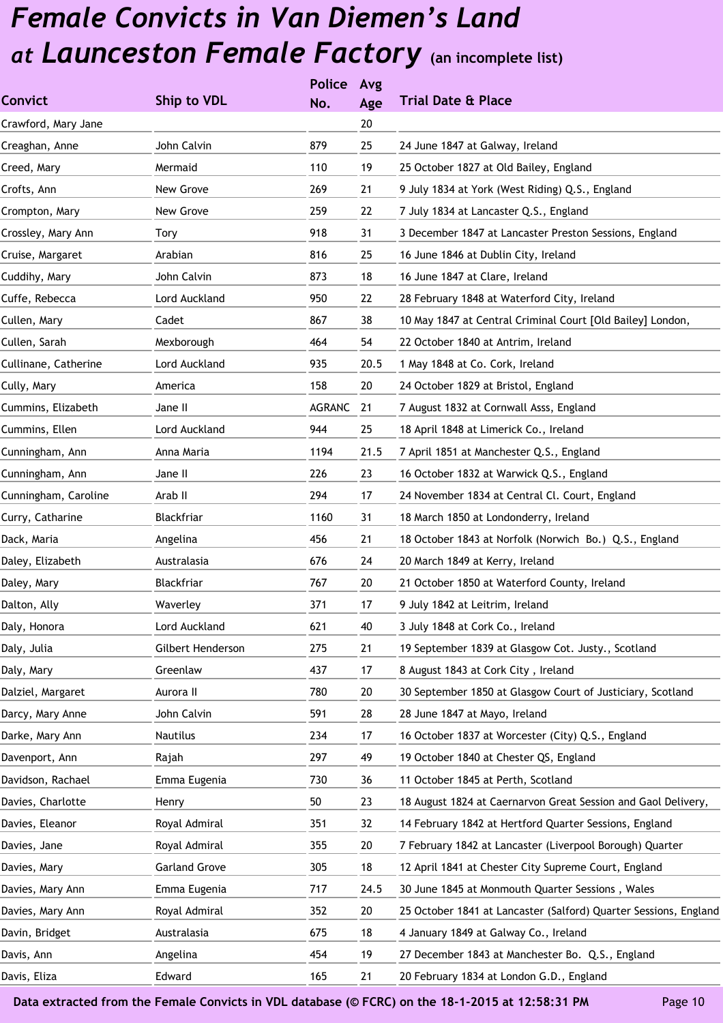|                      |                      | <b>Police</b> | Avg  |                                                                  |
|----------------------|----------------------|---------------|------|------------------------------------------------------------------|
| <b>Convict</b>       | Ship to VDL          | No.           | Age  | <b>Trial Date &amp; Place</b>                                    |
| Crawford, Mary Jane  |                      |               | 20   |                                                                  |
| Creaghan, Anne       | John Calvin          | 879           | 25   | 24 June 1847 at Galway, Ireland                                  |
| Creed, Mary          | Mermaid              | 110           | 19   | 25 October 1827 at Old Bailey, England                           |
| Crofts, Ann          | New Grove            | 269           | 21   | 9 July 1834 at York (West Riding) Q.S., England                  |
| Crompton, Mary       | New Grove            | 259           | 22   | 7 July 1834 at Lancaster Q.S., England                           |
| Crossley, Mary Ann   | Tory                 | 918           | 31   | 3 December 1847 at Lancaster Preston Sessions, England           |
| Cruise, Margaret     | Arabian              | 816           | 25   | 16 June 1846 at Dublin City, Ireland                             |
| Cuddihy, Mary        | John Calvin          | 873           | 18   | 16 June 1847 at Clare, Ireland                                   |
| Cuffe, Rebecca       | Lord Auckland        | 950           | 22   | 28 February 1848 at Waterford City, Ireland                      |
| Cullen, Mary         | Cadet                | 867           | 38   | 10 May 1847 at Central Criminal Court [Old Bailey] London,       |
| Cullen, Sarah        | Mexborough           | 464           | 54   | 22 October 1840 at Antrim, Ireland                               |
| Cullinane, Catherine | Lord Auckland        | 935           | 20.5 | 1 May 1848 at Co. Cork, Ireland                                  |
| Cully, Mary          | America              | 158           | 20   | 24 October 1829 at Bristol, England                              |
| Cummins, Elizabeth   | Jane II              | <b>AGRANC</b> | 21   | 7 August 1832 at Cornwall Asss, England                          |
| Cummins, Ellen       | Lord Auckland        | 944           | 25   | 18 April 1848 at Limerick Co., Ireland                           |
| Cunningham, Ann      | Anna Maria           | 1194          | 21.5 | 7 April 1851 at Manchester Q.S., England                         |
| Cunningham, Ann      | Jane II              | 226           | 23   | 16 October 1832 at Warwick Q.S., England                         |
| Cunningham, Caroline | Arab II              | 294           | 17   | 24 November 1834 at Central Cl. Court, England                   |
| Curry, Catharine     | Blackfriar           | 1160          | 31   | 18 March 1850 at Londonderry, Ireland                            |
| Dack, Maria          | Angelina             | 456           | 21   | 18 October 1843 at Norfolk (Norwich Bo.) Q.S., England           |
| Daley, Elizabeth     | Australasia          | 676           | 24   | 20 March 1849 at Kerry, Ireland                                  |
| Daley, Mary          | Blackfriar           | 767           | 20   | 21 October 1850 at Waterford County, Ireland                     |
| Dalton, Ally         | Waverley             | 371           | 17   | 9 July 1842 at Leitrim, Ireland                                  |
| Daly, Honora         | Lord Auckland        | 621           | 40   | 3 July 1848 at Cork Co., Ireland                                 |
| Daly, Julia          | Gilbert Henderson    | 275           | 21   | 19 September 1839 at Glasgow Cot. Justy., Scotland               |
| Daly, Mary           | Greenlaw             | 437           | 17   | 8 August 1843 at Cork City, Ireland                              |
| Dalziel, Margaret    | Aurora II            | 780           | 20   | 30 September 1850 at Glasgow Court of Justiciary, Scotland       |
| Darcy, Mary Anne     | John Calvin          | 591           | 28   | 28 June 1847 at Mayo, Ireland                                    |
| Darke, Mary Ann      | Nautilus             | 234           | 17   | 16 October 1837 at Worcester (City) Q.S., England                |
| Davenport, Ann       | Rajah                | 297           | 49   | 19 October 1840 at Chester QS, England                           |
| Davidson, Rachael    | Emma Eugenia         | 730           | 36   | 11 October 1845 at Perth, Scotland                               |
| Davies, Charlotte    | Henry                | 50            | 23   | 18 August 1824 at Caernarvon Great Session and Gaol Delivery,    |
| Davies, Eleanor      | Royal Admiral        | 351           | 32   | 14 February 1842 at Hertford Quarter Sessions, England           |
| Davies, Jane         | Royal Admiral        | 355           | 20   | 7 February 1842 at Lancaster (Liverpool Borough) Quarter         |
| Davies, Mary         | <b>Garland Grove</b> | 305           | 18   | 12 April 1841 at Chester City Supreme Court, England             |
| Davies, Mary Ann     | Emma Eugenia         | 717           | 24.5 | 30 June 1845 at Monmouth Quarter Sessions, Wales                 |
| Davies, Mary Ann     | Royal Admiral        | 352           | 20   | 25 October 1841 at Lancaster (Salford) Quarter Sessions, England |
| Davin, Bridget       | Australasia          | 675           | 18   | 4 January 1849 at Galway Co., Ireland                            |
| Davis, Ann           | Angelina             | 454           | 19   | 27 December 1843 at Manchester Bo. Q.S., England                 |
| Davis, Eliza         | Edward               | 165           | 21   | 20 February 1834 at London G.D., England                         |
|                      |                      |               |      |                                                                  |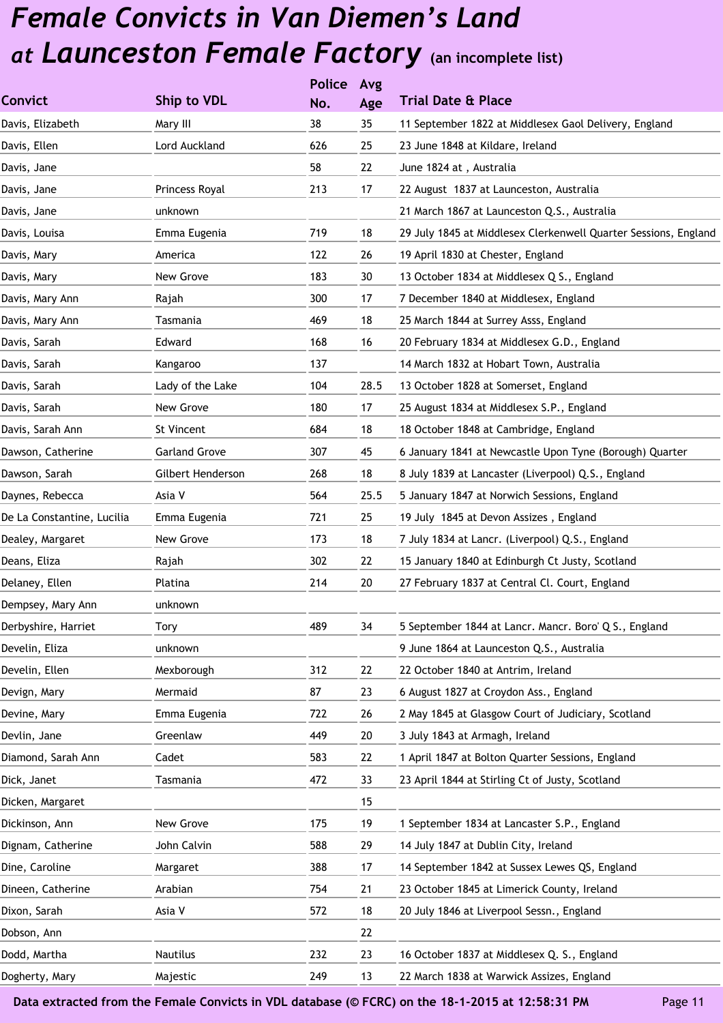|                            |                      | <b>Police</b> | Avg  |                                                                 |
|----------------------------|----------------------|---------------|------|-----------------------------------------------------------------|
| <b>Convict</b>             | Ship to VDL          | No.           | Age  | <b>Trial Date &amp; Place</b>                                   |
| Davis, Elizabeth           | Mary III             | 38            | 35   | 11 September 1822 at Middlesex Gaol Delivery, England           |
| Davis, Ellen               | Lord Auckland        | 626           | 25   | 23 June 1848 at Kildare, Ireland                                |
| Davis, Jane                |                      | 58            | 22   | June 1824 at, Australia                                         |
| Davis, Jane                | Princess Royal       | 213           | 17   | 22 August 1837 at Launceston, Australia                         |
| Davis, Jane                | unknown              |               |      | 21 March 1867 at Launceston Q.S., Australia                     |
| Davis, Louisa              | Emma Eugenia         | 719           | 18   | 29 July 1845 at Middlesex Clerkenwell Quarter Sessions, England |
| Davis, Mary                | America              | 122           | 26   | 19 April 1830 at Chester, England                               |
| Davis, Mary                | New Grove            | 183           | 30   | 13 October 1834 at Middlesex Q S., England                      |
| Davis, Mary Ann            | Rajah                | 300           | 17   | 7 December 1840 at Middlesex, England                           |
| Davis, Mary Ann            | Tasmania             | 469           | 18   | 25 March 1844 at Surrey Asss, England                           |
| Davis, Sarah               | Edward               | 168           | 16   | 20 February 1834 at Middlesex G.D., England                     |
| Davis, Sarah               | Kangaroo             | 137           |      | 14 March 1832 at Hobart Town, Australia                         |
| Davis, Sarah               | Lady of the Lake     | 104           | 28.5 | 13 October 1828 at Somerset, England                            |
| Davis, Sarah               | New Grove            | 180           | 17   | 25 August 1834 at Middlesex S.P., England                       |
| Davis, Sarah Ann           | St Vincent           | 684           | 18   | 18 October 1848 at Cambridge, England                           |
| Dawson, Catherine          | <b>Garland Grove</b> | 307           | 45   | 6 January 1841 at Newcastle Upon Tyne (Borough) Quarter         |
| Dawson, Sarah              | Gilbert Henderson    | 268           | 18   | 8 July 1839 at Lancaster (Liverpool) Q.S., England              |
| Daynes, Rebecca            | Asia V               | 564           | 25.5 | 5 January 1847 at Norwich Sessions, England                     |
| De La Constantine, Lucilia | Emma Eugenia         | 721           | 25   | 19 July 1845 at Devon Assizes, England                          |
| Dealey, Margaret           | New Grove            | 173           | 18   | 7 July 1834 at Lancr. (Liverpool) Q.S., England                 |
| Deans, Eliza               | Rajah                | 302           | 22   | 15 January 1840 at Edinburgh Ct Justy, Scotland                 |
| Delaney, Ellen             | Platina              | 214           | 20   | 27 February 1837 at Central Cl. Court, England                  |
| Dempsey, Mary Ann          | unknown              |               |      |                                                                 |
| Derbyshire, Harriet        | Tory                 | 489           | 34   | 5 September 1844 at Lancr. Mancr. Boro' Q S., England           |
| Develin, Eliza             | unknown              |               |      | 9 June 1864 at Launceston Q.S., Australia                       |
| Develin, Ellen             | Mexborough           | 312           | 22   | 22 October 1840 at Antrim, Ireland                              |
| Devign, Mary               | Mermaid              | 87            | 23   | 6 August 1827 at Croydon Ass., England                          |
| Devine, Mary               | Emma Eugenia         | 722           | 26   | 2 May 1845 at Glasgow Court of Judiciary, Scotland              |
| Devlin, Jane               | Greenlaw             | 449           | 20   | 3 July 1843 at Armagh, Ireland                                  |
| Diamond, Sarah Ann         | Cadet                | 583           | 22   | 1 April 1847 at Bolton Quarter Sessions, England                |
| Dick, Janet                | Tasmania             | 472           | 33   | 23 April 1844 at Stirling Ct of Justy, Scotland                 |
| Dicken, Margaret           |                      |               | 15   |                                                                 |
| Dickinson, Ann             | New Grove            | 175           | 19   | 1 September 1834 at Lancaster S.P., England                     |
| Dignam, Catherine          | John Calvin          | 588           | 29   | 14 July 1847 at Dublin City, Ireland                            |
| Dine, Caroline             | Margaret             | 388           | 17   | 14 September 1842 at Sussex Lewes QS, England                   |
| Dineen, Catherine          | Arabian              | 754           | 21   | 23 October 1845 at Limerick County, Ireland                     |
| Dixon, Sarah               | Asia V               | 572           | 18   | 20 July 1846 at Liverpool Sessn., England                       |
| Dobson, Ann                |                      |               | 22   |                                                                 |
| Dodd, Martha               | Nautilus             | 232           | 23   | 16 October 1837 at Middlesex Q. S., England                     |
| Dogherty, Mary             | Majestic             | 249           | 13   | 22 March 1838 at Warwick Assizes, England                       |
|                            |                      |               |      |                                                                 |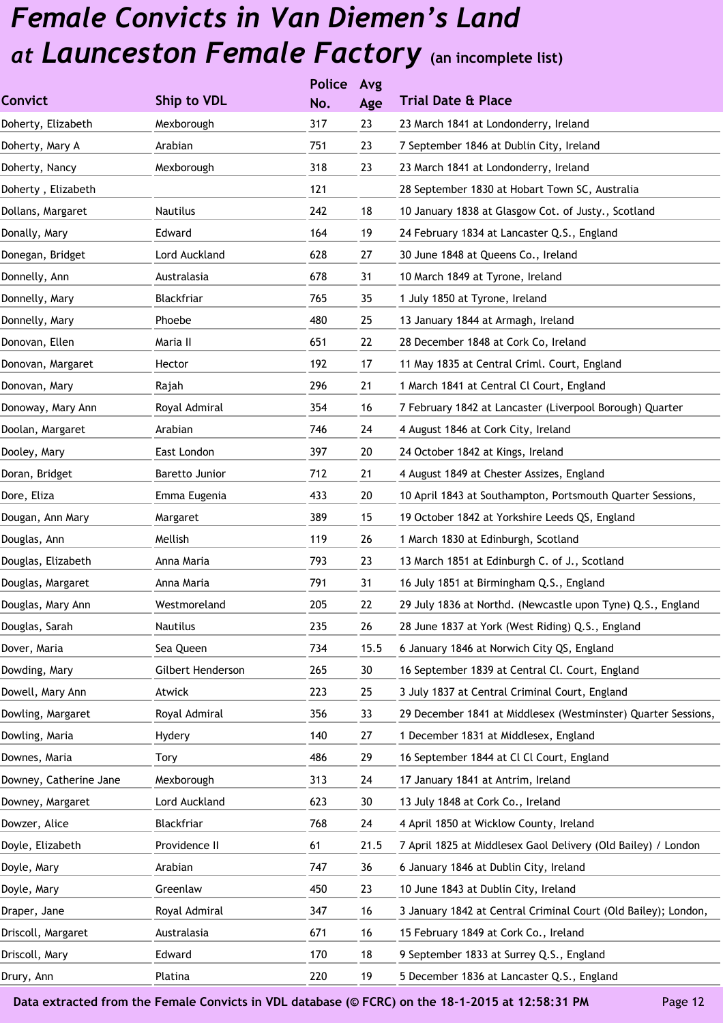|                        |                   | <b>Police</b> | Avg  |                                                                |
|------------------------|-------------------|---------------|------|----------------------------------------------------------------|
| <b>Convict</b>         | Ship to VDL       | No.           | Age  | <b>Trial Date &amp; Place</b>                                  |
| Doherty, Elizabeth     | Mexborough        | 317           | 23   | 23 March 1841 at Londonderry, Ireland                          |
| Doherty, Mary A        | Arabian           | 751           | 23   | 7 September 1846 at Dublin City, Ireland                       |
| Doherty, Nancy         | Mexborough        | 318           | 23   | 23 March 1841 at Londonderry, Ireland                          |
| Doherty, Elizabeth     |                   | 121           |      | 28 September 1830 at Hobart Town SC, Australia                 |
| Dollans, Margaret      | <b>Nautilus</b>   | 242           | 18   | 10 January 1838 at Glasgow Cot. of Justy., Scotland            |
| Donally, Mary          | Edward            | 164           | 19   | 24 February 1834 at Lancaster Q.S., England                    |
| Donegan, Bridget       | Lord Auckland     | 628           | 27   | 30 June 1848 at Queens Co., Ireland                            |
| Donnelly, Ann          | Australasia       | 678           | 31   | 10 March 1849 at Tyrone, Ireland                               |
| Donnelly, Mary         | Blackfriar        | 765           | 35   | 1 July 1850 at Tyrone, Ireland                                 |
| Donnelly, Mary         | Phoebe            | 480           | 25   | 13 January 1844 at Armagh, Ireland                             |
| Donovan, Ellen         | Maria II          | 651           | 22   | 28 December 1848 at Cork Co, Ireland                           |
| Donovan, Margaret      | Hector            | 192           | 17   | 11 May 1835 at Central Criml. Court, England                   |
| Donovan, Mary          | Rajah             | 296           | 21   | 1 March 1841 at Central Cl Court, England                      |
| Donoway, Mary Ann      | Royal Admiral     | 354           | 16   | 7 February 1842 at Lancaster (Liverpool Borough) Quarter       |
| Doolan, Margaret       | Arabian           | 746           | 24   | 4 August 1846 at Cork City, Ireland                            |
| Dooley, Mary           | East London       | 397           | 20   | 24 October 1842 at Kings, Ireland                              |
| Doran, Bridget         | Baretto Junior    | 712           | 21   | 4 August 1849 at Chester Assizes, England                      |
| Dore, Eliza            | Emma Eugenia      | 433           | 20   | 10 April 1843 at Southampton, Portsmouth Quarter Sessions,     |
| Dougan, Ann Mary       | Margaret          | 389           | 15   | 19 October 1842 at Yorkshire Leeds QS, England                 |
| Douglas, Ann           | Mellish           | 119           | 26   | 1 March 1830 at Edinburgh, Scotland                            |
| Douglas, Elizabeth     | Anna Maria        | 793           | 23   | 13 March 1851 at Edinburgh C. of J., Scotland                  |
| Douglas, Margaret      | Anna Maria        | 791           | 31   | 16 July 1851 at Birmingham Q.S., England                       |
| Douglas, Mary Ann      | Westmoreland      | 205           | 22   | 29 July 1836 at Northd. (Newcastle upon Tyne) Q.S., England    |
| Douglas, Sarah         | Nautilus          | 235           | 26   | 28 June 1837 at York (West Riding) Q.S., England               |
| Dover, Maria           | Sea Queen         | 734           | 15.5 | 6 January 1846 at Norwich City QS, England                     |
| Dowding, Mary          | Gilbert Henderson | 265           | 30   | 16 September 1839 at Central Cl. Court, England                |
| Dowell, Mary Ann       | Atwick            | 223           | 25   | 3 July 1837 at Central Criminal Court, England                 |
| Dowling, Margaret      | Royal Admiral     | 356           | 33   | 29 December 1841 at Middlesex (Westminster) Quarter Sessions,  |
| Dowling, Maria         | Hydery            | 140           | 27   | 1 December 1831 at Middlesex, England                          |
| Downes, Maria          | Tory              | 486           | 29   | 16 September 1844 at Cl Cl Court, England                      |
| Downey, Catherine Jane | Mexborough        | 313           | 24   | 17 January 1841 at Antrim, Ireland                             |
| Downey, Margaret       | Lord Auckland     | 623           | 30   | 13 July 1848 at Cork Co., Ireland                              |
| Dowzer, Alice          | Blackfriar        | 768           | 24   | 4 April 1850 at Wicklow County, Ireland                        |
| Doyle, Elizabeth       | Providence II     | 61            | 21.5 | 7 April 1825 at Middlesex Gaol Delivery (Old Bailey) / London  |
| Doyle, Mary            | Arabian           | 747           | 36   | 6 January 1846 at Dublin City, Ireland                         |
| Doyle, Mary            | Greenlaw          | 450           | 23   | 10 June 1843 at Dublin City, Ireland                           |
| Draper, Jane           | Royal Admiral     | 347           | 16   | 3 January 1842 at Central Criminal Court (Old Bailey); London, |
| Driscoll, Margaret     | Australasia       | 671           | 16   | 15 February 1849 at Cork Co., Ireland                          |
| Driscoll, Mary         | Edward            | 170           | 18   | 9 September 1833 at Surrey Q.S., England                       |
| Drury, Ann             | Platina           | 220           | 19   | 5 December 1836 at Lancaster Q.S., England                     |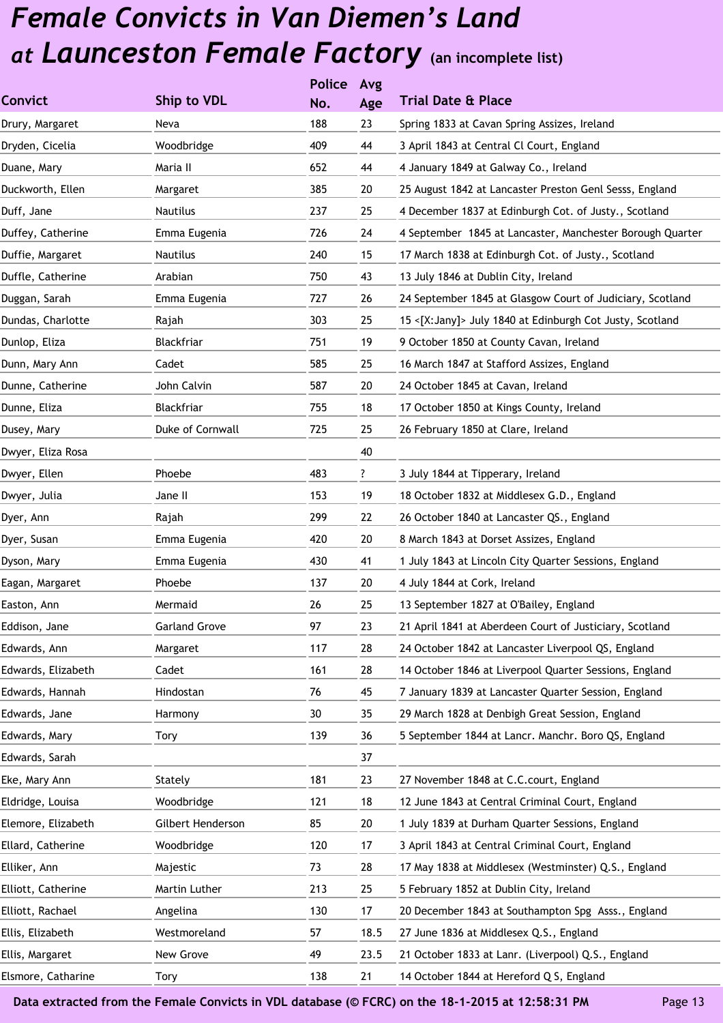|                    |                      | <b>Police</b> | Avg  |                                                           |
|--------------------|----------------------|---------------|------|-----------------------------------------------------------|
| <b>Convict</b>     | Ship to VDL          | No.           | Age  | <b>Trial Date &amp; Place</b>                             |
| Drury, Margaret    | Neva                 | 188           | 23   | Spring 1833 at Cavan Spring Assizes, Ireland              |
| Dryden, Cicelia    | Woodbridge           | 409           | 44   | 3 April 1843 at Central Cl Court, England                 |
| Duane, Mary        | Maria II             | 652           | 44   | 4 January 1849 at Galway Co., Ireland                     |
| Duckworth, Ellen   | Margaret             | 385           | 20   | 25 August 1842 at Lancaster Preston Genl Sesss, England   |
| Duff, Jane         | Nautilus             | 237           | 25   | 4 December 1837 at Edinburgh Cot. of Justy., Scotland     |
| Duffey, Catherine  | Emma Eugenia         | 726           | 24   | 4 September 1845 at Lancaster, Manchester Borough Quarter |
| Duffie, Margaret   | Nautilus             | 240           | 15   | 17 March 1838 at Edinburgh Cot. of Justy., Scotland       |
| Duffle, Catherine  | Arabian              | 750           | 43   | 13 July 1846 at Dublin City, Ireland                      |
| Duggan, Sarah      | Emma Eugenia         | 727           | 26   | 24 September 1845 at Glasgow Court of Judiciary, Scotland |
| Dundas, Charlotte  | Rajah                | 303           | 25   | 15 <[X:Jany]> July 1840 at Edinburgh Cot Justy, Scotland  |
| Dunlop, Eliza      | Blackfriar           | 751           | 19   | 9 October 1850 at County Cavan, Ireland                   |
| Dunn, Mary Ann     | Cadet                | 585           | 25   | 16 March 1847 at Stafford Assizes, England                |
| Dunne, Catherine   | John Calvin          | 587           | 20   | 24 October 1845 at Cavan, Ireland                         |
| Dunne, Eliza       | Blackfriar           | 755           | 18   | 17 October 1850 at Kings County, Ireland                  |
| Dusey, Mary        | Duke of Cornwall     | 725           | 25   | 26 February 1850 at Clare, Ireland                        |
| Dwyer, Eliza Rosa  |                      |               | 40   |                                                           |
| Dwyer, Ellen       | Phoebe               | 483           | ?    | 3 July 1844 at Tipperary, Ireland                         |
| Dwyer, Julia       | Jane II              | 153           | 19   | 18 October 1832 at Middlesex G.D., England                |
| Dyer, Ann          | Rajah                | 299           | 22   | 26 October 1840 at Lancaster QS., England                 |
| Dyer, Susan        | Emma Eugenia         | 420           | 20   | 8 March 1843 at Dorset Assizes, England                   |
| Dyson, Mary        | Emma Eugenia         | 430           | 41   | 1 July 1843 at Lincoln City Quarter Sessions, England     |
| Eagan, Margaret    | Phoebe               | 137           | 20   | 4 July 1844 at Cork, Ireland                              |
| Easton, Ann        | Mermaid              | 26            | 25   | 13 September 1827 at O'Bailey, England                    |
| Eddison, Jane      | <b>Garland Grove</b> | 97            | 23   | 21 April 1841 at Aberdeen Court of Justiciary, Scotland   |
| Edwards, Ann       | Margaret             | 117           | 28   | 24 October 1842 at Lancaster Liverpool QS, England        |
| Edwards, Elizabeth | Cadet                | 161           | 28   | 14 October 1846 at Liverpool Quarter Sessions, England    |
| Edwards, Hannah    | Hindostan            | 76            | 45   | 7 January 1839 at Lancaster Quarter Session, England      |
| Edwards, Jane      | Harmony              | 30            | 35   | 29 March 1828 at Denbigh Great Session, England           |
| Edwards, Mary      | Tory                 | 139           | 36   | 5 September 1844 at Lancr. Manchr. Boro QS, England       |
| Edwards, Sarah     |                      |               | 37   |                                                           |
| Eke, Mary Ann      | Stately              | 181           | 23   | 27 November 1848 at C.C.court, England                    |
| Eldridge, Louisa   | Woodbridge           | 121           | 18   | 12 June 1843 at Central Criminal Court, England           |
| Elemore, Elizabeth | Gilbert Henderson    | 85            | 20   | 1 July 1839 at Durham Quarter Sessions, England           |
| Ellard, Catherine  | Woodbridge           | 120           | 17   | 3 April 1843 at Central Criminal Court, England           |
| Elliker, Ann       | Majestic             | 73            | 28   | 17 May 1838 at Middlesex (Westminster) Q.S., England      |
| Elliott, Catherine | Martin Luther        | 213           | 25   | 5 February 1852 at Dublin City, Ireland                   |
| Elliott, Rachael   | Angelina             | 130           | 17   | 20 December 1843 at Southampton Spg Asss., England        |
| Ellis, Elizabeth   | Westmoreland         | 57            | 18.5 | 27 June 1836 at Middlesex Q.S., England                   |
| Ellis, Margaret    | New Grove            | 49            | 23.5 | 21 October 1833 at Lanr. (Liverpool) Q.S., England        |
| Elsmore, Catharine | Tory                 | 138           | 21   | 14 October 1844 at Hereford Q S, England                  |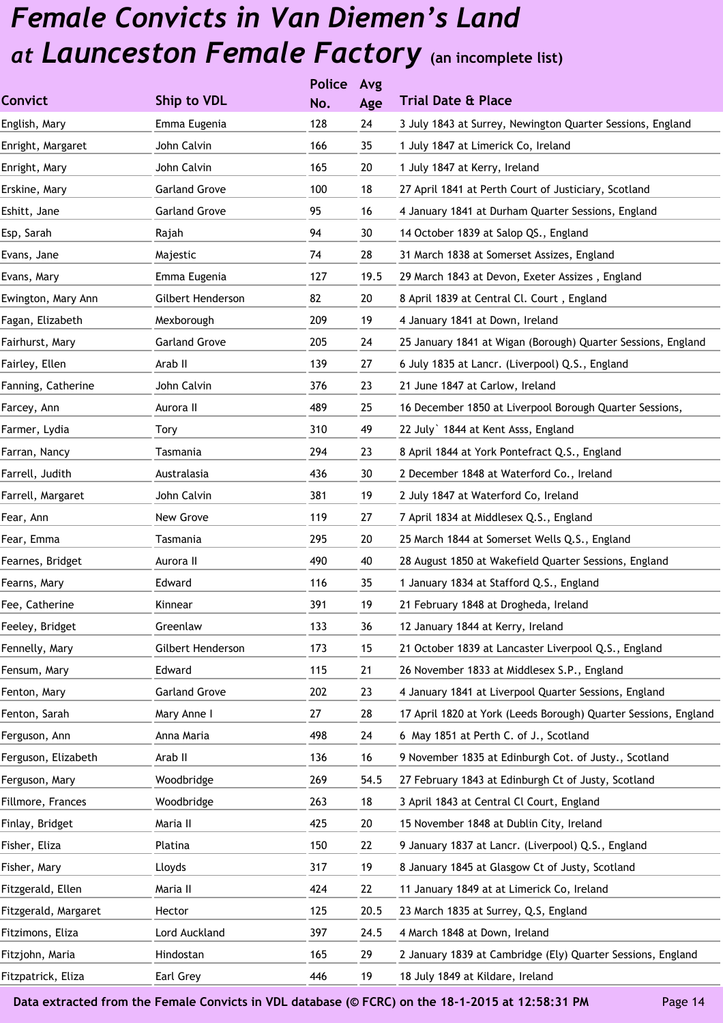|                      |                      | <b>Police</b> | Avg  |                                                                 |
|----------------------|----------------------|---------------|------|-----------------------------------------------------------------|
| <b>Convict</b>       | Ship to VDL          | No.           | Age  | <b>Trial Date &amp; Place</b>                                   |
| English, Mary        | Emma Eugenia         | 128           | 24   | 3 July 1843 at Surrey, Newington Quarter Sessions, England      |
| Enright, Margaret    | John Calvin          | 166           | 35   | 1 July 1847 at Limerick Co, Ireland                             |
| Enright, Mary        | John Calvin          | 165           | 20   | 1 July 1847 at Kerry, Ireland                                   |
| Erskine, Mary        | <b>Garland Grove</b> | 100           | 18   | 27 April 1841 at Perth Court of Justiciary, Scotland            |
| Eshitt, Jane         | <b>Garland Grove</b> | 95            | 16   | 4 January 1841 at Durham Quarter Sessions, England              |
| Esp, Sarah           | Rajah                | 94            | 30   | 14 October 1839 at Salop QS., England                           |
| Evans, Jane          | Majestic             | 74            | 28   | 31 March 1838 at Somerset Assizes, England                      |
| Evans, Mary          | Emma Eugenia         | 127           | 19.5 | 29 March 1843 at Devon, Exeter Assizes, England                 |
| Ewington, Mary Ann   | Gilbert Henderson    | 82            | 20   | 8 April 1839 at Central Cl. Court, England                      |
| Fagan, Elizabeth     | Mexborough           | 209           | 19   | 4 January 1841 at Down, Ireland                                 |
| Fairhurst, Mary      | <b>Garland Grove</b> | 205           | 24   | 25 January 1841 at Wigan (Borough) Quarter Sessions, England    |
| Fairley, Ellen       | Arab II              | 139           | 27   | 6 July 1835 at Lancr. (Liverpool) Q.S., England                 |
| Fanning, Catherine   | John Calvin          | 376           | 23   | 21 June 1847 at Carlow, Ireland                                 |
| Farcey, Ann          | Aurora II            | 489           | 25   | 16 December 1850 at Liverpool Borough Quarter Sessions,         |
| Farmer, Lydia        | Tory                 | 310           | 49   | 22 July 1844 at Kent Asss, England                              |
| Farran, Nancy        | Tasmania             | 294           | 23   | 8 April 1844 at York Pontefract Q.S., England                   |
| Farrell, Judith      | Australasia          | 436           | 30   | 2 December 1848 at Waterford Co., Ireland                       |
| Farrell, Margaret    | John Calvin          | 381           | 19   | 2 July 1847 at Waterford Co, Ireland                            |
| Fear, Ann            | New Grove            | 119           | 27   | 7 April 1834 at Middlesex Q.S., England                         |
| Fear, Emma           | Tasmania             | 295           | 20   | 25 March 1844 at Somerset Wells Q.S., England                   |
| Fearnes, Bridget     | Aurora II            | 490           | 40   | 28 August 1850 at Wakefield Quarter Sessions, England           |
| Fearns, Mary         | Edward               | 116           | 35   | 1 January 1834 at Stafford Q.S., England                        |
| Fee, Catherine       | Kinnear              | 391           | 19   | 21 February 1848 at Drogheda, Ireland                           |
| Feeley, Bridget      | Greenlaw             | 133           | 36   | 12 January 1844 at Kerry, Ireland                               |
| Fennelly, Mary       | Gilbert Henderson    | 173           | 15   | 21 October 1839 at Lancaster Liverpool Q.S., England            |
| Fensum, Mary         | Edward               | 115           | 21   | 26 November 1833 at Middlesex S.P., England                     |
| Fenton, Mary         | <b>Garland Grove</b> | 202           | 23   | 4 January 1841 at Liverpool Quarter Sessions, England           |
| Fenton, Sarah        | Mary Anne I          | 27            | 28   | 17 April 1820 at York (Leeds Borough) Quarter Sessions, England |
| Ferguson, Ann        | Anna Maria           | 498           | 24   | 6 May 1851 at Perth C. of J., Scotland                          |
| Ferguson, Elizabeth  | Arab II              | 136           | 16   | 9 November 1835 at Edinburgh Cot. of Justy., Scotland           |
| Ferguson, Mary       | Woodbridge           | 269           | 54.5 | 27 February 1843 at Edinburgh Ct of Justy, Scotland             |
| Fillmore, Frances    | Woodbridge           | 263           | 18   | 3 April 1843 at Central Cl Court, England                       |
| Finlay, Bridget      | Maria II             | 425           | 20   | 15 November 1848 at Dublin City, Ireland                        |
| Fisher, Eliza        | Platina              | 150           | 22   | 9 January 1837 at Lancr. (Liverpool) Q.S., England              |
| Fisher, Mary         | Lloyds               | 317           | 19   | 8 January 1845 at Glasgow Ct of Justy, Scotland                 |
| Fitzgerald, Ellen    | Maria II             | 424           | 22   | 11 January 1849 at at Limerick Co, Ireland                      |
| Fitzgerald, Margaret | Hector               | 125           | 20.5 | 23 March 1835 at Surrey, Q.S, England                           |
| Fitzimons, Eliza     | Lord Auckland        | 397           | 24.5 | 4 March 1848 at Down, Ireland                                   |
| Fitzjohn, Maria      | Hindostan            | 165           | 29   | 2 January 1839 at Cambridge (Ely) Quarter Sessions, England     |
| Fitzpatrick, Eliza   | Earl Grey            | 446           | 19   | 18 July 1849 at Kildare, Ireland                                |
|                      |                      |               |      |                                                                 |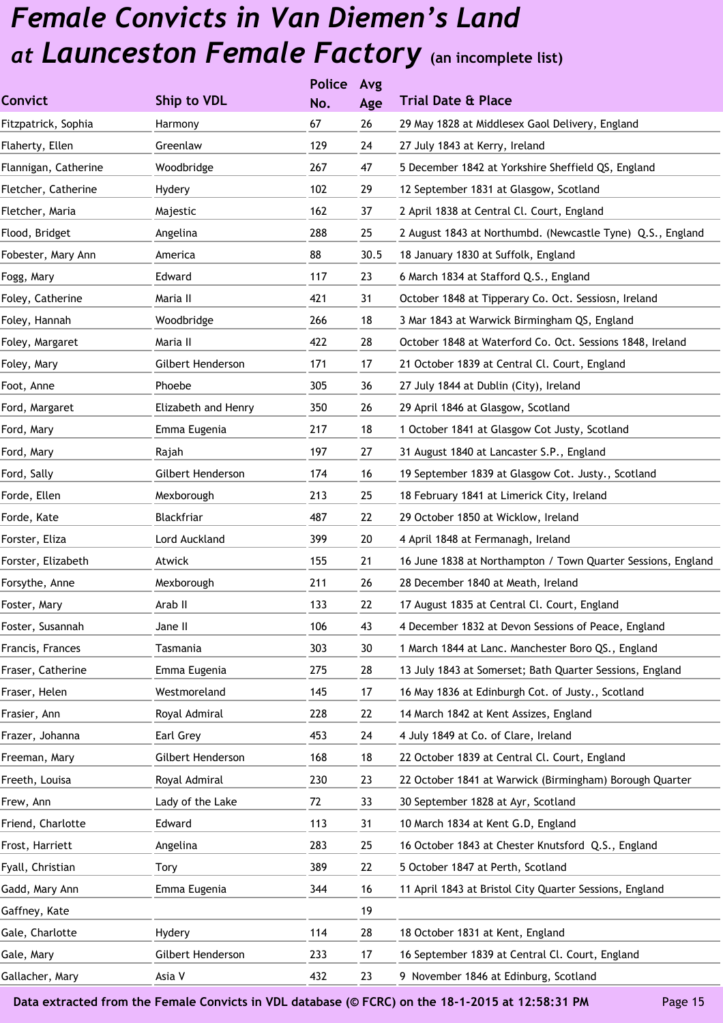|                     |     | Avg           |                                                              |
|---------------------|-----|---------------|--------------------------------------------------------------|
| Ship to VDL         | No. | Age           | <b>Trial Date &amp; Place</b>                                |
| Harmony             | 67  | 26            | 29 May 1828 at Middlesex Gaol Delivery, England              |
| Greenlaw            | 129 | 24            | 27 July 1843 at Kerry, Ireland                               |
| Woodbridge          | 267 | 47            | 5 December 1842 at Yorkshire Sheffield QS, England           |
| Hydery              | 102 | 29            | 12 September 1831 at Glasgow, Scotland                       |
| Majestic            | 162 | 37            | 2 April 1838 at Central Cl. Court, England                   |
| Angelina            | 288 | 25            | 2 August 1843 at Northumbd. (Newcastle Tyne) Q.S., England   |
| America             | 88  | 30.5          | 18 January 1830 at Suffolk, England                          |
| Edward              | 117 | 23            | 6 March 1834 at Stafford Q.S., England                       |
| Maria II            | 421 | 31            | October 1848 at Tipperary Co. Oct. Sessiosn, Ireland         |
| Woodbridge          | 266 | 18            | 3 Mar 1843 at Warwick Birmingham QS, England                 |
| Maria II            | 422 | 28            | October 1848 at Waterford Co. Oct. Sessions 1848, Ireland    |
| Gilbert Henderson   | 171 | 17            | 21 October 1839 at Central Cl. Court, England                |
| Phoebe              | 305 | 36            | 27 July 1844 at Dublin (City), Ireland                       |
| Elizabeth and Henry | 350 | 26            | 29 April 1846 at Glasgow, Scotland                           |
| Emma Eugenia        | 217 | 18            | 1 October 1841 at Glasgow Cot Justy, Scotland                |
| Rajah               | 197 | 27            | 31 August 1840 at Lancaster S.P., England                    |
| Gilbert Henderson   | 174 | 16            | 19 September 1839 at Glasgow Cot. Justy., Scotland           |
| Mexborough          | 213 | 25            | 18 February 1841 at Limerick City, Ireland                   |
| Blackfriar          | 487 | 22            | 29 October 1850 at Wicklow, Ireland                          |
| Lord Auckland       | 399 | 20            | 4 April 1848 at Fermanagh, Ireland                           |
| Atwick              | 155 | 21            | 16 June 1838 at Northampton / Town Quarter Sessions, England |
| Mexborough          | 211 | 26            | 28 December 1840 at Meath, Ireland                           |
| Arab II             | 133 | 22            | 17 August 1835 at Central Cl. Court, England                 |
| Jane II             | 106 | 43            | 4 December 1832 at Devon Sessions of Peace, England          |
| Tasmania            | 303 | 30            | 1 March 1844 at Lanc. Manchester Boro QS., England           |
| Emma Eugenia        | 275 | 28            | 13 July 1843 at Somerset; Bath Quarter Sessions, England     |
| Westmoreland        | 145 | 17            | 16 May 1836 at Edinburgh Cot. of Justy., Scotland            |
| Royal Admiral       | 228 | 22            | 14 March 1842 at Kent Assizes, England                       |
| Earl Grey           | 453 | 24            | 4 July 1849 at Co. of Clare, Ireland                         |
| Gilbert Henderson   | 168 | 18            | 22 October 1839 at Central Cl. Court, England                |
| Royal Admiral       | 230 | 23            | 22 October 1841 at Warwick (Birmingham) Borough Quarter      |
| Lady of the Lake    | 72  | 33            | 30 September 1828 at Ayr, Scotland                           |
| Edward              | 113 | 31            | 10 March 1834 at Kent G.D, England                           |
| Angelina            | 283 | 25            | 16 October 1843 at Chester Knutsford Q.S., England           |
| Tory                | 389 | 22            | 5 October 1847 at Perth, Scotland                            |
| Emma Eugenia        | 344 | 16            | 11 April 1843 at Bristol City Quarter Sessions, England      |
|                     |     | 19            |                                                              |
| Hydery              | 114 | 28            | 18 October 1831 at Kent, England                             |
| Gilbert Henderson   | 233 | 17            | 16 September 1839 at Central Cl. Court, England              |
| Asia V              | 432 | 23            | 9 November 1846 at Edinburg, Scotland                        |
|                     |     | <b>Police</b> |                                                              |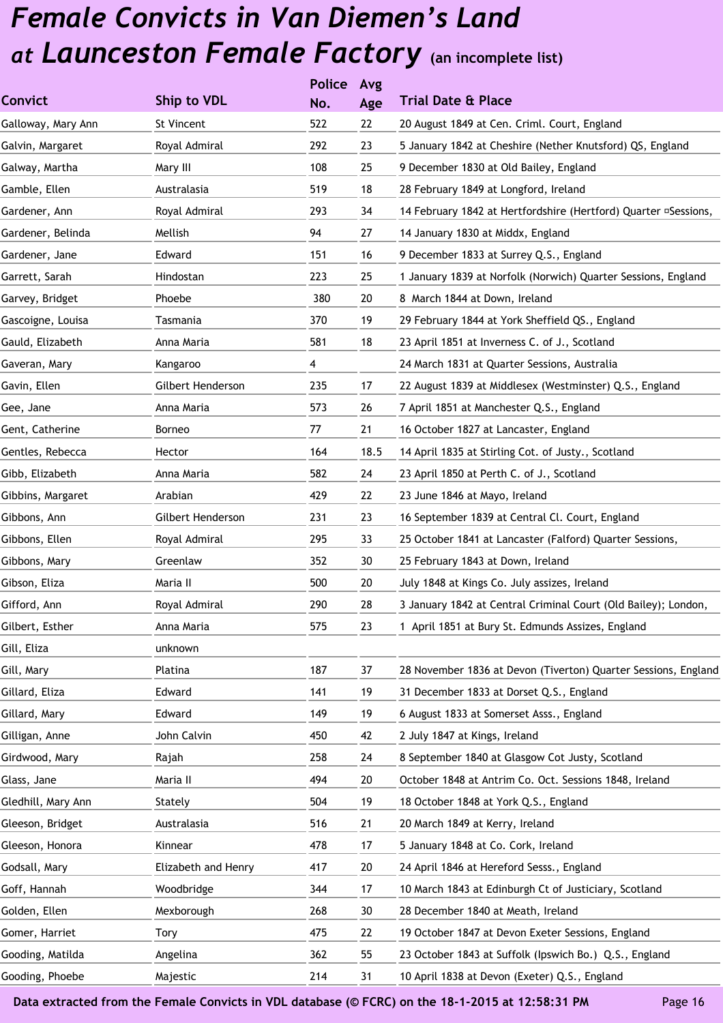|                     | <b>Police</b> | Avg  |                                                                 |
|---------------------|---------------|------|-----------------------------------------------------------------|
| Ship to VDL         | No.           | Age  | <b>Trial Date &amp; Place</b>                                   |
| <b>St Vincent</b>   | 522           | 22   | 20 August 1849 at Cen. Criml. Court, England                    |
| Royal Admiral       | 292           | 23   | 5 January 1842 at Cheshire (Nether Knutsford) QS, England       |
| Mary III            | 108           | 25   | 9 December 1830 at Old Bailey, England                          |
| Australasia         | 519           | 18   | 28 February 1849 at Longford, Ireland                           |
| Royal Admiral       | 293           | 34   | 14 February 1842 at Hertfordshire (Hertford) Quarter ¤Sessions, |
| Mellish             | 94            | 27   | 14 January 1830 at Middx, England                               |
| Edward              | 151           | 16   | 9 December 1833 at Surrey Q.S., England                         |
| Hindostan           | 223           | 25   | 1 January 1839 at Norfolk (Norwich) Quarter Sessions, England   |
| Phoebe              | 380           | 20   | 8 March 1844 at Down, Ireland                                   |
| Tasmania            | 370           | 19   | 29 February 1844 at York Sheffield QS., England                 |
| Anna Maria          | 581           | 18   | 23 April 1851 at Inverness C. of J., Scotland                   |
| Kangaroo            | 4             |      | 24 March 1831 at Quarter Sessions, Australia                    |
| Gilbert Henderson   | 235           | 17   | 22 August 1839 at Middlesex (Westminster) Q.S., England         |
| Anna Maria          | 573           | 26   | 7 April 1851 at Manchester Q.S., England                        |
| Borneo              | 77            | 21   | 16 October 1827 at Lancaster, England                           |
| Hector              | 164           | 18.5 | 14 April 1835 at Stirling Cot. of Justy., Scotland              |
| Anna Maria          | 582           | 24   | 23 April 1850 at Perth C. of J., Scotland                       |
| Arabian             | 429           | 22   | 23 June 1846 at Mayo, Ireland                                   |
| Gilbert Henderson   | 231           | 23   | 16 September 1839 at Central Cl. Court, England                 |
| Royal Admiral       | 295           | 33   | 25 October 1841 at Lancaster (Falford) Quarter Sessions,        |
| Greenlaw            | 352           | 30   | 25 February 1843 at Down, Ireland                               |
| Maria II            | 500           | 20   | July 1848 at Kings Co. July assizes, Ireland                    |
| Royal Admiral       | 290           | 28   | 3 January 1842 at Central Criminal Court (Old Bailey); London,  |
| Anna Maria          | 575           | 23   | 1 April 1851 at Bury St. Edmunds Assizes, England               |
| unknown             |               |      |                                                                 |
| Platina             | 187           | 37   | 28 November 1836 at Devon (Tiverton) Quarter Sessions, England  |
| Edward              | 141           | 19   | 31 December 1833 at Dorset Q.S., England                        |
| Edward              | 149           | 19   | 6 August 1833 at Somerset Asss., England                        |
| John Calvin         | 450           | 42   | 2 July 1847 at Kings, Ireland                                   |
| Rajah               | 258           | 24   | 8 September 1840 at Glasgow Cot Justy, Scotland                 |
| Maria II            | 494           | 20   | October 1848 at Antrim Co. Oct. Sessions 1848, Ireland          |
| Stately             | 504           | 19   | 18 October 1848 at York Q.S., England                           |
| Australasia         | 516           | 21   | 20 March 1849 at Kerry, Ireland                                 |
| Kinnear             | 478           | 17   | 5 January 1848 at Co. Cork, Ireland                             |
| Elizabeth and Henry | 417           | 20   | 24 April 1846 at Hereford Sesss., England                       |
| Woodbridge          | 344           | 17   | 10 March 1843 at Edinburgh Ct of Justiciary, Scotland           |
| Mexborough          | 268           | 30   | 28 December 1840 at Meath, Ireland                              |
| Tory                | 475           | 22   | 19 October 1847 at Devon Exeter Sessions, England               |
| Angelina            | 362           | 55   | 23 October 1843 at Suffolk (Ipswich Bo.) Q.S., England          |
| Majestic            | 214           | 31   | 10 April 1838 at Devon (Exeter) Q.S., England                   |
|                     |               |      |                                                                 |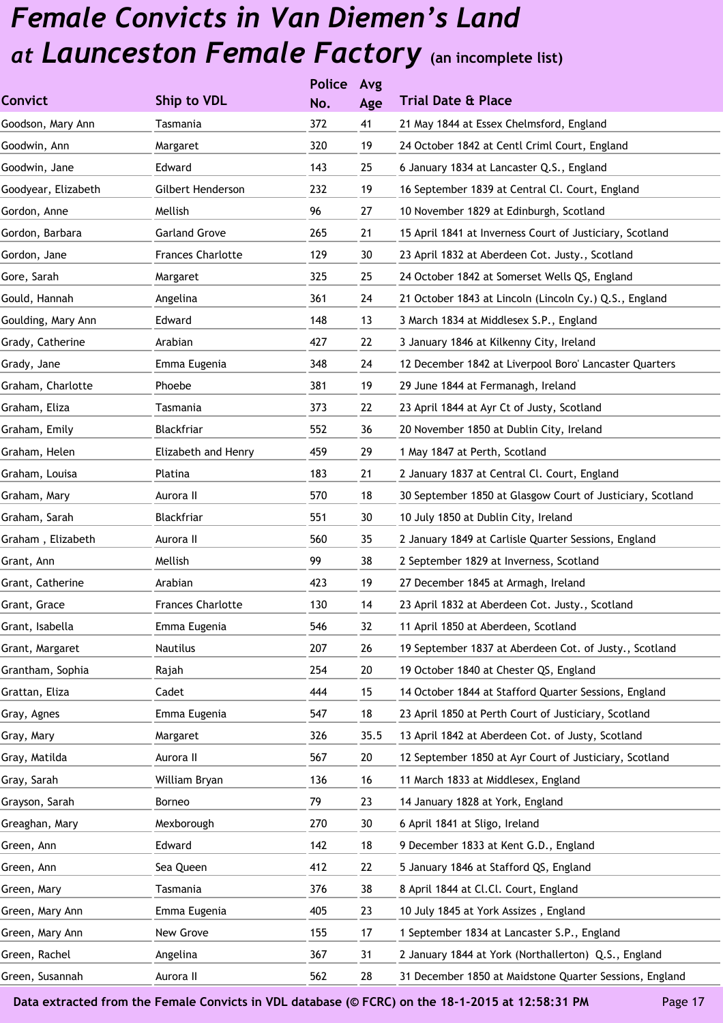|                     |                          | <b>Police</b> | Avg  |                                                            |
|---------------------|--------------------------|---------------|------|------------------------------------------------------------|
| <b>Convict</b>      | Ship to VDL              | No.           | Age  | <b>Trial Date &amp; Place</b>                              |
| Goodson, Mary Ann   | Tasmania                 | 372           | 41   | 21 May 1844 at Essex Chelmsford, England                   |
| Goodwin, Ann        | Margaret                 | 320           | 19   | 24 October 1842 at Centl Criml Court, England              |
| Goodwin, Jane       | Edward                   | 143           | 25   | 6 January 1834 at Lancaster Q.S., England                  |
| Goodyear, Elizabeth | Gilbert Henderson        | 232           | 19   | 16 September 1839 at Central Cl. Court, England            |
| Gordon, Anne        | Mellish                  | 96            | 27   | 10 November 1829 at Edinburgh, Scotland                    |
| Gordon, Barbara     | <b>Garland Grove</b>     | 265           | 21   | 15 April 1841 at Inverness Court of Justiciary, Scotland   |
| Gordon, Jane        | <b>Frances Charlotte</b> | 129           | 30   | 23 April 1832 at Aberdeen Cot. Justy., Scotland            |
| Gore, Sarah         | Margaret                 | 325           | 25   | 24 October 1842 at Somerset Wells QS, England              |
| Gould, Hannah       | Angelina                 | 361           | 24   | 21 October 1843 at Lincoln (Lincoln Cy.) Q.S., England     |
| Goulding, Mary Ann  | Edward                   | 148           | 13   | 3 March 1834 at Middlesex S.P., England                    |
| Grady, Catherine    | Arabian                  | 427           | 22   | 3 January 1846 at Kilkenny City, Ireland                   |
| Grady, Jane         | Emma Eugenia             | 348           | 24   | 12 December 1842 at Liverpool Boro' Lancaster Quarters     |
| Graham, Charlotte   | Phoebe                   | 381           | 19   | 29 June 1844 at Fermanagh, Ireland                         |
| Graham, Eliza       | Tasmania                 | 373           | 22   | 23 April 1844 at Ayr Ct of Justy, Scotland                 |
| Graham, Emily       | Blackfriar               | 552           | 36   | 20 November 1850 at Dublin City, Ireland                   |
| Graham, Helen       | Elizabeth and Henry      | 459           | 29   | 1 May 1847 at Perth, Scotland                              |
| Graham, Louisa      | Platina                  | 183           | 21   | 2 January 1837 at Central Cl. Court, England               |
| Graham, Mary        | Aurora II                | 570           | 18   | 30 September 1850 at Glasgow Court of Justiciary, Scotland |
| Graham, Sarah       | Blackfriar               | 551           | 30   | 10 July 1850 at Dublin City, Ireland                       |
| Graham, Elizabeth   | Aurora II                | 560           | 35   | 2 January 1849 at Carlisle Quarter Sessions, England       |
| Grant, Ann          | Mellish                  | 99            | 38   | 2 September 1829 at Inverness, Scotland                    |
| Grant, Catherine    | Arabian                  | 423           | 19   | 27 December 1845 at Armagh, Ireland                        |
| Grant, Grace        | <b>Frances Charlotte</b> | 130           | 14   | 23 April 1832 at Aberdeen Cot. Justy., Scotland            |
| Grant, Isabella     | Emma Eugenia             | 546           | 32   | 11 April 1850 at Aberdeen, Scotland                        |
| Grant, Margaret     | Nautilus                 | 207           | 26   | 19 September 1837 at Aberdeen Cot. of Justy., Scotland     |
| Grantham, Sophia    | Rajah                    | 254           | 20   | 19 October 1840 at Chester QS, England                     |
| Grattan, Eliza      | Cadet                    | 444           | 15   | 14 October 1844 at Stafford Quarter Sessions, England      |
| Gray, Agnes         | Emma Eugenia             | 547           | 18   | 23 April 1850 at Perth Court of Justiciary, Scotland       |
| Gray, Mary          | Margaret                 | 326           | 35.5 | 13 April 1842 at Aberdeen Cot. of Justy, Scotland          |
| Gray, Matilda       | Aurora II                | 567           | 20   | 12 September 1850 at Ayr Court of Justiciary, Scotland     |
| Gray, Sarah         | William Bryan            | 136           | 16   | 11 March 1833 at Middlesex, England                        |
| Grayson, Sarah      | Borneo                   | 79            | 23   | 14 January 1828 at York, England                           |
| Greaghan, Mary      | Mexborough               | 270           | 30   | 6 April 1841 at Sligo, Ireland                             |
| Green, Ann          | Edward                   | 142           | 18   | 9 December 1833 at Kent G.D., England                      |
| Green, Ann          | Sea Queen                | 412           | 22   | 5 January 1846 at Stafford QS, England                     |
| Green, Mary         | Tasmania                 | 376           | 38   | 8 April 1844 at Cl.Cl. Court, England                      |
| Green, Mary Ann     | Emma Eugenia             | 405           | 23   | 10 July 1845 at York Assizes, England                      |
| Green, Mary Ann     | New Grove                | 155           | 17   | 1 September 1834 at Lancaster S.P., England                |
| Green, Rachel       | Angelina                 | 367           | 31   | 2 January 1844 at York (Northallerton) Q.S., England       |
| Green, Susannah     | Aurora II                | 562           | 28   | 31 December 1850 at Maidstone Quarter Sessions, England    |
|                     |                          |               |      |                                                            |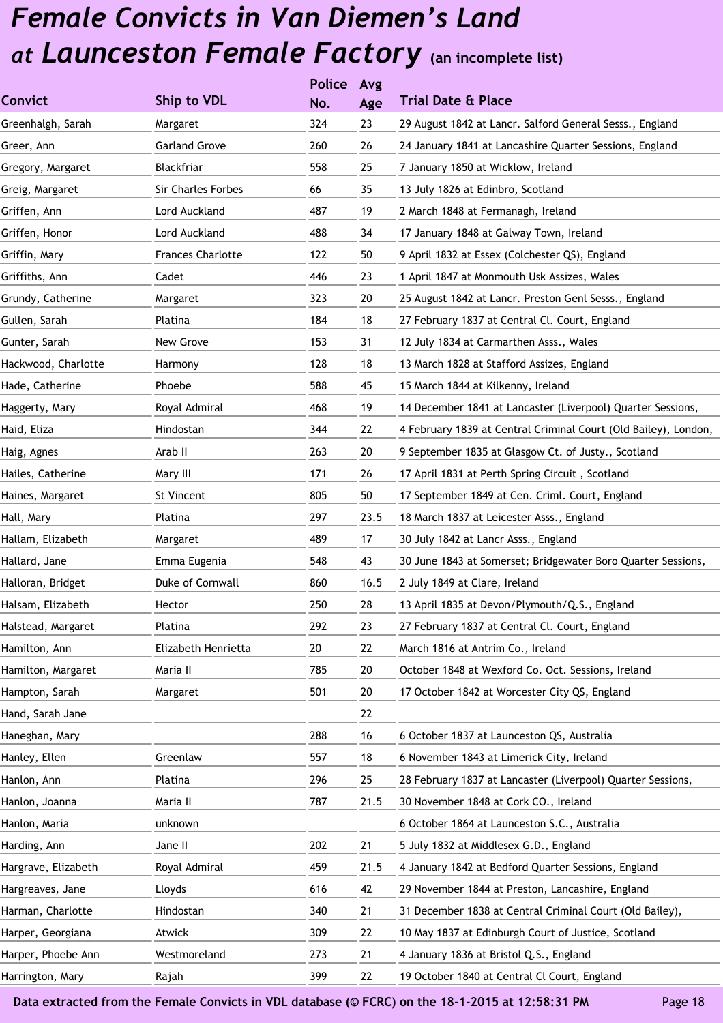|                     |                           | <b>Police</b> | Avg  |                                                                 |
|---------------------|---------------------------|---------------|------|-----------------------------------------------------------------|
| <b>Convict</b>      | Ship to VDL               | No.           | Age  | <b>Trial Date &amp; Place</b>                                   |
| Greenhalgh, Sarah   | Margaret                  | 324           | 23   | 29 August 1842 at Lancr. Salford General Sesss., England        |
| Greer, Ann          | <b>Garland Grove</b>      | 260           | 26   | 24 January 1841 at Lancashire Quarter Sessions, England         |
| Gregory, Margaret   | Blackfriar                | 558           | 25   | 7 January 1850 at Wicklow, Ireland                              |
| Greig, Margaret     | <b>Sir Charles Forbes</b> | 66            | 35   | 13 July 1826 at Edinbro, Scotland                               |
| Griffen, Ann        | Lord Auckland             | 487           | 19   | 2 March 1848 at Fermanagh, Ireland                              |
| Griffen, Honor      | Lord Auckland             | 488           | 34   | 17 January 1848 at Galway Town, Ireland                         |
| Griffin, Mary       | <b>Frances Charlotte</b>  | 122           | 50   | 9 April 1832 at Essex (Colchester QS), England                  |
| Griffiths, Ann      | Cadet                     | 446           | 23   | 1 April 1847 at Monmouth Usk Assizes, Wales                     |
| Grundy, Catherine   | Margaret                  | 323           | 20   | 25 August 1842 at Lancr. Preston Genl Sesss., England           |
| Gullen, Sarah       | Platina                   | 184           | 18   | 27 February 1837 at Central Cl. Court, England                  |
| Gunter, Sarah       | New Grove                 | 153           | 31   | 12 July 1834 at Carmarthen Asss., Wales                         |
| Hackwood, Charlotte | Harmony                   | 128           | 18   | 13 March 1828 at Stafford Assizes, England                      |
| Hade, Catherine     | Phoebe                    | 588           | 45   | 15 March 1844 at Kilkenny, Ireland                              |
| Haggerty, Mary      | Royal Admiral             | 468           | 19   | 14 December 1841 at Lancaster (Liverpool) Quarter Sessions,     |
| Haid, Eliza         | Hindostan                 | 344           | 22   | 4 February 1839 at Central Criminal Court (Old Bailey), London, |
| Haig, Agnes         | Arab II                   | 263           | 20   | 9 September 1835 at Glasgow Ct. of Justy., Scotland             |
| Hailes, Catherine   | Mary III                  | 171           | 26   | 17 April 1831 at Perth Spring Circuit, Scotland                 |
| Haines, Margaret    | St Vincent                | 805           | 50   | 17 September 1849 at Cen. Criml. Court, England                 |
| Hall, Mary          | Platina                   | 297           | 23.5 | 18 March 1837 at Leicester Asss., England                       |
| Hallam, Elizabeth   | Margaret                  | 489           | 17   | 30 July 1842 at Lancr Asss., England                            |
| Hallard, Jane       | Emma Eugenia              | 548           | 43   | 30 June 1843 at Somerset; Bridgewater Boro Quarter Sessions,    |
| Halloran, Bridget   | Duke of Cornwall          | 860           | 16.5 | 2 July 1849 at Clare, Ireland                                   |
| Halsam, Elizabeth   | Hector                    | 250           | 28   | 13 April 1835 at Devon/Plymouth/Q.S., England                   |
| Halstead, Margaret  | Platina                   | 292           | 23   | 27 February 1837 at Central Cl. Court, England                  |
| Hamilton, Ann       | Elizabeth Henrietta       | 20            | 22   | March 1816 at Antrim Co., Ireland                               |
| Hamilton, Margaret  | Maria II                  | 785           | 20   | October 1848 at Wexford Co. Oct. Sessions, Ireland              |
| Hampton, Sarah      | Margaret                  | 501           | 20   | 17 October 1842 at Worcester City QS, England                   |
| Hand, Sarah Jane    |                           |               | 22   |                                                                 |
| Haneghan, Mary      |                           | 288           | 16   | 6 October 1837 at Launceston QS, Australia                      |
| Hanley, Ellen       | Greenlaw                  | 557           | 18   | 6 November 1843 at Limerick City, Ireland                       |
| Hanlon, Ann         | Platina                   | 296           | 25   | 28 February 1837 at Lancaster (Liverpool) Quarter Sessions,     |
| Hanlon, Joanna      | Maria II                  | 787           | 21.5 | 30 November 1848 at Cork CO., Ireland                           |
| Hanlon, Maria       | unknown                   |               |      | 6 October 1864 at Launceston S.C., Australia                    |
| Harding, Ann        | Jane II                   | 202           | 21   | 5 July 1832 at Middlesex G.D., England                          |
| Hargrave, Elizabeth | Royal Admiral             | 459           | 21.5 | 4 January 1842 at Bedford Quarter Sessions, England             |
| Hargreaves, Jane    | Lloyds                    | 616           | 42   | 29 November 1844 at Preston, Lancashire, England                |
| Harman, Charlotte   | Hindostan                 | 340           | 21   | 31 December 1838 at Central Criminal Court (Old Bailey),        |
| Harper, Georgiana   | Atwick                    | 309           | 22   | 10 May 1837 at Edinburgh Court of Justice, Scotland             |
| Harper, Phoebe Ann  | Westmoreland              | 273           | 21   | 4 January 1836 at Bristol Q.S., England                         |
| Harrington, Mary    | Rajah                     | 399           | 22   | 19 October 1840 at Central Cl Court, England                    |
|                     |                           |               |      |                                                                 |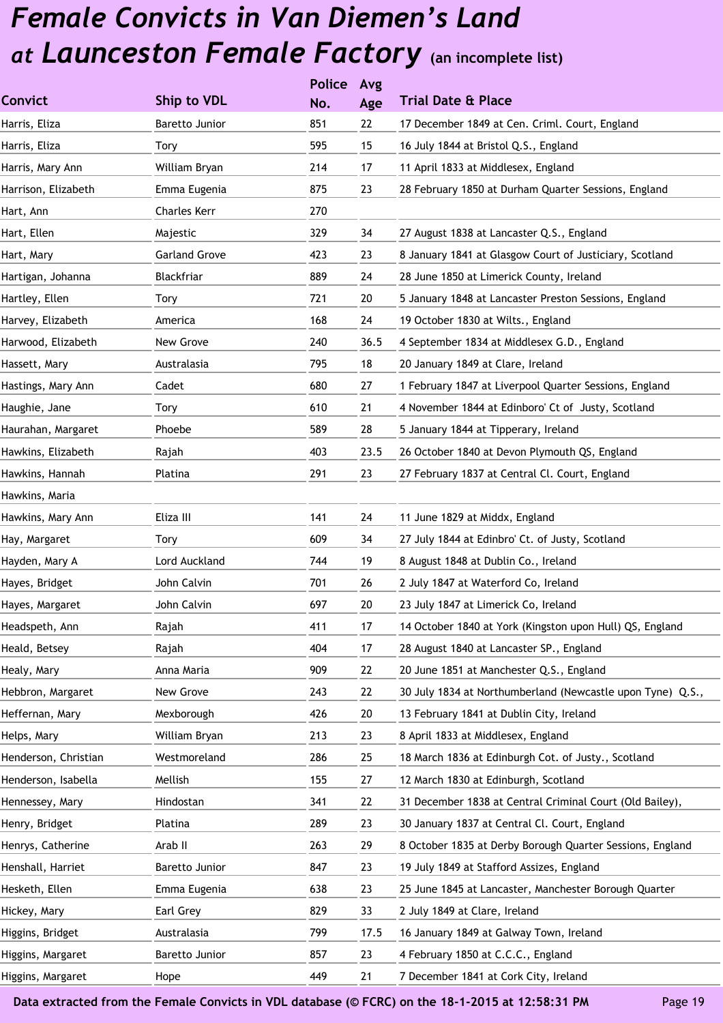|                      |                      | <b>Police</b> | Avg  |                                                            |
|----------------------|----------------------|---------------|------|------------------------------------------------------------|
| Convict              | Ship to VDL          | No.           | Age  | <b>Trial Date &amp; Place</b>                              |
| Harris, Eliza        | Baretto Junior       | 851           | 22   | 17 December 1849 at Cen. Criml. Court, England             |
| Harris, Eliza        | Tory                 | 595           | 15   | 16 July 1844 at Bristol Q.S., England                      |
| Harris, Mary Ann     | William Bryan        | 214           | 17   | 11 April 1833 at Middlesex, England                        |
| Harrison, Elizabeth  | Emma Eugenia         | 875           | 23   | 28 February 1850 at Durham Quarter Sessions, England       |
| Hart, Ann            | <b>Charles Kerr</b>  | 270           |      |                                                            |
| Hart, Ellen          | Majestic             | 329           | 34   | 27 August 1838 at Lancaster Q.S., England                  |
| Hart, Mary           | <b>Garland Grove</b> | 423           | 23   | 8 January 1841 at Glasgow Court of Justiciary, Scotland    |
| Hartigan, Johanna    | Blackfriar           | 889           | 24   | 28 June 1850 at Limerick County, Ireland                   |
| Hartley, Ellen       | Tory                 | 721           | 20   | 5 January 1848 at Lancaster Preston Sessions, England      |
| Harvey, Elizabeth    | America              | 168           | 24   | 19 October 1830 at Wilts., England                         |
| Harwood, Elizabeth   | New Grove            | 240           | 36.5 | 4 September 1834 at Middlesex G.D., England                |
| Hassett, Mary        | Australasia          | 795           | 18   | 20 January 1849 at Clare, Ireland                          |
| Hastings, Mary Ann   | Cadet                | 680           | 27   | 1 February 1847 at Liverpool Quarter Sessions, England     |
| Haughie, Jane        | Tory                 | 610           | 21   | 4 November 1844 at Edinboro' Ct of Justy, Scotland         |
| Haurahan, Margaret   | Phoebe               | 589           | 28   | 5 January 1844 at Tipperary, Ireland                       |
| Hawkins, Elizabeth   | Rajah                | 403           | 23.5 | 26 October 1840 at Devon Plymouth QS, England              |
| Hawkins, Hannah      | Platina              | 291           | 23   | 27 February 1837 at Central Cl. Court, England             |
| Hawkins, Maria       |                      |               |      |                                                            |
| Hawkins, Mary Ann    | Eliza III            | 141           | 24   | 11 June 1829 at Middx, England                             |
| Hay, Margaret        | Tory                 | 609           | 34   | 27 July 1844 at Edinbro' Ct. of Justy, Scotland            |
| Hayden, Mary A       | Lord Auckland        | 744           | 19   | 8 August 1848 at Dublin Co., Ireland                       |
| Hayes, Bridget       | John Calvin          | 701           | 26   | 2 July 1847 at Waterford Co, Ireland                       |
| Hayes, Margaret      | John Calvin          | 697           | 20   | 23 July 1847 at Limerick Co, Ireland                       |
| Headspeth, Ann       | Rajah                | 411           | 17   | 14 October 1840 at York (Kingston upon Hull) QS, England   |
| Heald, Betsey        | Rajah                | 404           | 17   | 28 August 1840 at Lancaster SP., England                   |
| Healy, Mary          | Anna Maria           | 909           | 22   | 20 June 1851 at Manchester Q.S., England                   |
| Hebbron, Margaret    | New Grove            | 243           | 22   | 30 July 1834 at Northumberland (Newcastle upon Tyne) Q.S., |
| Heffernan, Mary      | Mexborough           | 426           | 20   | 13 February 1841 at Dublin City, Ireland                   |
| Helps, Mary          | William Bryan        | 213           | 23   | 8 April 1833 at Middlesex, England                         |
| Henderson, Christian | Westmoreland         | 286           | 25   | 18 March 1836 at Edinburgh Cot. of Justy., Scotland        |
| Henderson, Isabella  | Mellish              | 155           | 27   | 12 March 1830 at Edinburgh, Scotland                       |
| Hennessey, Mary      | Hindostan            | 341           | 22   | 31 December 1838 at Central Criminal Court (Old Bailey),   |
| Henry, Bridget       | Platina              | 289           | 23   | 30 January 1837 at Central Cl. Court, England              |
| Henrys, Catherine    | Arab II              | 263           | 29   | 8 October 1835 at Derby Borough Quarter Sessions, England  |
| Henshall, Harriet    | Baretto Junior       | 847           | 23   | 19 July 1849 at Stafford Assizes, England                  |
| Hesketh, Ellen       | Emma Eugenia         | 638           | 23   | 25 June 1845 at Lancaster, Manchester Borough Quarter      |
| Hickey, Mary         | Earl Grey            | 829           | 33   | 2 July 1849 at Clare, Ireland                              |
| Higgins, Bridget     | Australasia          | 799           | 17.5 | 16 January 1849 at Galway Town, Ireland                    |
| Higgins, Margaret    | Baretto Junior       | 857           | 23   | 4 February 1850 at C.C.C., England                         |
| Higgins, Margaret    | Hope                 | 449           | 21   | 7 December 1841 at Cork City, Ireland                      |
|                      |                      |               |      |                                                            |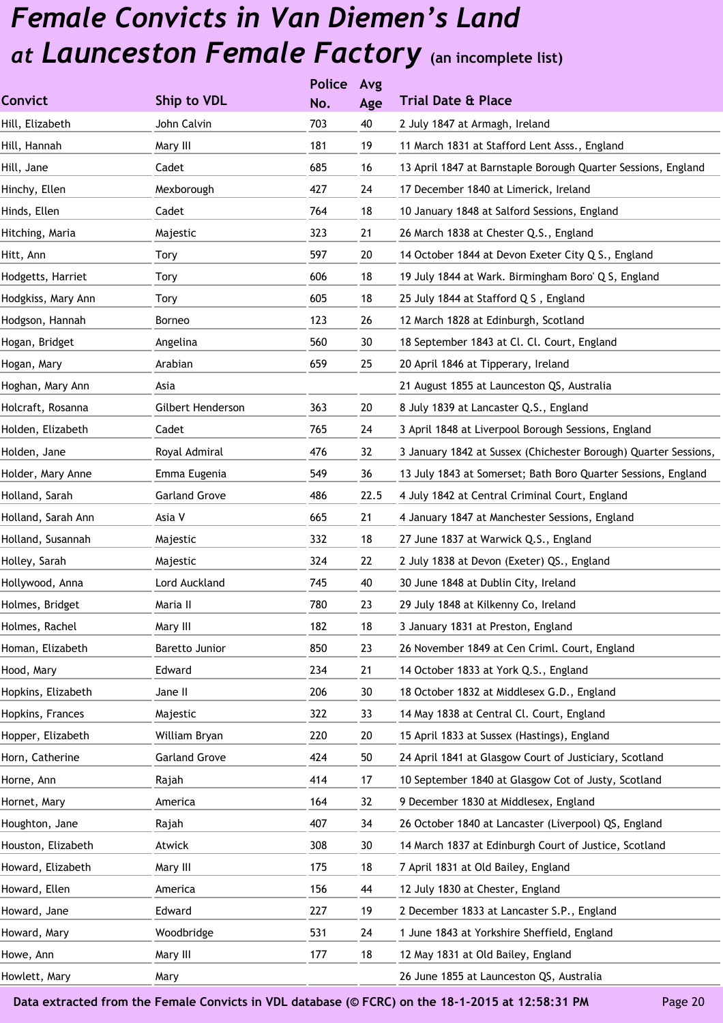|                    |                      | <b>Police</b> | Avg  |                                                                 |
|--------------------|----------------------|---------------|------|-----------------------------------------------------------------|
| <b>Convict</b>     | Ship to VDL          | No.           | Age  | <b>Trial Date &amp; Place</b>                                   |
| Hill, Elizabeth    | John Calvin          | 703           | 40   | 2 July 1847 at Armagh, Ireland                                  |
| Hill, Hannah       | Mary III             | 181           | 19   | 11 March 1831 at Stafford Lent Asss., England                   |
| Hill, Jane         | Cadet                | 685           | 16   | 13 April 1847 at Barnstaple Borough Quarter Sessions, England   |
| Hinchy, Ellen      | Mexborough           | 427           | 24   | 17 December 1840 at Limerick, Ireland                           |
| Hinds, Ellen       | Cadet                | 764           | 18   | 10 January 1848 at Salford Sessions, England                    |
| Hitching, Maria    | Majestic             | 323           | 21   | 26 March 1838 at Chester Q.S., England                          |
| Hitt, Ann          | Tory                 | 597           | 20   | 14 October 1844 at Devon Exeter City Q S., England              |
| Hodgetts, Harriet  | Tory                 | 606           | 18   | 19 July 1844 at Wark. Birmingham Boro' Q S, England             |
| Hodgkiss, Mary Ann | Tory                 | 605           | 18   | 25 July 1844 at Stafford Q S, England                           |
| Hodgson, Hannah    | Borneo               | 123           | 26   | 12 March 1828 at Edinburgh, Scotland                            |
| Hogan, Bridget     | Angelina             | 560           | 30   | 18 September 1843 at Cl. Cl. Court, England                     |
| Hogan, Mary        | Arabian              | 659           | 25   | 20 April 1846 at Tipperary, Ireland                             |
| Hoghan, Mary Ann   | Asia                 |               |      | 21 August 1855 at Launceston QS, Australia                      |
| Holcraft, Rosanna  | Gilbert Henderson    | 363           | 20   | 8 July 1839 at Lancaster Q.S., England                          |
| Holden, Elizabeth  | Cadet                | 765           | 24   | 3 April 1848 at Liverpool Borough Sessions, England             |
| Holden, Jane       | Royal Admiral        | 476           | 32   | 3 January 1842 at Sussex (Chichester Borough) Quarter Sessions, |
| Holder, Mary Anne  | Emma Eugenia         | 549           | 36   | 13 July 1843 at Somerset; Bath Boro Quarter Sessions, England   |
| Holland, Sarah     | <b>Garland Grove</b> | 486           | 22.5 | 4 July 1842 at Central Criminal Court, England                  |
| Holland, Sarah Ann | Asia V               | 665           | 21   | 4 January 1847 at Manchester Sessions, England                  |
| Holland, Susannah  | Majestic             | 332           | 18   | 27 June 1837 at Warwick Q.S., England                           |
| Holley, Sarah      | Majestic             | 324           | 22   | 2 July 1838 at Devon (Exeter) QS., England                      |
| Hollywood, Anna    | Lord Auckland        | 745           | 40   | 30 June 1848 at Dublin City, Ireland                            |
| Holmes, Bridget    | Maria II             | 780           | 23   | 29 July 1848 at Kilkenny Co, Ireland                            |
| Holmes, Rachel     | Mary III             | 182           | 18   | 3 January 1831 at Preston, England                              |
| Homan, Elizabeth   | Baretto Junior       | 850           | 23   | 26 November 1849 at Cen Criml. Court, England                   |
| Hood, Mary         | Edward               | 234           | 21   | 14 October 1833 at York Q.S., England                           |
| Hopkins, Elizabeth | Jane II              | 206           | 30   | 18 October 1832 at Middlesex G.D., England                      |
| Hopkins, Frances   | Majestic             | 322           | 33   | 14 May 1838 at Central Cl. Court, England                       |
| Hopper, Elizabeth  | William Bryan        | 220           | 20   | 15 April 1833 at Sussex (Hastings), England                     |
| Horn, Catherine    | <b>Garland Grove</b> | 424           | 50   | 24 April 1841 at Glasgow Court of Justiciary, Scotland          |
| Horne, Ann         | Rajah                | 414           | 17   | 10 September 1840 at Glasgow Cot of Justy, Scotland             |
| Hornet, Mary       | America              | 164           | 32   | 9 December 1830 at Middlesex, England                           |
| Houghton, Jane     | Rajah                | 407           | 34   | 26 October 1840 at Lancaster (Liverpool) QS, England            |
| Houston, Elizabeth | Atwick               | 308           | 30   | 14 March 1837 at Edinburgh Court of Justice, Scotland           |
| Howard, Elizabeth  | Mary III             | 175           | 18   | 7 April 1831 at Old Bailey, England                             |
| Howard, Ellen      | America              | 156           | 44   | 12 July 1830 at Chester, England                                |
| Howard, Jane       | Edward               | 227           | 19   | 2 December 1833 at Lancaster S.P., England                      |
| Howard, Mary       | Woodbridge           | 531           | 24   | 1 June 1843 at Yorkshire Sheffield, England                     |
| Howe, Ann          | Mary III             | 177           | 18   | 12 May 1831 at Old Bailey, England                              |
| Howlett, Mary      | Mary                 |               |      | 26 June 1855 at Launceston QS, Australia                        |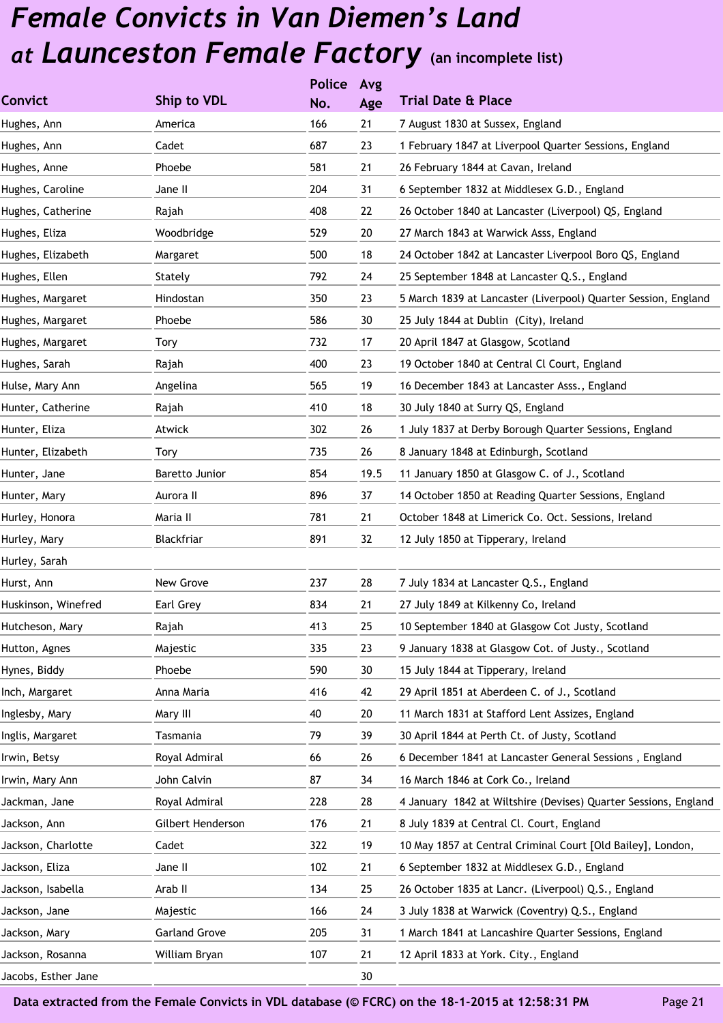|                     |                      | <b>Police</b> | Avg  |                                                                 |
|---------------------|----------------------|---------------|------|-----------------------------------------------------------------|
| <b>Convict</b>      | Ship to VDL          | No.           | Age  | <b>Trial Date &amp; Place</b>                                   |
| Hughes, Ann         | America              | 166           | 21   | 7 August 1830 at Sussex, England                                |
| Hughes, Ann         | Cadet                | 687           | 23   | 1 February 1847 at Liverpool Quarter Sessions, England          |
| Hughes, Anne        | Phoebe               | 581           | 21   | 26 February 1844 at Cavan, Ireland                              |
| Hughes, Caroline    | Jane II              | 204           | 31   | 6 September 1832 at Middlesex G.D., England                     |
| Hughes, Catherine   | Rajah                | 408           | 22   | 26 October 1840 at Lancaster (Liverpool) QS, England            |
| Hughes, Eliza       | Woodbridge           | 529           | 20   | 27 March 1843 at Warwick Asss, England                          |
| Hughes, Elizabeth   | Margaret             | 500           | 18   | 24 October 1842 at Lancaster Liverpool Boro QS, England         |
| Hughes, Ellen       | Stately              | 792           | 24   | 25 September 1848 at Lancaster Q.S., England                    |
| Hughes, Margaret    | Hindostan            | 350           | 23   | 5 March 1839 at Lancaster (Liverpool) Quarter Session, England  |
| Hughes, Margaret    | Phoebe               | 586           | 30   | 25 July 1844 at Dublin (City), Ireland                          |
| Hughes, Margaret    | Tory                 | 732           | 17   | 20 April 1847 at Glasgow, Scotland                              |
| Hughes, Sarah       | Rajah                | 400           | 23   | 19 October 1840 at Central Cl Court, England                    |
| Hulse, Mary Ann     | Angelina             | 565           | 19   | 16 December 1843 at Lancaster Asss., England                    |
| Hunter, Catherine   | Rajah                | 410           | 18   | 30 July 1840 at Surry QS, England                               |
| Hunter, Eliza       | Atwick               | 302           | 26   | 1 July 1837 at Derby Borough Quarter Sessions, England          |
| Hunter, Elizabeth   | Tory                 | 735           | 26   | 8 January 1848 at Edinburgh, Scotland                           |
| Hunter, Jane        | Baretto Junior       | 854           | 19.5 | 11 January 1850 at Glasgow C. of J., Scotland                   |
| Hunter, Mary        | Aurora II            | 896           | 37   | 14 October 1850 at Reading Quarter Sessions, England            |
| Hurley, Honora      | Maria II             | 781           | 21   | October 1848 at Limerick Co. Oct. Sessions, Ireland             |
| Hurley, Mary        | Blackfriar           | 891           | 32   | 12 July 1850 at Tipperary, Ireland                              |
| Hurley, Sarah       |                      |               |      |                                                                 |
| Hurst, Ann          | New Grove            | 237           | 28   | 7 July 1834 at Lancaster Q.S., England                          |
| Huskinson, Winefred | Earl Grey            | 834           | 21   | 27 July 1849 at Kilkenny Co, Ireland                            |
| Hutcheson, Mary     | Rajah                | 413           | 25   | 10 September 1840 at Glasgow Cot Justy, Scotland                |
| Hutton, Agnes       | Majestic             | 335           | 23   | 9 January 1838 at Glasgow Cot. of Justy., Scotland              |
| Hynes, Biddy        | Phoebe               | 590           | 30   | 15 July 1844 at Tipperary, Ireland                              |
| Inch, Margaret      | Anna Maria           | 416           | 42   | 29 April 1851 at Aberdeen C. of J., Scotland                    |
| Inglesby, Mary      | Mary III             | 40            | 20   | 11 March 1831 at Stafford Lent Assizes, England                 |
| Inglis, Margaret    | Tasmania             | 79            | 39   | 30 April 1844 at Perth Ct. of Justy, Scotland                   |
| Irwin, Betsy        | Royal Admiral        | 66            | 26   | 6 December 1841 at Lancaster General Sessions, England          |
| Irwin, Mary Ann     | John Calvin          | 87            | 34   | 16 March 1846 at Cork Co., Ireland                              |
| Jackman, Jane       | Royal Admiral        | 228           | 28   | 4 January 1842 at Wiltshire (Devises) Quarter Sessions, England |
| Jackson, Ann        | Gilbert Henderson    | 176           | 21   | 8 July 1839 at Central Cl. Court, England                       |
| Jackson, Charlotte  | Cadet                | 322           | 19   | 10 May 1857 at Central Criminal Court [Old Bailey], London,     |
| Jackson, Eliza      | Jane II              | 102           | 21   | 6 September 1832 at Middlesex G.D., England                     |
| Jackson, Isabella   | Arab II              | 134           | 25   | 26 October 1835 at Lancr. (Liverpool) Q.S., England             |
| Jackson, Jane       | Majestic             | 166           | 24   | 3 July 1838 at Warwick (Coventry) Q.S., England                 |
| Jackson, Mary       | <b>Garland Grove</b> | 205           | 31   | 1 March 1841 at Lancashire Quarter Sessions, England            |
| Jackson, Rosanna    | William Bryan        | 107           | 21   | 12 April 1833 at York. City., England                           |
| Jacobs, Esther Jane |                      |               | 30   |                                                                 |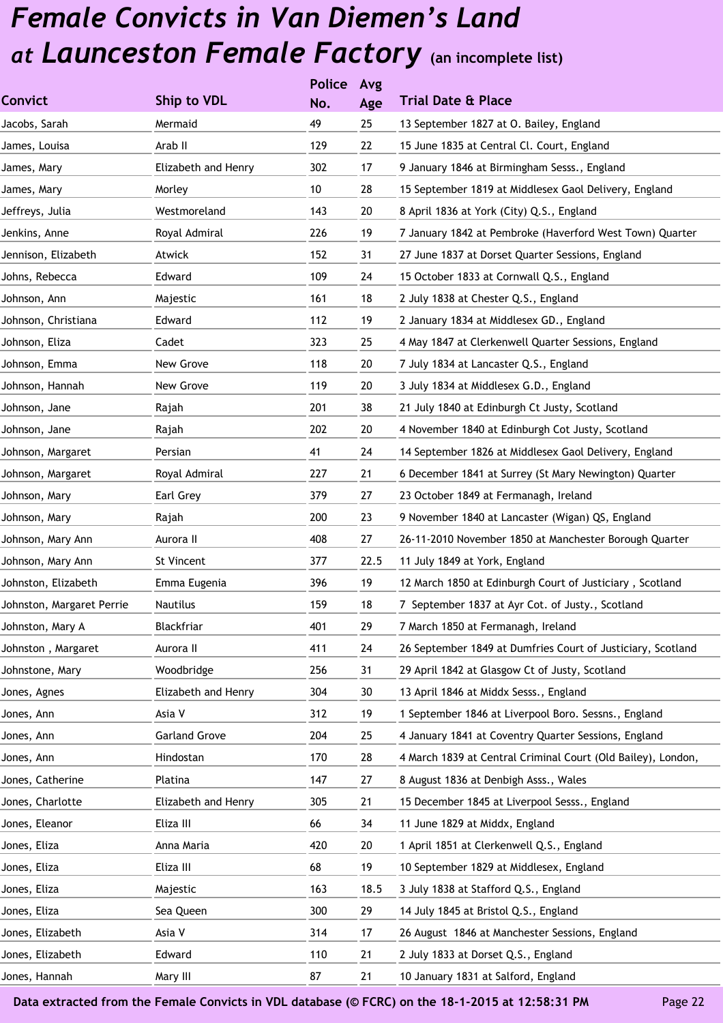|                           |                      | <b>Police</b> | Avg  |                                                              |
|---------------------------|----------------------|---------------|------|--------------------------------------------------------------|
| <b>Convict</b>            | Ship to VDL          | No.           | Age  | <b>Trial Date &amp; Place</b>                                |
| Jacobs, Sarah             | Mermaid              | 49            | 25   | 13 September 1827 at O. Bailey, England                      |
| James, Louisa             | Arab II              | 129           | 22   | 15 June 1835 at Central Cl. Court, England                   |
| James, Mary               | Elizabeth and Henry  | 302           | 17   | 9 January 1846 at Birmingham Sesss., England                 |
| James, Mary               | Morley               | 10            | 28   | 15 September 1819 at Middlesex Gaol Delivery, England        |
| Jeffreys, Julia           | Westmoreland         | 143           | 20   | 8 April 1836 at York (City) Q.S., England                    |
| Jenkins, Anne             | Royal Admiral        | 226           | 19   | 7 January 1842 at Pembroke (Haverford West Town) Quarter     |
| Jennison, Elizabeth       | Atwick               | 152           | 31   | 27 June 1837 at Dorset Quarter Sessions, England             |
| Johns, Rebecca            | Edward               | 109           | 24   | 15 October 1833 at Cornwall Q.S., England                    |
| Johnson, Ann              | Majestic             | 161           | 18   | 2 July 1838 at Chester Q.S., England                         |
| Johnson, Christiana       | Edward               | 112           | 19   | 2 January 1834 at Middlesex GD., England                     |
| Johnson, Eliza            | Cadet                | 323           | 25   | 4 May 1847 at Clerkenwell Quarter Sessions, England          |
| Johnson, Emma             | New Grove            | 118           | 20   | 7 July 1834 at Lancaster Q.S., England                       |
| Johnson, Hannah           | New Grove            | 119           | 20   | 3 July 1834 at Middlesex G.D., England                       |
| Johnson, Jane             | Rajah                | 201           | 38   | 21 July 1840 at Edinburgh Ct Justy, Scotland                 |
| Johnson, Jane             | Rajah                | 202           | 20   | 4 November 1840 at Edinburgh Cot Justy, Scotland             |
| Johnson, Margaret         | Persian              | 41            | 24   | 14 September 1826 at Middlesex Gaol Delivery, England        |
| Johnson, Margaret         | Royal Admiral        | 227           | 21   | 6 December 1841 at Surrey (St Mary Newington) Quarter        |
| Johnson, Mary             | Earl Grey            | 379           | 27   | 23 October 1849 at Fermanagh, Ireland                        |
| Johnson, Mary             | Rajah                | 200           | 23   | 9 November 1840 at Lancaster (Wigan) QS, England             |
| Johnson, Mary Ann         | Aurora II            | 408           | 27   | 26-11-2010 November 1850 at Manchester Borough Quarter       |
| Johnson, Mary Ann         | St Vincent           | 377           | 22.5 | 11 July 1849 at York, England                                |
| Johnston, Elizabeth       | Emma Eugenia         | 396           | 19   | 12 March 1850 at Edinburgh Court of Justiciary, Scotland     |
| Johnston, Margaret Perrie | Nautilus             | 159           | 18   | 7 September 1837 at Ayr Cot. of Justy., Scotland             |
| Johnston, Mary A          | Blackfriar           | 401           | 29   | 7 March 1850 at Fermanagh, Ireland                           |
| Johnston, Margaret        | Aurora II            | 411           | 24   | 26 September 1849 at Dumfries Court of Justiciary, Scotland  |
| Johnstone, Mary           | Woodbridge           | 256           | 31   | 29 April 1842 at Glasgow Ct of Justy, Scotland               |
| Jones, Agnes              | Elizabeth and Henry  | 304           | 30   | 13 April 1846 at Middx Sesss., England                       |
| Jones, Ann                | Asia V               | 312           | 19   | 1 September 1846 at Liverpool Boro. Sessns., England         |
| Jones, Ann                | <b>Garland Grove</b> | 204           | 25   | 4 January 1841 at Coventry Quarter Sessions, England         |
| Jones, Ann                | Hindostan            | 170           | 28   | 4 March 1839 at Central Criminal Court (Old Bailey), London, |
| Jones, Catherine          | Platina              | 147           | 27   | 8 August 1836 at Denbigh Asss., Wales                        |
| Jones, Charlotte          | Elizabeth and Henry  | 305           | 21   | 15 December 1845 at Liverpool Sesss., England                |
| Jones, Eleanor            | Eliza III            | 66            | 34   | 11 June 1829 at Middx, England                               |
| Jones, Eliza              | Anna Maria           | 420           | 20   | 1 April 1851 at Clerkenwell Q.S., England                    |
| Jones, Eliza              | Eliza III            | 68            | 19   | 10 September 1829 at Middlesex, England                      |
| Jones, Eliza              | Majestic             | 163           | 18.5 | 3 July 1838 at Stafford Q.S., England                        |
| Jones, Eliza              | Sea Queen            | 300           | 29   | 14 July 1845 at Bristol Q.S., England                        |
| Jones, Elizabeth          | Asia V               | 314           | 17   | 26 August 1846 at Manchester Sessions, England               |
| Jones, Elizabeth          | Edward               | 110           | 21   | 2 July 1833 at Dorset Q.S., England                          |
| Jones, Hannah             | Mary III             | 87            | 21   | 10 January 1831 at Salford, England                          |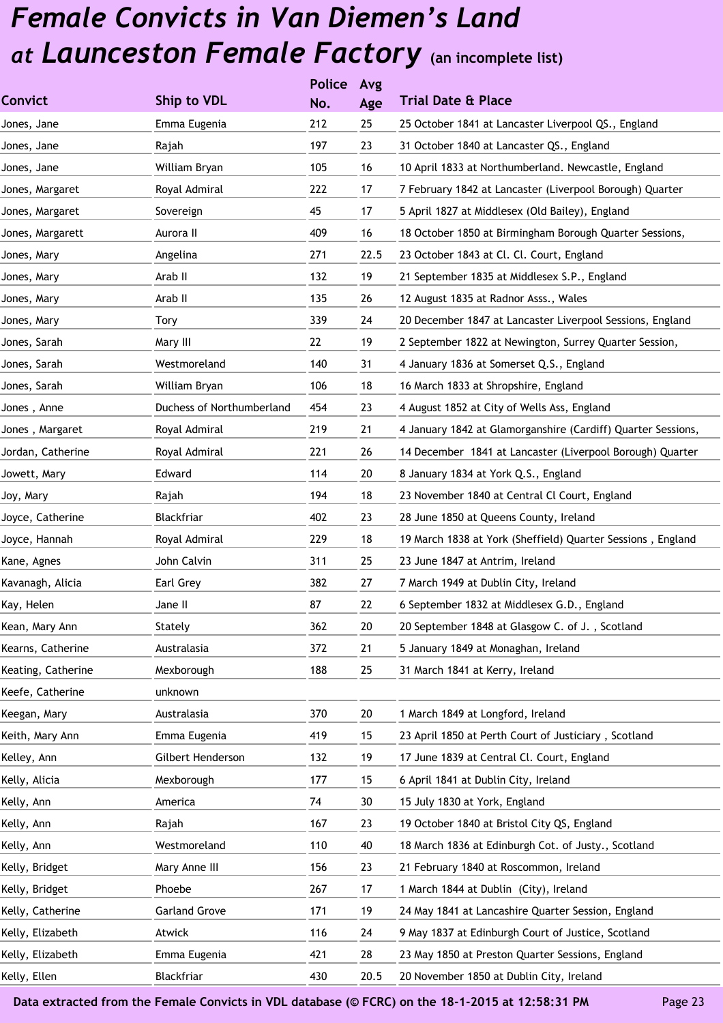|                    |                           | <b>Police</b> | Avg  |                                                              |
|--------------------|---------------------------|---------------|------|--------------------------------------------------------------|
| <b>Convict</b>     | Ship to VDL               | No.           | Age  | <b>Trial Date &amp; Place</b>                                |
| Jones, Jane        | Emma Eugenia              | 212           | 25   | 25 October 1841 at Lancaster Liverpool QS., England          |
| Jones, Jane        | Rajah                     | 197           | 23   | 31 October 1840 at Lancaster QS., England                    |
| Jones, Jane        | William Bryan             | 105           | 16   | 10 April 1833 at Northumberland. Newcastle, England          |
| Jones, Margaret    | Royal Admiral             | 222           | 17   | 7 February 1842 at Lancaster (Liverpool Borough) Quarter     |
| Jones, Margaret    | Sovereign                 | 45            | 17   | 5 April 1827 at Middlesex (Old Bailey), England              |
| Jones, Margarett   | Aurora II                 | 409           | 16   | 18 October 1850 at Birmingham Borough Quarter Sessions,      |
| Jones, Mary        | Angelina                  | 271           | 22.5 | 23 October 1843 at Cl. Cl. Court, England                    |
| Jones, Mary        | Arab II                   | 132           | 19   | 21 September 1835 at Middlesex S.P., England                 |
| Jones, Mary        | Arab II                   | 135           | 26   | 12 August 1835 at Radnor Asss., Wales                        |
| Jones, Mary        | Tory                      | 339           | 24   | 20 December 1847 at Lancaster Liverpool Sessions, England    |
| Jones, Sarah       | Mary III                  | 22            | 19   | 2 September 1822 at Newington, Surrey Quarter Session,       |
| Jones, Sarah       | Westmoreland              | 140           | 31   | 4 January 1836 at Somerset Q.S., England                     |
| Jones, Sarah       | William Bryan             | 106           | 18   | 16 March 1833 at Shropshire, England                         |
| Jones, Anne        | Duchess of Northumberland | 454           | 23   | 4 August 1852 at City of Wells Ass, England                  |
| Jones, Margaret    | Royal Admiral             | 219           | 21   | 4 January 1842 at Glamorganshire (Cardiff) Quarter Sessions, |
| Jordan, Catherine  | Royal Admiral             | 221           | 26   | 14 December 1841 at Lancaster (Liverpool Borough) Quarter    |
| Jowett, Mary       | Edward                    | 114           | 20   | 8 January 1834 at York Q.S., England                         |
| Joy, Mary          | Rajah                     | 194           | 18   | 23 November 1840 at Central Cl Court, England                |
| Joyce, Catherine   | Blackfriar                | 402           | 23   | 28 June 1850 at Queens County, Ireland                       |
| Joyce, Hannah      | Royal Admiral             | 229           | 18   | 19 March 1838 at York (Sheffield) Quarter Sessions, England  |
| Kane, Agnes        | John Calvin               | 311           | 25   | 23 June 1847 at Antrim, Ireland                              |
| Kavanagh, Alicia   | Earl Grey                 | 382           | 27   | 7 March 1949 at Dublin City, Ireland                         |
| Kay, Helen         | Jane II                   | 87            | 22   | 6 September 1832 at Middlesex G.D., England                  |
| Kean, Mary Ann     | Stately                   | 362           | 20   | 20 September 1848 at Glasgow C. of J., Scotland              |
| Kearns, Catherine  | Australasia               | 372           | 21   | 5 January 1849 at Monaghan, Ireland                          |
| Keating, Catherine | Mexborough                | 188           | 25   | 31 March 1841 at Kerry, Ireland                              |
| Keefe, Catherine   | unknown                   |               |      |                                                              |
| Keegan, Mary       | Australasia               | 370           | 20   | 1 March 1849 at Longford, Ireland                            |
| Keith, Mary Ann    | Emma Eugenia              | 419           | 15   | 23 April 1850 at Perth Court of Justiciary, Scotland         |
| Kelley, Ann        | Gilbert Henderson         | 132           | 19   | 17 June 1839 at Central Cl. Court, England                   |
| Kelly, Alicia      | Mexborough                | 177           | 15   | 6 April 1841 at Dublin City, Ireland                         |
| Kelly, Ann         | America                   | 74            | 30   | 15 July 1830 at York, England                                |
| Kelly, Ann         | Rajah                     | 167           | 23   | 19 October 1840 at Bristol City QS, England                  |
| Kelly, Ann         | Westmoreland              | 110           | 40   | 18 March 1836 at Edinburgh Cot. of Justy., Scotland          |
| Kelly, Bridget     | Mary Anne III             | 156           | 23   | 21 February 1840 at Roscommon, Ireland                       |
| Kelly, Bridget     | Phoebe                    | 267           | 17   | 1 March 1844 at Dublin (City), Ireland                       |
| Kelly, Catherine   | <b>Garland Grove</b>      | 171           | 19   | 24 May 1841 at Lancashire Quarter Session, England           |
| Kelly, Elizabeth   | Atwick                    | 116           | 24   | 9 May 1837 at Edinburgh Court of Justice, Scotland           |
| Kelly, Elizabeth   | Emma Eugenia              | 421           | 28   | 23 May 1850 at Preston Quarter Sessions, England             |
| Kelly, Ellen       | Blackfriar                | 430           | 20.5 | 20 November 1850 at Dublin City, Ireland                     |
|                    |                           |               |      |                                                              |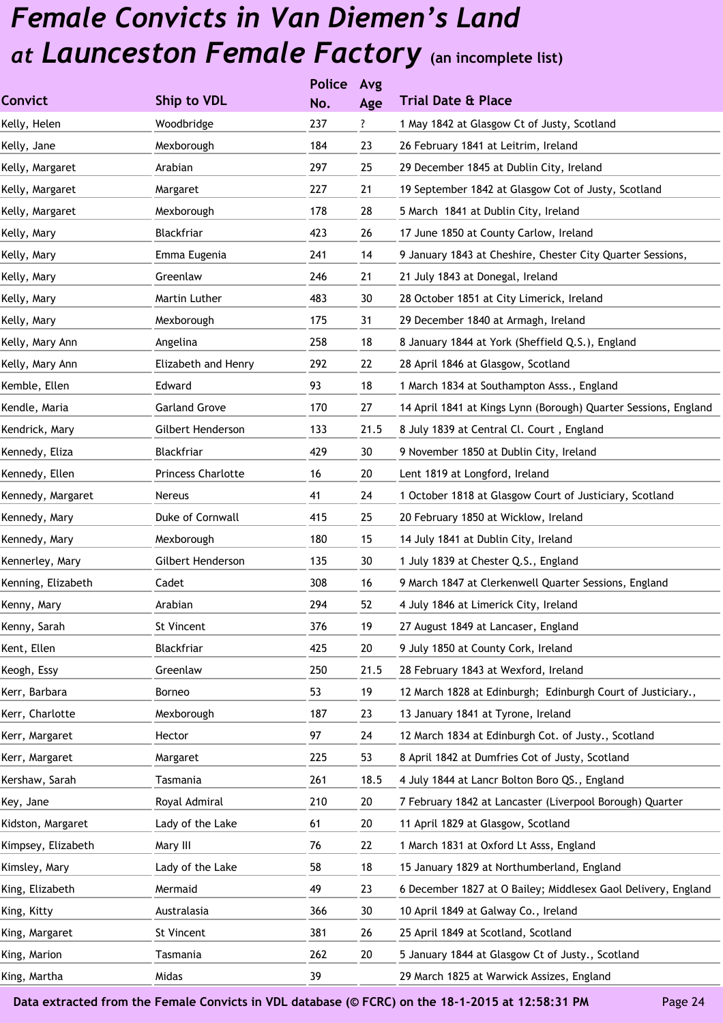|                    |                      | <b>Police</b> | Avg  |                                                                 |
|--------------------|----------------------|---------------|------|-----------------------------------------------------------------|
| <b>Convict</b>     | Ship to VDL          | No.           | Age  | <b>Trial Date &amp; Place</b>                                   |
| Kelly, Helen       | Woodbridge           | 237           | ?    | 1 May 1842 at Glasgow Ct of Justy, Scotland                     |
| Kelly, Jane        | Mexborough           | 184           | 23   | 26 February 1841 at Leitrim, Ireland                            |
| Kelly, Margaret    | Arabian              | 297           | 25   | 29 December 1845 at Dublin City, Ireland                        |
| Kelly, Margaret    | Margaret             | 227           | 21   | 19 September 1842 at Glasgow Cot of Justy, Scotland             |
| Kelly, Margaret    | Mexborough           | 178           | 28   | 5 March 1841 at Dublin City, Ireland                            |
| Kelly, Mary        | Blackfriar           | 423           | 26   | 17 June 1850 at County Carlow, Ireland                          |
| Kelly, Mary        | Emma Eugenia         | 241           | 14   | 9 January 1843 at Cheshire, Chester City Quarter Sessions,      |
| Kelly, Mary        | Greenlaw             | 246           | 21   | 21 July 1843 at Donegal, Ireland                                |
| Kelly, Mary        | Martin Luther        | 483           | 30   | 28 October 1851 at City Limerick, Ireland                       |
| Kelly, Mary        | Mexborough           | 175           | 31   | 29 December 1840 at Armagh, Ireland                             |
| Kelly, Mary Ann    | Angelina             | 258           | 18   | 8 January 1844 at York (Sheffield Q.S.), England                |
| Kelly, Mary Ann    | Elizabeth and Henry  | 292           | 22   | 28 April 1846 at Glasgow, Scotland                              |
| Kemble, Ellen      | Edward               | 93            | 18   | 1 March 1834 at Southampton Asss., England                      |
| Kendle, Maria      | <b>Garland Grove</b> | 170           | 27   | 14 April 1841 at Kings Lynn (Borough) Quarter Sessions, England |
| Kendrick, Mary     | Gilbert Henderson    | 133           | 21.5 | 8 July 1839 at Central Cl. Court, England                       |
| Kennedy, Eliza     | Blackfriar           | 429           | 30   | 9 November 1850 at Dublin City, Ireland                         |
| Kennedy, Ellen     | Princess Charlotte   | 16            | 20   | Lent 1819 at Longford, Ireland                                  |
| Kennedy, Margaret  | Nereus               | 41            | 24   | 1 October 1818 at Glasgow Court of Justiciary, Scotland         |
| Kennedy, Mary      | Duke of Cornwall     | 415           | 25   | 20 February 1850 at Wicklow, Ireland                            |
| Kennedy, Mary      | Mexborough           | 180           | 15   | 14 July 1841 at Dublin City, Ireland                            |
| Kennerley, Mary    | Gilbert Henderson    | 135           | 30   | 1 July 1839 at Chester Q.S., England                            |
| Kenning, Elizabeth | Cadet                | 308           | 16   | 9 March 1847 at Clerkenwell Quarter Sessions, England           |
| Kenny, Mary        | Arabian              | 294           | 52   | 4 July 1846 at Limerick City, Ireland                           |
| Kenny, Sarah       | St Vincent           | 376           | 19   | 27 August 1849 at Lancaser, England                             |
| Kent, Ellen        | Blackfriar           | 425           | 20   | 9 July 1850 at County Cork, Ireland                             |
| Keogh, Essy        | Greenlaw             | 250           | 21.5 | 28 February 1843 at Wexford, Ireland                            |
| Kerr, Barbara      | Borneo               | 53            | 19   | 12 March 1828 at Edinburgh; Edinburgh Court of Justiciary.,     |
| Kerr, Charlotte    | Mexborough           | 187           | 23   | 13 January 1841 at Tyrone, Ireland                              |
| Kerr, Margaret     | Hector               | 97            | 24   | 12 March 1834 at Edinburgh Cot. of Justy., Scotland             |
| Kerr, Margaret     | Margaret             | 225           | 53   | 8 April 1842 at Dumfries Cot of Justy, Scotland                 |
| Kershaw, Sarah     | Tasmania             | 261           | 18.5 | 4 July 1844 at Lancr Bolton Boro QS., England                   |
| Key, Jane          | Royal Admiral        | 210           | 20   | 7 February 1842 at Lancaster (Liverpool Borough) Quarter        |
| Kidston, Margaret  | Lady of the Lake     | 61            | 20   | 11 April 1829 at Glasgow, Scotland                              |
| Kimpsey, Elizabeth | Mary III             | 76            | 22   | 1 March 1831 at Oxford Lt Asss, England                         |
| Kimsley, Mary      | Lady of the Lake     | 58            | 18   | 15 January 1829 at Northumberland, England                      |
| King, Elizabeth    | Mermaid              | 49            | 23   | 6 December 1827 at O Bailey; Middlesex Gaol Delivery, England   |
| King, Kitty        | Australasia          | 366           | 30   | 10 April 1849 at Galway Co., Ireland                            |
| King, Margaret     | St Vincent           | 381           | 26   | 25 April 1849 at Scotland, Scotland                             |
| King, Marion       | Tasmania             | 262           | 20   | 5 January 1844 at Glasgow Ct of Justy., Scotland                |
| King, Martha       | Midas                | 39            |      | 29 March 1825 at Warwick Assizes, England                       |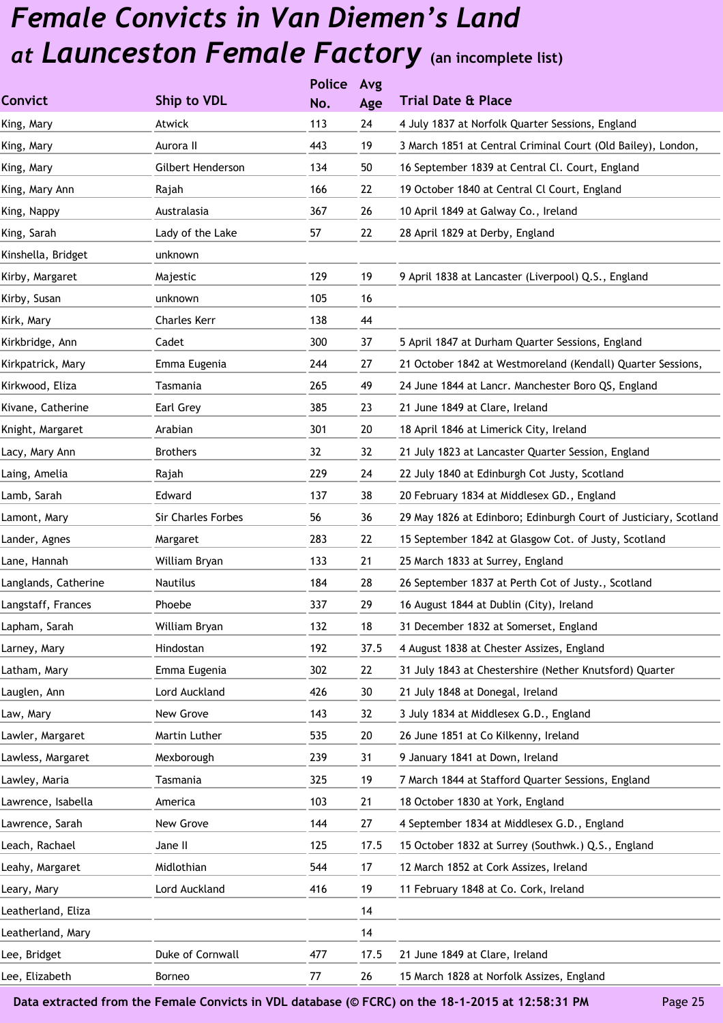|                      |                     | <b>Police</b> | Avg  |                                                                  |
|----------------------|---------------------|---------------|------|------------------------------------------------------------------|
| <b>Convict</b>       | Ship to VDL         | No.           | Age  | <b>Trial Date &amp; Place</b>                                    |
| King, Mary           | Atwick              | 113           | 24   | 4 July 1837 at Norfolk Quarter Sessions, England                 |
| King, Mary           | Aurora II           | 443           | 19   | 3 March 1851 at Central Criminal Court (Old Bailey), London,     |
| King, Mary           | Gilbert Henderson   | 134           | 50   | 16 September 1839 at Central Cl. Court, England                  |
| King, Mary Ann       | Rajah               | 166           | 22   | 19 October 1840 at Central Cl Court, England                     |
| King, Nappy          | Australasia         | 367           | 26   | 10 April 1849 at Galway Co., Ireland                             |
| King, Sarah          | Lady of the Lake    | 57            | 22   | 28 April 1829 at Derby, England                                  |
| Kinshella, Bridget   | unknown             |               |      |                                                                  |
| Kirby, Margaret      | Majestic            | 129           | 19   | 9 April 1838 at Lancaster (Liverpool) Q.S., England              |
| Kirby, Susan         | unknown             | 105           | 16   |                                                                  |
| Kirk, Mary           | <b>Charles Kerr</b> | 138           | 44   |                                                                  |
| Kirkbridge, Ann      | Cadet               | 300           | 37   | 5 April 1847 at Durham Quarter Sessions, England                 |
| Kirkpatrick, Mary    | Emma Eugenia        | 244           | 27   | 21 October 1842 at Westmoreland (Kendall) Quarter Sessions,      |
| Kirkwood, Eliza      | Tasmania            | 265           | 49   | 24 June 1844 at Lancr. Manchester Boro QS, England               |
| Kivane, Catherine    | Earl Grey           | 385           | 23   | 21 June 1849 at Clare, Ireland                                   |
| Knight, Margaret     | Arabian             | 301           | 20   | 18 April 1846 at Limerick City, Ireland                          |
| Lacy, Mary Ann       | <b>Brothers</b>     | 32            | 32   | 21 July 1823 at Lancaster Quarter Session, England               |
| Laing, Amelia        | Rajah               | 229           | 24   | 22 July 1840 at Edinburgh Cot Justy, Scotland                    |
| Lamb, Sarah          | Edward              | 137           | 38   | 20 February 1834 at Middlesex GD., England                       |
| Lamont, Mary         | Sir Charles Forbes  | 56            | 36   | 29 May 1826 at Edinboro; Edinburgh Court of Justiciary, Scotland |
| Lander, Agnes        | Margaret            | 283           | 22   | 15 September 1842 at Glasgow Cot. of Justy, Scotland             |
| Lane, Hannah         | William Bryan       | 133           | 21   | 25 March 1833 at Surrey, England                                 |
| Langlands, Catherine | <b>Nautilus</b>     | 184           | 28   | 26 September 1837 at Perth Cot of Justy., Scotland               |
| Langstaff, Frances   | Phoebe              | 337           | 29   | 16 August 1844 at Dublin (City), Ireland                         |
| Lapham, Sarah        | William Bryan       | 132           | 18   | 31 December 1832 at Somerset, England                            |
| Larney, Mary         | Hindostan           | 192           | 37.5 | 4 August 1838 at Chester Assizes, England                        |
| Latham, Mary         | Emma Eugenia        | 302           | 22   | 31 July 1843 at Chestershire (Nether Knutsford) Quarter          |
| Lauglen, Ann         | Lord Auckland       | 426           | 30   | 21 July 1848 at Donegal, Ireland                                 |
| Law, Mary            | New Grove           | 143           | 32   | 3 July 1834 at Middlesex G.D., England                           |
| Lawler, Margaret     | Martin Luther       | 535           | 20   | 26 June 1851 at Co Kilkenny, Ireland                             |
| Lawless, Margaret    | Mexborough          | 239           | 31   | 9 January 1841 at Down, Ireland                                  |
| Lawley, Maria        | Tasmania            | 325           | 19   | 7 March 1844 at Stafford Quarter Sessions, England               |
| Lawrence, Isabella   | America             | 103           | 21   | 18 October 1830 at York, England                                 |
| Lawrence, Sarah      | New Grove           | 144           | 27   | 4 September 1834 at Middlesex G.D., England                      |
| Leach, Rachael       | Jane II             | 125           | 17.5 | 15 October 1832 at Surrey (Southwk.) Q.S., England               |
| Leahy, Margaret      | Midlothian          | 544           | 17   | 12 March 1852 at Cork Assizes, Ireland                           |
| Leary, Mary          | Lord Auckland       | 416           | 19   | 11 February 1848 at Co. Cork, Ireland                            |
| Leatherland, Eliza   |                     |               | 14   |                                                                  |
| Leatherland, Mary    |                     |               | 14   |                                                                  |
| Lee, Bridget         | Duke of Cornwall    | 477           | 17.5 | 21 June 1849 at Clare, Ireland                                   |
| Lee, Elizabeth       | Borneo              | 77            | 26   | 15 March 1828 at Norfolk Assizes, England                        |
|                      |                     |               |      |                                                                  |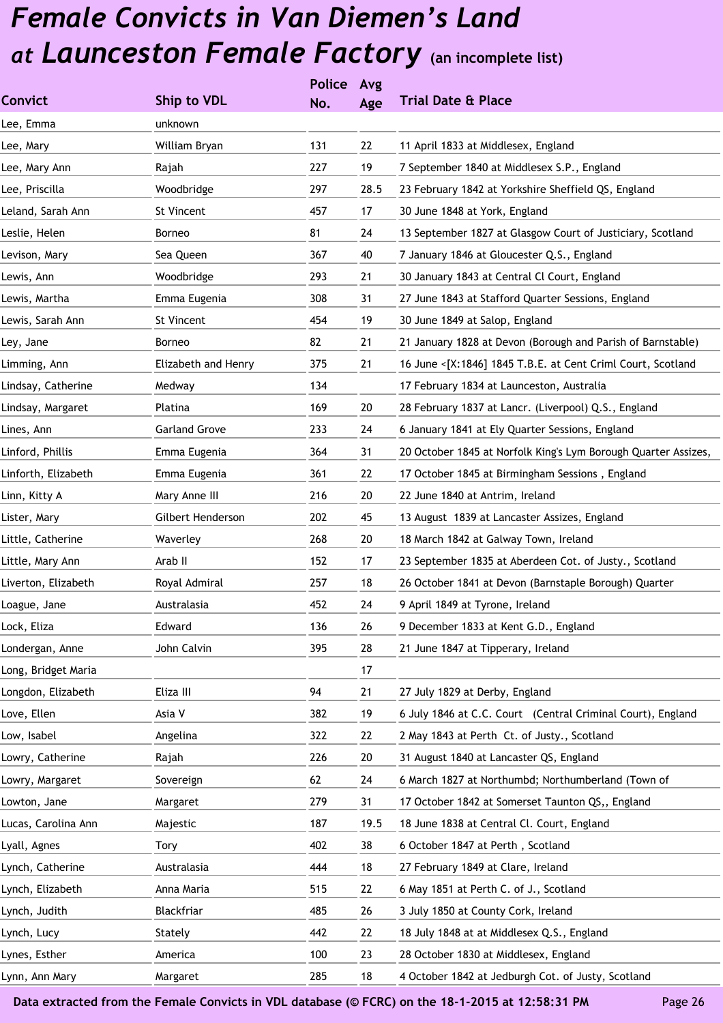|                      | <b>Police</b> | Avg  |                                                                |
|----------------------|---------------|------|----------------------------------------------------------------|
| Ship to VDL          | No.           | Age  | <b>Trial Date &amp; Place</b>                                  |
| unknown              |               |      |                                                                |
| William Bryan        | 131           | 22   | 11 April 1833 at Middlesex, England                            |
| Rajah                | 227           | 19   | 7 September 1840 at Middlesex S.P., England                    |
| Woodbridge           | 297           | 28.5 | 23 February 1842 at Yorkshire Sheffield QS, England            |
| St Vincent           | 457           | 17   | 30 June 1848 at York, England                                  |
| Borneo               | 81            | 24   | 13 September 1827 at Glasgow Court of Justiciary, Scotland     |
| Sea Queen            | 367           | 40   | 7 January 1846 at Gloucester Q.S., England                     |
| Woodbridge           | 293           | 21   | 30 January 1843 at Central Cl Court, England                   |
| Emma Eugenia         | 308           | 31   | 27 June 1843 at Stafford Quarter Sessions, England             |
| St Vincent           | 454           | 19   | 30 June 1849 at Salop, England                                 |
| Borneo               | 82            | 21   | 21 January 1828 at Devon (Borough and Parish of Barnstable)    |
| Elizabeth and Henry  | 375           | 21   | 16 June <[X:1846] 1845 T.B.E. at Cent Criml Court, Scotland    |
| Medway               | 134           |      | 17 February 1834 at Launceston, Australia                      |
| Platina              | 169           | 20   | 28 February 1837 at Lancr. (Liverpool) Q.S., England           |
| <b>Garland Grove</b> | 233           | 24   | 6 January 1841 at Ely Quarter Sessions, England                |
| Emma Eugenia         | 364           | 31   | 20 October 1845 at Norfolk King's Lym Borough Quarter Assizes, |
| Emma Eugenia         | 361           | 22   | 17 October 1845 at Birmingham Sessions, England                |
| Mary Anne III        | 216           | 20   | 22 June 1840 at Antrim, Ireland                                |
| Gilbert Henderson    | 202           | 45   | 13 August 1839 at Lancaster Assizes, England                   |
| Waverley             | 268           | 20   | 18 March 1842 at Galway Town, Ireland                          |
| Arab II              | 152           | 17   | 23 September 1835 at Aberdeen Cot. of Justy., Scotland         |
| Royal Admiral        | 257           | 18   | 26 October 1841 at Devon (Barnstaple Borough) Quarter          |
| Australasia          | 452           | 24   | 9 April 1849 at Tyrone, Ireland                                |
| Edward               | 136           | 26   | 9 December 1833 at Kent G.D., England                          |
| John Calvin          | 395           | 28   | 21 June 1847 at Tipperary, Ireland                             |
|                      |               | 17   |                                                                |
| Eliza III            | 94            | 21   | 27 July 1829 at Derby, England                                 |
| Asia V               | 382           | 19   | 6 July 1846 at C.C. Court (Central Criminal Court), England    |
| Angelina             | 322           | 22   | 2 May 1843 at Perth Ct. of Justy., Scotland                    |
| Rajah                | 226           | 20   | 31 August 1840 at Lancaster QS, England                        |
| Sovereign            | 62            | 24   | 6 March 1827 at Northumbd; Northumberland (Town of             |
| Margaret             | 279           | 31   | 17 October 1842 at Somerset Taunton QS,, England               |
| Majestic             | 187           | 19.5 | 18 June 1838 at Central Cl. Court, England                     |
| <b>Tory</b>          | 402           | 38   | 6 October 1847 at Perth, Scotland                              |
| Australasia          | 444           | 18   | 27 February 1849 at Clare, Ireland                             |
| Anna Maria           | 515           | 22   | 6 May 1851 at Perth C. of J., Scotland                         |
| Blackfriar           | 485           | 26   | 3 July 1850 at County Cork, Ireland                            |
| Stately              | 442           | 22   | 18 July 1848 at at Middlesex Q.S., England                     |
| America              | 100           | 23   | 28 October 1830 at Middlesex, England                          |
| Margaret             | 285           | 18   | 4 October 1842 at Jedburgh Cot. of Justy, Scotland             |
|                      |               |      |                                                                |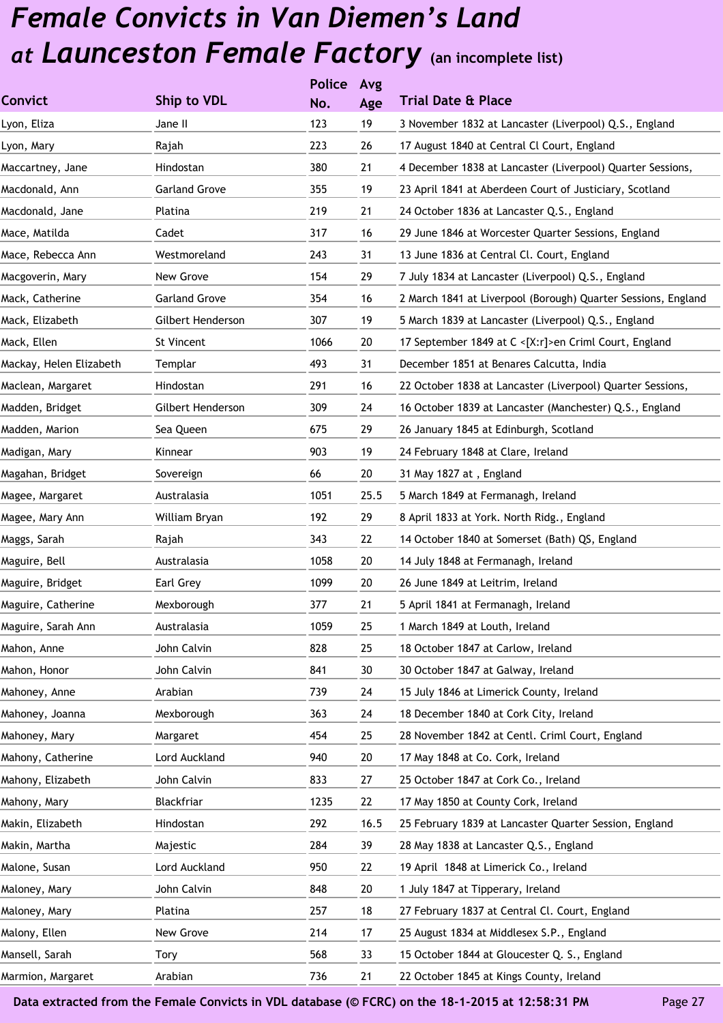|                         |                      | <b>Police</b> | Avg  |                                                               |
|-------------------------|----------------------|---------------|------|---------------------------------------------------------------|
| <b>Convict</b>          | Ship to VDL          | No.           | Age  | <b>Trial Date &amp; Place</b>                                 |
| Lyon, Eliza             | Jane II              | 123           | 19   | 3 November 1832 at Lancaster (Liverpool) Q.S., England        |
| Lyon, Mary              | Rajah                | 223           | 26   | 17 August 1840 at Central Cl Court, England                   |
| Maccartney, Jane        | Hindostan            | 380           | 21   | 4 December 1838 at Lancaster (Liverpool) Quarter Sessions,    |
| Macdonald, Ann          | <b>Garland Grove</b> | 355           | 19   | 23 April 1841 at Aberdeen Court of Justiciary, Scotland       |
| Macdonald, Jane         | Platina              | 219           | 21   | 24 October 1836 at Lancaster Q.S., England                    |
| Mace, Matilda           | Cadet                | 317           | 16   | 29 June 1846 at Worcester Quarter Sessions, England           |
| Mace, Rebecca Ann       | Westmoreland         | 243           | 31   | 13 June 1836 at Central Cl. Court, England                    |
| Macgoverin, Mary        | New Grove            | 154           | 29   | 7 July 1834 at Lancaster (Liverpool) Q.S., England            |
| Mack, Catherine         | <b>Garland Grove</b> | 354           | 16   | 2 March 1841 at Liverpool (Borough) Quarter Sessions, England |
| Mack, Elizabeth         | Gilbert Henderson    | 307           | 19   | 5 March 1839 at Lancaster (Liverpool) Q.S., England           |
| Mack, Ellen             | St Vincent           | 1066          | 20   | 17 September 1849 at C <[X:r]>en Criml Court, England         |
| Mackay, Helen Elizabeth | Templar              | 493           | 31   | December 1851 at Benares Calcutta, India                      |
| Maclean, Margaret       | Hindostan            | 291           | 16   | 22 October 1838 at Lancaster (Liverpool) Quarter Sessions,    |
| Madden, Bridget         | Gilbert Henderson    | 309           | 24   | 16 October 1839 at Lancaster (Manchester) Q.S., England       |
| Madden, Marion          | Sea Queen            | 675           | 29   | 26 January 1845 at Edinburgh, Scotland                        |
| Madigan, Mary           | Kinnear              | 903           | 19   | 24 February 1848 at Clare, Ireland                            |
| Magahan, Bridget        | Sovereign            | 66            | 20   | 31 May 1827 at, England                                       |
| Magee, Margaret         | Australasia          | 1051          | 25.5 | 5 March 1849 at Fermanagh, Ireland                            |
| Magee, Mary Ann         | William Bryan        | 192           | 29   | 8 April 1833 at York. North Ridg., England                    |
| Maggs, Sarah            | Rajah                | 343           | 22   | 14 October 1840 at Somerset (Bath) QS, England                |
| Maguire, Bell           | Australasia          | 1058          | 20   | 14 July 1848 at Fermanagh, Ireland                            |
| Maguire, Bridget        | Earl Grey            | 1099          | 20   | 26 June 1849 at Leitrim, Ireland                              |
| Maguire, Catherine      | Mexborough           | 377           | 21   | 5 April 1841 at Fermanagh, Ireland                            |
| Maguire, Sarah Ann      | Australasia          | 1059          | 25   | 1 March 1849 at Louth, Ireland                                |
| Mahon, Anne             | John Calvin          | 828           | 25   | 18 October 1847 at Carlow, Ireland                            |
| Mahon, Honor            | John Calvin          | 841           | 30   | 30 October 1847 at Galway, Ireland                            |
| Mahoney, Anne           | Arabian              | 739           | 24   | 15 July 1846 at Limerick County, Ireland                      |
| Mahoney, Joanna         | Mexborough           | 363           | 24   | 18 December 1840 at Cork City, Ireland                        |
| Mahoney, Mary           | Margaret             | 454           | 25   | 28 November 1842 at Centl. Criml Court, England               |
| Mahony, Catherine       | Lord Auckland        | 940           | 20   | 17 May 1848 at Co. Cork, Ireland                              |
| Mahony, Elizabeth       | John Calvin          | 833           | 27   | 25 October 1847 at Cork Co., Ireland                          |
| Mahony, Mary            | Blackfriar           | 1235          | 22   | 17 May 1850 at County Cork, Ireland                           |
| Makin, Elizabeth        | Hindostan            | 292           | 16.5 | 25 February 1839 at Lancaster Quarter Session, England        |
| Makin, Martha           | Majestic             | 284           | 39   | 28 May 1838 at Lancaster Q.S., England                        |
| Malone, Susan           | Lord Auckland        | 950           | 22   | 19 April 1848 at Limerick Co., Ireland                        |
| Maloney, Mary           | John Calvin          | 848           | 20   | 1 July 1847 at Tipperary, Ireland                             |
| Maloney, Mary           | Platina              | 257           | 18   | 27 February 1837 at Central Cl. Court, England                |
| Malony, Ellen           | New Grove            | 214           | 17   | 25 August 1834 at Middlesex S.P., England                     |
| Mansell, Sarah          | Tory                 | 568           | 33   | 15 October 1844 at Gloucester Q. S., England                  |
| Marmion, Margaret       | Arabian              | 736           | 21   | 22 October 1845 at Kings County, Ireland                      |
|                         |                      |               |      |                                                               |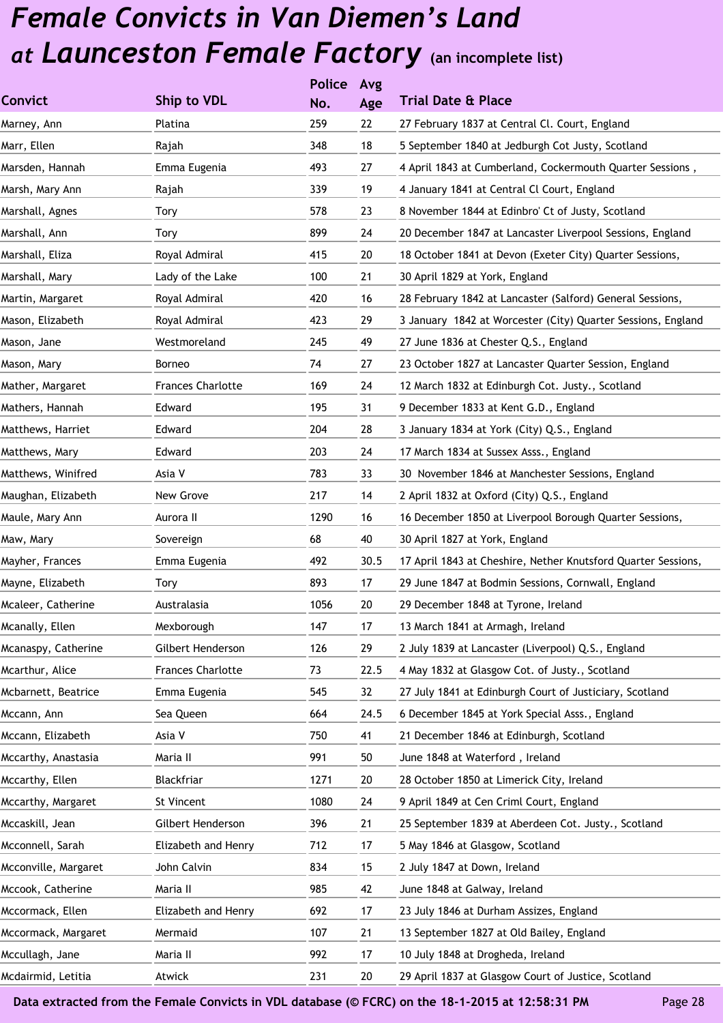|                      |                          | <b>Police</b> | Avg  |                                                               |
|----------------------|--------------------------|---------------|------|---------------------------------------------------------------|
| <b>Convict</b>       | Ship to VDL              | No.           | Age  | <b>Trial Date &amp; Place</b>                                 |
| Marney, Ann          | Platina                  | 259           | 22   | 27 February 1837 at Central Cl. Court, England                |
| Marr, Ellen          | Rajah                    | 348           | 18   | 5 September 1840 at Jedburgh Cot Justy, Scotland              |
| Marsden, Hannah      | Emma Eugenia             | 493           | 27   | 4 April 1843 at Cumberland, Cockermouth Quarter Sessions,     |
| Marsh, Mary Ann      | Rajah                    | 339           | 19   | 4 January 1841 at Central Cl Court, England                   |
| Marshall, Agnes      | Tory                     | 578           | 23   | 8 November 1844 at Edinbro' Ct of Justy, Scotland             |
| Marshall, Ann        | Tory                     | 899           | 24   | 20 December 1847 at Lancaster Liverpool Sessions, England     |
| Marshall, Eliza      | Royal Admiral            | 415           | 20   | 18 October 1841 at Devon (Exeter City) Quarter Sessions,      |
| Marshall, Mary       | Lady of the Lake         | 100           | 21   | 30 April 1829 at York, England                                |
| Martin, Margaret     | Royal Admiral            | 420           | 16   | 28 February 1842 at Lancaster (Salford) General Sessions,     |
| Mason, Elizabeth     | Royal Admiral            | 423           | 29   | 3 January 1842 at Worcester (City) Quarter Sessions, England  |
| Mason, Jane          | Westmoreland             | 245           | 49   | 27 June 1836 at Chester Q.S., England                         |
| Mason, Mary          | Borneo                   | 74            | 27   | 23 October 1827 at Lancaster Quarter Session, England         |
| Mather, Margaret     | <b>Frances Charlotte</b> | 169           | 24   | 12 March 1832 at Edinburgh Cot. Justy., Scotland              |
| Mathers, Hannah      | Edward                   | 195           | 31   | 9 December 1833 at Kent G.D., England                         |
| Matthews, Harriet    | Edward                   | 204           | 28   | 3 January 1834 at York (City) Q.S., England                   |
| Matthews, Mary       | Edward                   | 203           | 24   | 17 March 1834 at Sussex Asss., England                        |
| Matthews, Winifred   | Asia V                   | 783           | 33   | 30 November 1846 at Manchester Sessions, England              |
| Maughan, Elizabeth   | New Grove                | 217           | 14   | 2 April 1832 at Oxford (City) Q.S., England                   |
| Maule, Mary Ann      | Aurora II                | 1290          | 16   | 16 December 1850 at Liverpool Borough Quarter Sessions,       |
| Maw, Mary            | Sovereign                | 68            | 40   | 30 April 1827 at York, England                                |
| Mayher, Frances      | Emma Eugenia             | 492           | 30.5 | 17 April 1843 at Cheshire, Nether Knutsford Quarter Sessions, |
| Mayne, Elizabeth     | Tory                     | 893           | 17   | 29 June 1847 at Bodmin Sessions, Cornwall, England            |
| Mcaleer, Catherine   | Australasia              | 1056          | 20   | 29 December 1848 at Tyrone, Ireland                           |
| Mcanally, Ellen      | Mexborough               | 147           | 17   | 13 March 1841 at Armagh, Ireland                              |
| Mcanaspy, Catherine  | Gilbert Henderson        | 126           | 29   | 2 July 1839 at Lancaster (Liverpool) Q.S., England            |
| Mcarthur, Alice      | <b>Frances Charlotte</b> | 73            | 22.5 | 4 May 1832 at Glasgow Cot. of Justy., Scotland                |
| Mcbarnett, Beatrice  | Emma Eugenia             | 545           | 32   | 27 July 1841 at Edinburgh Court of Justiciary, Scotland       |
| Mccann, Ann          | Sea Queen                | 664           | 24.5 | 6 December 1845 at York Special Asss., England                |
| Mccann, Elizabeth    | Asia V                   | 750           | 41   | 21 December 1846 at Edinburgh, Scotland                       |
| Mccarthy, Anastasia  | Maria II                 | 991           | 50   | June 1848 at Waterford, Ireland                               |
| Mccarthy, Ellen      | Blackfriar               | 1271          | 20   | 28 October 1850 at Limerick City, Ireland                     |
| Mccarthy, Margaret   | St Vincent               | 1080          | 24   | 9 April 1849 at Cen Criml Court, England                      |
| Mccaskill, Jean      | Gilbert Henderson        | 396           | 21   | 25 September 1839 at Aberdeen Cot. Justy., Scotland           |
| Mcconnell, Sarah     | Elizabeth and Henry      | 712           | 17   | 5 May 1846 at Glasgow, Scotland                               |
| Mcconville, Margaret | John Calvin              | 834           | 15   | 2 July 1847 at Down, Ireland                                  |
| Mccook, Catherine    | Maria II                 | 985           | 42   | June 1848 at Galway, Ireland                                  |
| Mccormack, Ellen     | Elizabeth and Henry      | 692           | 17   | 23 July 1846 at Durham Assizes, England                       |
| Mccormack, Margaret  | Mermaid                  | 107           | 21   | 13 September 1827 at Old Bailey, England                      |
| Mccullagh, Jane      | Maria II                 | 992           | 17   | 10 July 1848 at Drogheda, Ireland                             |
| Mcdairmid, Letitia   | Atwick                   | 231           | 20   | 29 April 1837 at Glasgow Court of Justice, Scotland           |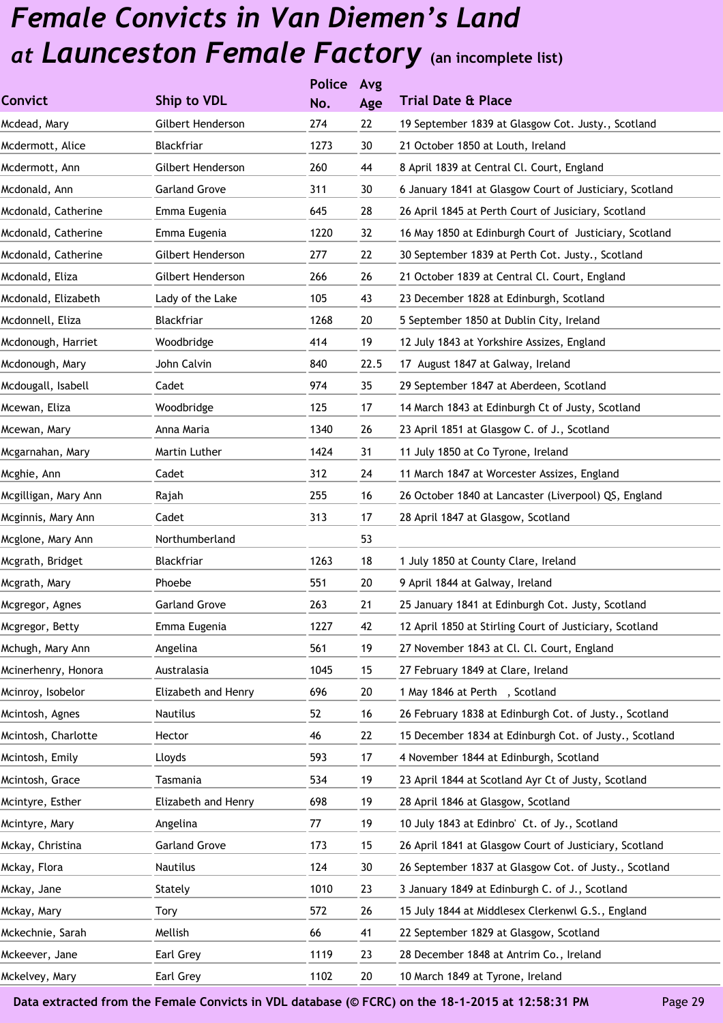|                      |                      | <b>Police</b> | Avg  |                                                         |
|----------------------|----------------------|---------------|------|---------------------------------------------------------|
| <b>Convict</b>       | Ship to VDL          | No.           | Age  | <b>Trial Date &amp; Place</b>                           |
| Mcdead, Mary         | Gilbert Henderson    | 274           | 22   | 19 September 1839 at Glasgow Cot. Justy., Scotland      |
| Mcdermott, Alice     | Blackfriar           | 1273          | 30   | 21 October 1850 at Louth, Ireland                       |
| Mcdermott, Ann       | Gilbert Henderson    | 260           | 44   | 8 April 1839 at Central Cl. Court, England              |
| Mcdonald, Ann        | <b>Garland Grove</b> | 311           | 30   | 6 January 1841 at Glasgow Court of Justiciary, Scotland |
| Mcdonald, Catherine  | Emma Eugenia         | 645           | 28   | 26 April 1845 at Perth Court of Jusiciary, Scotland     |
| Mcdonald, Catherine  | Emma Eugenia         | 1220          | 32   | 16 May 1850 at Edinburgh Court of Justiciary, Scotland  |
| Mcdonald, Catherine  | Gilbert Henderson    | 277           | 22   | 30 September 1839 at Perth Cot. Justy., Scotland        |
| Mcdonald, Eliza      | Gilbert Henderson    | 266           | 26   | 21 October 1839 at Central Cl. Court, England           |
| Mcdonald, Elizabeth  | Lady of the Lake     | 105           | 43   | 23 December 1828 at Edinburgh, Scotland                 |
| Mcdonnell, Eliza     | Blackfriar           | 1268          | 20   | 5 September 1850 at Dublin City, Ireland                |
| Mcdonough, Harriet   | Woodbridge           | 414           | 19   | 12 July 1843 at Yorkshire Assizes, England              |
| Mcdonough, Mary      | John Calvin          | 840           | 22.5 | 17 August 1847 at Galway, Ireland                       |
| Mcdougall, Isabell   | Cadet                | 974           | 35   | 29 September 1847 at Aberdeen, Scotland                 |
| Mcewan, Eliza        | Woodbridge           | 125           | 17   | 14 March 1843 at Edinburgh Ct of Justy, Scotland        |
| Mcewan, Mary         | Anna Maria           | 1340          | 26   | 23 April 1851 at Glasgow C. of J., Scotland             |
| Mcgarnahan, Mary     | Martin Luther        | 1424          | 31   | 11 July 1850 at Co Tyrone, Ireland                      |
| Mcghie, Ann          | Cadet                | 312           | 24   | 11 March 1847 at Worcester Assizes, England             |
| Mcgilligan, Mary Ann | Rajah                | 255           | 16   | 26 October 1840 at Lancaster (Liverpool) QS, England    |
| Mcginnis, Mary Ann   | Cadet                | 313           | 17   | 28 April 1847 at Glasgow, Scotland                      |
| Mcglone, Mary Ann    | Northumberland       |               | 53   |                                                         |
| Mcgrath, Bridget     | Blackfriar           | 1263          | 18   | 1 July 1850 at County Clare, Ireland                    |
| Mcgrath, Mary        | Phoebe               | 551           | 20   | 9 April 1844 at Galway, Ireland                         |
| Mcgregor, Agnes      | <b>Garland Grove</b> | 263           | 21   | 25 January 1841 at Edinburgh Cot. Justy, Scotland       |
| Mcgregor, Betty      | Emma Eugenia         | 1227          | 42   | 12 April 1850 at Stirling Court of Justiciary, Scotland |
| Mchugh, Mary Ann     | Angelina             | 561           | 19   | 27 November 1843 at Cl. Cl. Court, England              |
| Mcinerhenry, Honora  | Australasia          | 1045          | 15   | 27 February 1849 at Clare, Ireland                      |
| Mcinroy, Isobelor    | Elizabeth and Henry  | 696           | 20   | 1 May 1846 at Perth , Scotland                          |
| Mcintosh, Agnes      | Nautilus             | 52            | 16   | 26 February 1838 at Edinburgh Cot. of Justy., Scotland  |
| Mcintosh, Charlotte  | Hector               | 46            | 22   | 15 December 1834 at Edinburgh Cot. of Justy., Scotland  |
| Mcintosh, Emily      | Lloyds               | 593           | 17   | 4 November 1844 at Edinburgh, Scotland                  |
| Mcintosh, Grace      | Tasmania             | 534           | 19   | 23 April 1844 at Scotland Ayr Ct of Justy, Scotland     |
| Mcintyre, Esther     | Elizabeth and Henry  | 698           | 19   | 28 April 1846 at Glasgow, Scotland                      |
| Mcintyre, Mary       | Angelina             | 77            | 19   | 10 July 1843 at Edinbro' Ct. of Jy., Scotland           |
| Mckay, Christina     | <b>Garland Grove</b> | 173           | 15   | 26 April 1841 at Glasgow Court of Justiciary, Scotland  |
| Mckay, Flora         | Nautilus             | 124           | 30   | 26 September 1837 at Glasgow Cot. of Justy., Scotland   |
| Mckay, Jane          | Stately              | 1010          | 23   | 3 January 1849 at Edinburgh C. of J., Scotland          |
| Mckay, Mary          | Tory                 | 572           | 26   | 15 July 1844 at Middlesex Clerkenwl G.S., England       |
| Mckechnie, Sarah     | Mellish              | 66            | 41   | 22 September 1829 at Glasgow, Scotland                  |
| Mckeever, Jane       | Earl Grey            | 1119          | 23   | 28 December 1848 at Antrim Co., Ireland                 |
| Mckelvey, Mary       | Earl Grey            | 1102          | 20   | 10 March 1849 at Tyrone, Ireland                        |
|                      |                      |               |      |                                                         |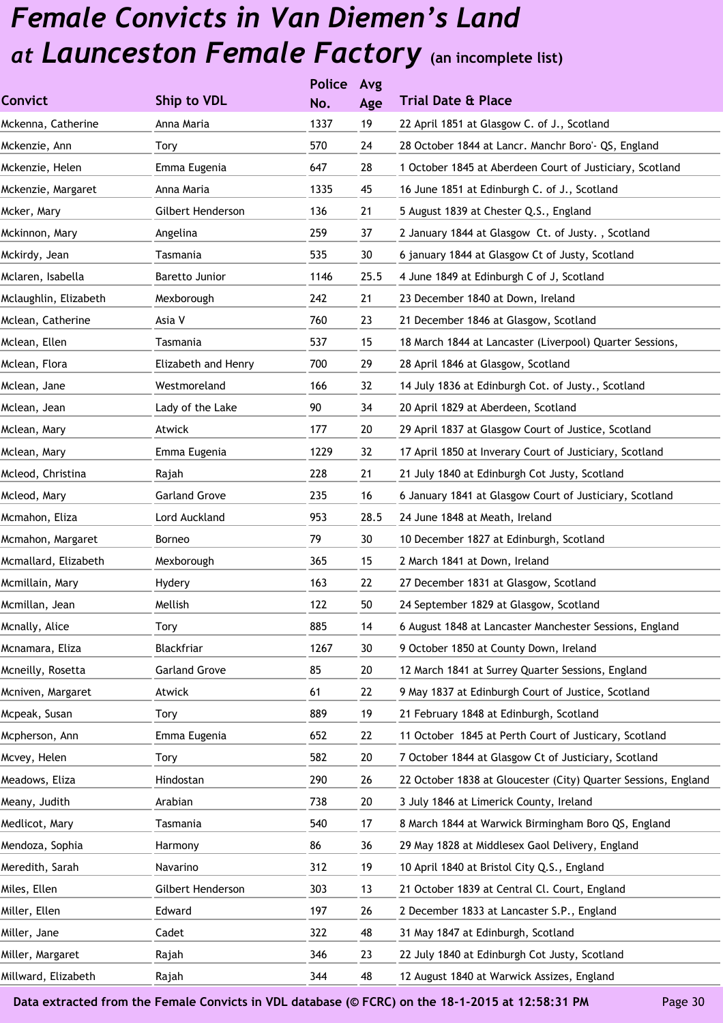|                       |                      | <b>Police</b> | Avg  |                                                                |
|-----------------------|----------------------|---------------|------|----------------------------------------------------------------|
| <b>Convict</b>        | Ship to VDL          | No.           | Age  | <b>Trial Date &amp; Place</b>                                  |
| Mckenna, Catherine    | Anna Maria           | 1337          | 19   | 22 April 1851 at Glasgow C. of J., Scotland                    |
| Mckenzie, Ann         | Tory                 | 570           | 24   | 28 October 1844 at Lancr. Manchr Boro'- QS, England            |
| Mckenzie, Helen       | Emma Eugenia         | 647           | 28   | 1 October 1845 at Aberdeen Court of Justiciary, Scotland       |
| Mckenzie, Margaret    | Anna Maria           | 1335          | 45   | 16 June 1851 at Edinburgh C. of J., Scotland                   |
| Mcker, Mary           | Gilbert Henderson    | 136           | 21   | 5 August 1839 at Chester Q.S., England                         |
| Mckinnon, Mary        | Angelina             | 259           | 37   | 2 January 1844 at Glasgow Ct. of Justy., Scotland              |
| Mckirdy, Jean         | Tasmania             | 535           | 30   | 6 january 1844 at Glasgow Ct of Justy, Scotland                |
| Mclaren, Isabella     | Baretto Junior       | 1146          | 25.5 | 4 June 1849 at Edinburgh C of J, Scotland                      |
| Mclaughlin, Elizabeth | Mexborough           | 242           | 21   | 23 December 1840 at Down, Ireland                              |
| Mclean, Catherine     | Asia V               | 760           | 23   | 21 December 1846 at Glasgow, Scotland                          |
| Mclean, Ellen         | Tasmania             | 537           | 15   | 18 March 1844 at Lancaster (Liverpool) Quarter Sessions,       |
| Mclean, Flora         | Elizabeth and Henry  | 700           | 29   | 28 April 1846 at Glasgow, Scotland                             |
| Mclean, Jane          | Westmoreland         | 166           | 32   | 14 July 1836 at Edinburgh Cot. of Justy., Scotland             |
| Mclean, Jean          | Lady of the Lake     | 90            | 34   | 20 April 1829 at Aberdeen, Scotland                            |
| Mclean, Mary          | Atwick               | 177           | 20   | 29 April 1837 at Glasgow Court of Justice, Scotland            |
| Mclean, Mary          | Emma Eugenia         | 1229          | 32   | 17 April 1850 at Inverary Court of Justiciary, Scotland        |
| Mcleod, Christina     | Rajah                | 228           | 21   | 21 July 1840 at Edinburgh Cot Justy, Scotland                  |
| Mcleod, Mary          | <b>Garland Grove</b> | 235           | 16   | 6 January 1841 at Glasgow Court of Justiciary, Scotland        |
| Mcmahon, Eliza        | Lord Auckland        | 953           | 28.5 | 24 June 1848 at Meath, Ireland                                 |
| Mcmahon, Margaret     | Borneo               | 79            | 30   | 10 December 1827 at Edinburgh, Scotland                        |
| Mcmallard, Elizabeth  | Mexborough           | 365           | 15   | 2 March 1841 at Down, Ireland                                  |
| Mcmillain, Mary       | Hydery               | 163           | 22   | 27 December 1831 at Glasgow, Scotland                          |
| Mcmillan, Jean        | Mellish              | 122           | 50   | 24 September 1829 at Glasgow, Scotland                         |
| Mcnally, Alice        | Tory                 | 885           | 14   | 6 August 1848 at Lancaster Manchester Sessions, England        |
| Mcnamara, Eliza       | Blackfriar           | 1267          | 30   | 9 October 1850 at County Down, Ireland                         |
| Mcneilly, Rosetta     | <b>Garland Grove</b> | 85            | 20   | 12 March 1841 at Surrey Quarter Sessions, England              |
| Mcniven, Margaret     | Atwick               | 61            | 22   | 9 May 1837 at Edinburgh Court of Justice, Scotland             |
| Mcpeak, Susan         | Tory                 | 889           | 19   | 21 February 1848 at Edinburgh, Scotland                        |
| Mcpherson, Ann        | Emma Eugenia         | 652           | 22   | 11 October 1845 at Perth Court of Justicary, Scotland          |
| Mcvey, Helen          | Tory                 | 582           | 20   | 7 October 1844 at Glasgow Ct of Justiciary, Scotland           |
| Meadows, Eliza        | Hindostan            | 290           | 26   | 22 October 1838 at Gloucester (City) Quarter Sessions, England |
| Meany, Judith         | Arabian              | 738           | 20   | 3 July 1846 at Limerick County, Ireland                        |
| Medlicot, Mary        | Tasmania             | 540           | 17   | 8 March 1844 at Warwick Birmingham Boro QS, England            |
| Mendoza, Sophia       | Harmony              | 86            | 36   | 29 May 1828 at Middlesex Gaol Delivery, England                |
| Meredith, Sarah       | Navarino             | 312           | 19   | 10 April 1840 at Bristol City Q.S., England                    |
| Miles, Ellen          | Gilbert Henderson    | 303           | 13   | 21 October 1839 at Central Cl. Court, England                  |
| Miller, Ellen         | Edward               | 197           | 26   | 2 December 1833 at Lancaster S.P., England                     |
| Miller, Jane          | Cadet                | 322           | 48   | 31 May 1847 at Edinburgh, Scotland                             |
| Miller, Margaret      | Rajah                | 346           | 23   | 22 July 1840 at Edinburgh Cot Justy, Scotland                  |
| Millward, Elizabeth   | Rajah                | 344           | 48   | 12 August 1840 at Warwick Assizes, England                     |
|                       |                      |               |      |                                                                |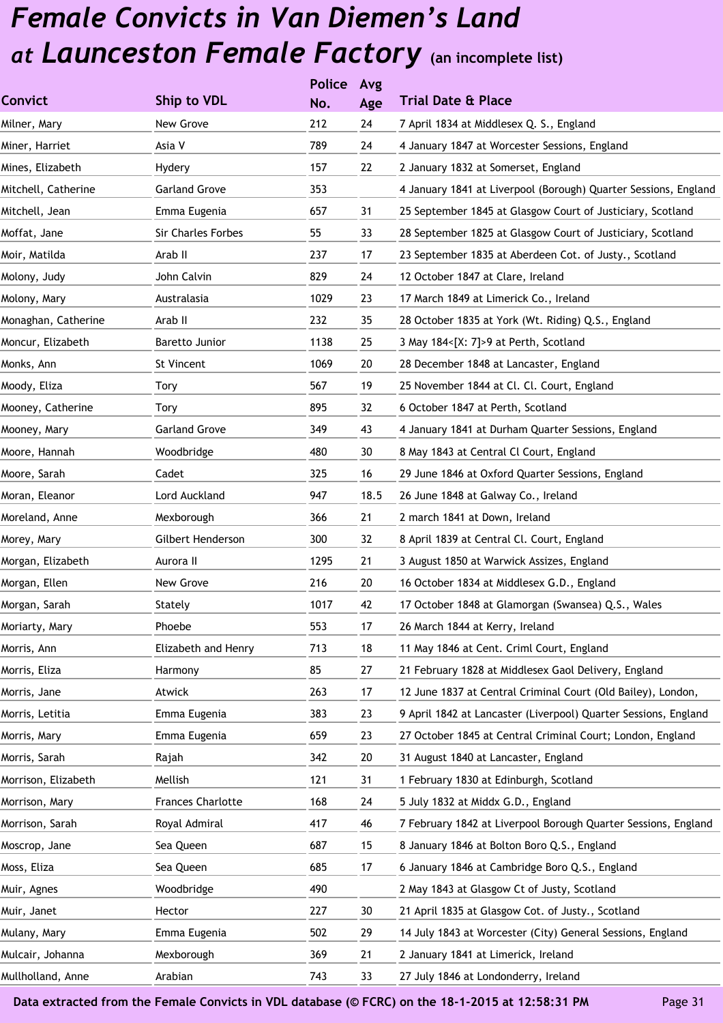|                     |                           | <b>Police</b> | Avg  |                                                                 |
|---------------------|---------------------------|---------------|------|-----------------------------------------------------------------|
| <b>Convict</b>      | Ship to VDL               | No.           | Age  | <b>Trial Date &amp; Place</b>                                   |
| Milner, Mary        | New Grove                 | 212           | 24   | 7 April 1834 at Middlesex Q. S., England                        |
| Miner, Harriet      | Asia V                    | 789           | 24   | 4 January 1847 at Worcester Sessions, England                   |
| Mines, Elizabeth    | Hydery                    | 157           | 22   | 2 January 1832 at Somerset, England                             |
| Mitchell, Catherine | <b>Garland Grove</b>      | 353           |      | 4 January 1841 at Liverpool (Borough) Quarter Sessions, England |
| Mitchell, Jean      | Emma Eugenia              | 657           | 31   | 25 September 1845 at Glasgow Court of Justiciary, Scotland      |
| Moffat, Jane        | <b>Sir Charles Forbes</b> | 55            | 33   | 28 September 1825 at Glasgow Court of Justiciary, Scotland      |
| Moir, Matilda       | Arab II                   | 237           | 17   | 23 September 1835 at Aberdeen Cot. of Justy., Scotland          |
| Molony, Judy        | John Calvin               | 829           | 24   | 12 October 1847 at Clare, Ireland                               |
| Molony, Mary        | Australasia               | 1029          | 23   | 17 March 1849 at Limerick Co., Ireland                          |
| Monaghan, Catherine | Arab II                   | 232           | 35   | 28 October 1835 at York (Wt. Riding) Q.S., England              |
| Moncur, Elizabeth   | Baretto Junior            | 1138          | 25   | 3 May 184<[X: 7]>9 at Perth, Scotland                           |
| Monks, Ann          | St Vincent                | 1069          | 20   | 28 December 1848 at Lancaster, England                          |
| Moody, Eliza        | Tory                      | 567           | 19   | 25 November 1844 at Cl. Cl. Court, England                      |
| Mooney, Catherine   | Tory                      | 895           | 32   | 6 October 1847 at Perth, Scotland                               |
| Mooney, Mary        | <b>Garland Grove</b>      | 349           | 43   | 4 January 1841 at Durham Quarter Sessions, England              |
| Moore, Hannah       | Woodbridge                | 480           | 30   | 8 May 1843 at Central Cl Court, England                         |
| Moore, Sarah        | Cadet                     | 325           | 16   | 29 June 1846 at Oxford Quarter Sessions, England                |
| Moran, Eleanor      | Lord Auckland             | 947           | 18.5 | 26 June 1848 at Galway Co., Ireland                             |
| Moreland, Anne      | Mexborough                | 366           | 21   | 2 march 1841 at Down, Ireland                                   |
| Morey, Mary         | Gilbert Henderson         | 300           | 32   | 8 April 1839 at Central Cl. Court, England                      |
| Morgan, Elizabeth   | Aurora II                 | 1295          | 21   | 3 August 1850 at Warwick Assizes, England                       |
| Morgan, Ellen       | New Grove                 | 216           | 20   | 16 October 1834 at Middlesex G.D., England                      |
| Morgan, Sarah       | Stately                   | 1017          | 42   | 17 October 1848 at Glamorgan (Swansea) Q.S., Wales              |
| Moriarty, Mary      | Phoebe                    | 553           | 17   | 26 March 1844 at Kerry, Ireland                                 |
| Morris, Ann         | Elizabeth and Henry       | 713           | 18   | 11 May 1846 at Cent. Criml Court, England                       |
| Morris, Eliza       | Harmony                   | 85            | 27   | 21 February 1828 at Middlesex Gaol Delivery, England            |
| Morris, Jane        | Atwick                    | 263           | 17   | 12 June 1837 at Central Criminal Court (Old Bailey), London,    |
| Morris, Letitia     | Emma Eugenia              | 383           | 23   | 9 April 1842 at Lancaster (Liverpool) Quarter Sessions, England |
| Morris, Mary        | Emma Eugenia              | 659           | 23   | 27 October 1845 at Central Criminal Court; London, England      |
| Morris, Sarah       | Rajah                     | 342           | 20   | 31 August 1840 at Lancaster, England                            |
| Morrison, Elizabeth | Mellish                   | 121           | 31   | 1 February 1830 at Edinburgh, Scotland                          |
| Morrison, Mary      | <b>Frances Charlotte</b>  | 168           | 24   | 5 July 1832 at Middx G.D., England                              |
| Morrison, Sarah     | Royal Admiral             | 417           | 46   | 7 February 1842 at Liverpool Borough Quarter Sessions, England  |
| Moscrop, Jane       | Sea Queen                 | 687           | 15   | 8 January 1846 at Bolton Boro Q.S., England                     |
| Moss, Eliza         | Sea Queen                 | 685           | 17   | 6 January 1846 at Cambridge Boro Q.S., England                  |
| Muir, Agnes         | Woodbridge                | 490           |      | 2 May 1843 at Glasgow Ct of Justy, Scotland                     |
| Muir, Janet         | Hector                    | 227           | 30   | 21 April 1835 at Glasgow Cot. of Justy., Scotland               |
| Mulany, Mary        | Emma Eugenia              | 502           | 29   | 14 July 1843 at Worcester (City) General Sessions, England      |
| Mulcair, Johanna    | Mexborough                | 369           | 21   | 2 January 1841 at Limerick, Ireland                             |
| Mullholland, Anne   | Arabian                   | 743           | 33   | 27 July 1846 at Londonderry, Ireland                            |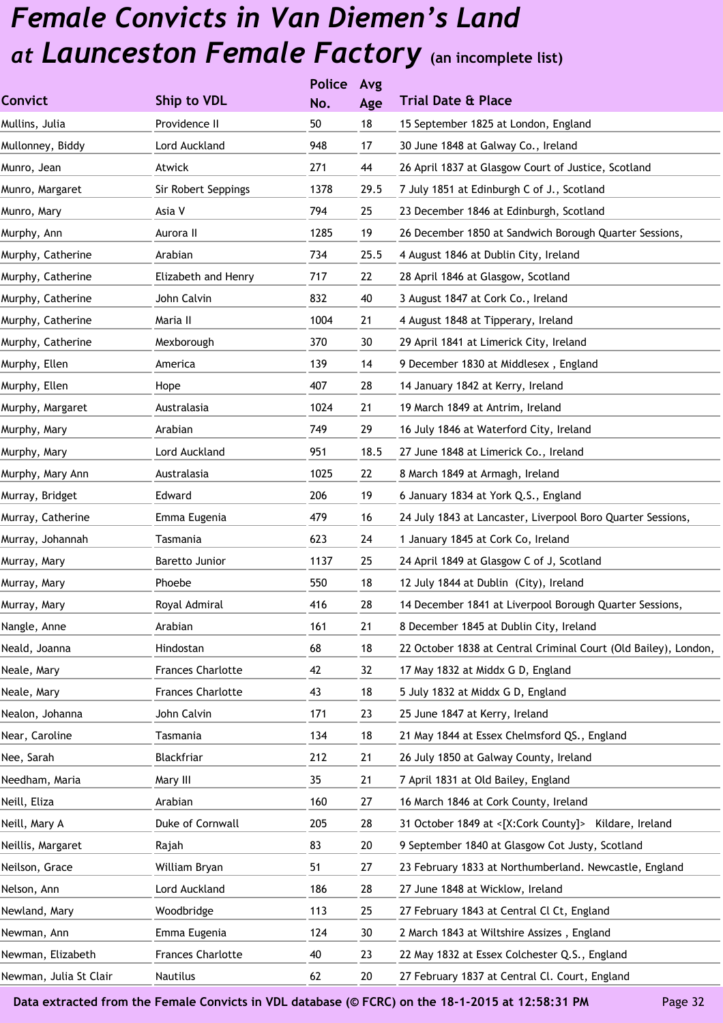|                        |                          | <b>Police</b> | Avg  |                                                                 |
|------------------------|--------------------------|---------------|------|-----------------------------------------------------------------|
| <b>Convict</b>         | Ship to VDL              | No.           | Age  | <b>Trial Date &amp; Place</b>                                   |
| Mullins, Julia         | Providence II            | 50            | 18   | 15 September 1825 at London, England                            |
| Mullonney, Biddy       | Lord Auckland            | 948           | 17   | 30 June 1848 at Galway Co., Ireland                             |
| Munro, Jean            | Atwick                   | 271           | 44   | 26 April 1837 at Glasgow Court of Justice, Scotland             |
| Munro, Margaret        | Sir Robert Seppings      | 1378          | 29.5 | 7 July 1851 at Edinburgh C of J., Scotland                      |
| Munro, Mary            | Asia V                   | 794           | 25   | 23 December 1846 at Edinburgh, Scotland                         |
| Murphy, Ann            | Aurora II                | 1285          | 19   | 26 December 1850 at Sandwich Borough Quarter Sessions,          |
| Murphy, Catherine      | Arabian                  | 734           | 25.5 | 4 August 1846 at Dublin City, Ireland                           |
| Murphy, Catherine      | Elizabeth and Henry      | 717           | 22   | 28 April 1846 at Glasgow, Scotland                              |
| Murphy, Catherine      | John Calvin              | 832           | 40   | 3 August 1847 at Cork Co., Ireland                              |
| Murphy, Catherine      | Maria II                 | 1004          | 21   | 4 August 1848 at Tipperary, Ireland                             |
| Murphy, Catherine      | Mexborough               | 370           | 30   | 29 April 1841 at Limerick City, Ireland                         |
| Murphy, Ellen          | America                  | 139           | 14   | 9 December 1830 at Middlesex, England                           |
| Murphy, Ellen          | Hope                     | 407           | 28   | 14 January 1842 at Kerry, Ireland                               |
| Murphy, Margaret       | Australasia              | 1024          | 21   | 19 March 1849 at Antrim, Ireland                                |
| Murphy, Mary           | Arabian                  | 749           | 29   | 16 July 1846 at Waterford City, Ireland                         |
| Murphy, Mary           | Lord Auckland            | 951           | 18.5 | 27 June 1848 at Limerick Co., Ireland                           |
| Murphy, Mary Ann       | Australasia              | 1025          | 22   | 8 March 1849 at Armagh, Ireland                                 |
| Murray, Bridget        | Edward                   | 206           | 19   | 6 January 1834 at York Q.S., England                            |
| Murray, Catherine      | Emma Eugenia             | 479           | 16   | 24 July 1843 at Lancaster, Liverpool Boro Quarter Sessions,     |
| Murray, Johannah       | Tasmania                 | 623           | 24   | 1 January 1845 at Cork Co, Ireland                              |
| Murray, Mary           | Baretto Junior           | 1137          | 25   | 24 April 1849 at Glasgow C of J, Scotland                       |
| Murray, Mary           | Phoebe                   | 550           | 18   | 12 July 1844 at Dublin (City), Ireland                          |
| Murray, Mary           | Royal Admiral            | 416           | 28   | 14 December 1841 at Liverpool Borough Quarter Sessions,         |
| Nangle, Anne           | Arabian                  | 161           | 21   | 8 December 1845 at Dublin City, Ireland                         |
| Neald, Joanna          | Hindostan                | 68            | 18   | 22 October 1838 at Central Criminal Court (Old Bailey), London, |
| Neale, Mary            | <b>Frances Charlotte</b> | 42            | 32   | 17 May 1832 at Middx G D, England                               |
| Neale, Mary            | <b>Frances Charlotte</b> | 43            | 18   | 5 July 1832 at Middx G D, England                               |
| Nealon, Johanna        | John Calvin              | 171           | 23   | 25 June 1847 at Kerry, Ireland                                  |
| Near, Caroline         | Tasmania                 | 134           | 18   | 21 May 1844 at Essex Chelmsford QS., England                    |
| Nee, Sarah             | Blackfriar               | 212           | 21   | 26 July 1850 at Galway County, Ireland                          |
| Needham, Maria         | Mary III                 | 35            | 21   | 7 April 1831 at Old Bailey, England                             |
| Neill, Eliza           | Arabian                  | 160           | 27   | 16 March 1846 at Cork County, Ireland                           |
| Neill, Mary A          | Duke of Cornwall         | 205           | 28   | 31 October 1849 at <[X:Cork County]> Kildare, Ireland           |
| Neillis, Margaret      | Rajah                    | 83            | 20   | 9 September 1840 at Glasgow Cot Justy, Scotland                 |
| Neilson, Grace         | William Bryan            | 51            | 27   | 23 February 1833 at Northumberland. Newcastle, England          |
| Nelson, Ann            | Lord Auckland            | 186           | 28   | 27 June 1848 at Wicklow, Ireland                                |
| Newland, Mary          | Woodbridge               | 113           | 25   | 27 February 1843 at Central Cl Ct, England                      |
| Newman, Ann            | Emma Eugenia             | 124           | 30   | 2 March 1843 at Wiltshire Assizes, England                      |
| Newman, Elizabeth      | <b>Frances Charlotte</b> | 40            | 23   | 22 May 1832 at Essex Colchester Q.S., England                   |
| Newman, Julia St Clair | Nautilus                 | 62            | 20   | 27 February 1837 at Central Cl. Court, England                  |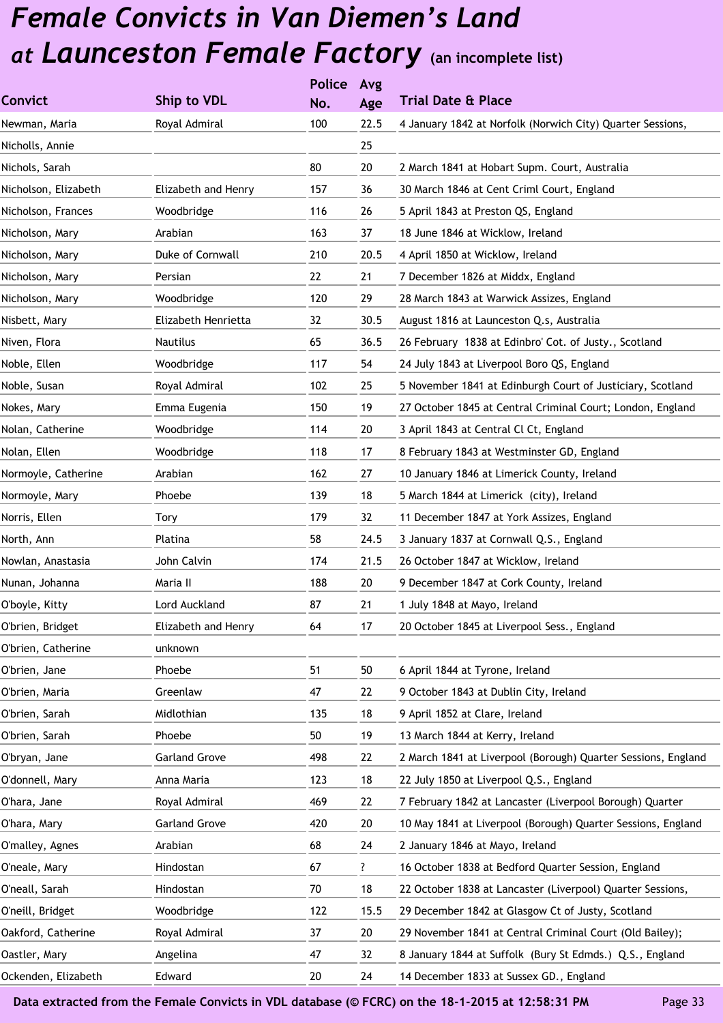|                      |                      | <b>Police</b> | Avg  |                                                               |
|----------------------|----------------------|---------------|------|---------------------------------------------------------------|
| <b>Convict</b>       | Ship to VDL          | No.           | Age  | <b>Trial Date &amp; Place</b>                                 |
| Newman, Maria        | Royal Admiral        | 100           | 22.5 | 4 January 1842 at Norfolk (Norwich City) Quarter Sessions,    |
| Nicholls, Annie      |                      |               | 25   |                                                               |
| Nichols, Sarah       |                      | 80            | 20   | 2 March 1841 at Hobart Supm. Court, Australia                 |
| Nicholson, Elizabeth | Elizabeth and Henry  | 157           | 36   | 30 March 1846 at Cent Criml Court, England                    |
| Nicholson, Frances   | Woodbridge           | 116           | 26   | 5 April 1843 at Preston QS, England                           |
| Nicholson, Mary      | Arabian              | 163           | 37   | 18 June 1846 at Wicklow, Ireland                              |
| Nicholson, Mary      | Duke of Cornwall     | 210           | 20.5 | 4 April 1850 at Wicklow, Ireland                              |
| Nicholson, Mary      | Persian              | 22            | 21   | 7 December 1826 at Middx, England                             |
| Nicholson, Mary      | Woodbridge           | 120           | 29   | 28 March 1843 at Warwick Assizes, England                     |
| Nisbett, Mary        | Elizabeth Henrietta  | 32            | 30.5 | August 1816 at Launceston Q.s, Australia                      |
| Niven, Flora         | Nautilus             | 65            | 36.5 | 26 February 1838 at Edinbro' Cot. of Justy., Scotland         |
| Noble, Ellen         | Woodbridge           | 117           | 54   | 24 July 1843 at Liverpool Boro QS, England                    |
| Noble, Susan         | Royal Admiral        | 102           | 25   | 5 November 1841 at Edinburgh Court of Justiciary, Scotland    |
| Nokes, Mary          | Emma Eugenia         | 150           | 19   | 27 October 1845 at Central Criminal Court; London, England    |
| Nolan, Catherine     | Woodbridge           | 114           | 20   | 3 April 1843 at Central Cl Ct, England                        |
| Nolan, Ellen         | Woodbridge           | 118           | 17   | 8 February 1843 at Westminster GD, England                    |
| Normoyle, Catherine  | Arabian              | 162           | 27   | 10 January 1846 at Limerick County, Ireland                   |
| Normoyle, Mary       | Phoebe               | 139           | 18   | 5 March 1844 at Limerick (city), Ireland                      |
| Norris, Ellen        | Tory                 | 179           | 32   | 11 December 1847 at York Assizes, England                     |
| North, Ann           | Platina              | 58            | 24.5 | 3 January 1837 at Cornwall Q.S., England                      |
| Nowlan, Anastasia    | John Calvin          | 174           | 21.5 | 26 October 1847 at Wicklow, Ireland                           |
| Nunan, Johanna       | Maria II             | 188           | 20   | 9 December 1847 at Cork County, Ireland                       |
| O'boyle, Kitty       | Lord Auckland        | 87            | 21   | 1 July 1848 at Mayo, Ireland                                  |
| O'brien, Bridget     | Elizabeth and Henry  | 64            | 17   | 20 October 1845 at Liverpool Sess., England                   |
| O'brien, Catherine   | unknown              |               |      |                                                               |
| O'brien, Jane        | Phoebe               | 51            | 50   | 6 April 1844 at Tyrone, Ireland                               |
| O'brien, Maria       | Greenlaw             | 47            | 22   | 9 October 1843 at Dublin City, Ireland                        |
| O'brien, Sarah       | Midlothian           | 135           | 18   | 9 April 1852 at Clare, Ireland                                |
| O'brien, Sarah       | Phoebe               | 50            | 19   | 13 March 1844 at Kerry, Ireland                               |
| O'bryan, Jane        | <b>Garland Grove</b> | 498           | 22   | 2 March 1841 at Liverpool (Borough) Quarter Sessions, England |
| O'donnell, Mary      | Anna Maria           | 123           | 18   | 22 July 1850 at Liverpool Q.S., England                       |
| O'hara, Jane         | Royal Admiral        | 469           | 22   | 7 February 1842 at Lancaster (Liverpool Borough) Quarter      |
| O'hara, Mary         | <b>Garland Grove</b> | 420           | 20   | 10 May 1841 at Liverpool (Borough) Quarter Sessions, England  |
| O'malley, Agnes      | Arabian              | 68            | 24   | 2 January 1846 at Mayo, Ireland                               |
| O'neale, Mary        | Hindostan            | 67            | ?    | 16 October 1838 at Bedford Quarter Session, England           |
| O'neall, Sarah       | Hindostan            | 70            | 18   | 22 October 1838 at Lancaster (Liverpool) Quarter Sessions,    |
| O'neill, Bridget     | Woodbridge           | 122           | 15.5 | 29 December 1842 at Glasgow Ct of Justy, Scotland             |
| Oakford, Catherine   | Royal Admiral        | 37            | 20   | 29 November 1841 at Central Criminal Court (Old Bailey);      |
| Oastler, Mary        | Angelina             | 47            | 32   | 8 January 1844 at Suffolk (Bury St Edmds.) Q.S., England      |
| Ockenden, Elizabeth  | Edward               | 20            | 24   | 14 December 1833 at Sussex GD., England                       |
|                      |                      |               |      |                                                               |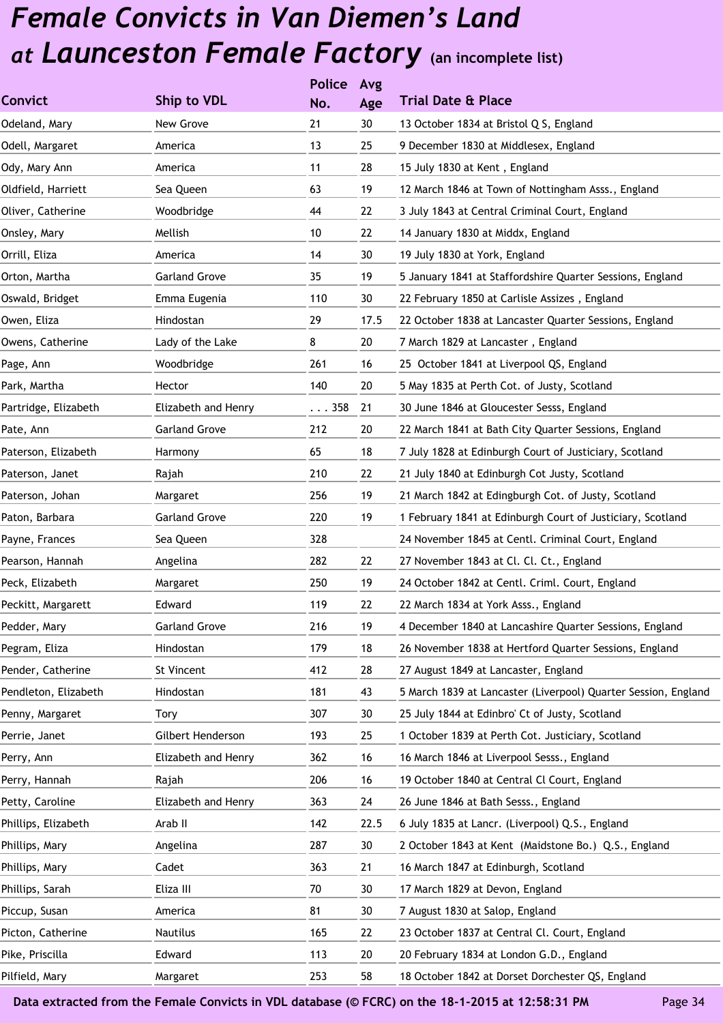|                      |                      | <b>Police</b> | Avg  |                                                                |
|----------------------|----------------------|---------------|------|----------------------------------------------------------------|
| <b>Convict</b>       | Ship to VDL          | No.           | Age  | <b>Trial Date &amp; Place</b>                                  |
| Odeland, Mary        | New Grove            | 21            | 30   | 13 October 1834 at Bristol Q S, England                        |
| Odell, Margaret      | America              | 13            | 25   | 9 December 1830 at Middlesex, England                          |
| Ody, Mary Ann        | America              | 11            | 28   | 15 July 1830 at Kent, England                                  |
| Oldfield, Harriett   | Sea Queen            | 63            | 19   | 12 March 1846 at Town of Nottingham Asss., England             |
| Oliver, Catherine    | Woodbridge           | 44            | 22   | 3 July 1843 at Central Criminal Court, England                 |
| Onsley, Mary         | Mellish              | 10            | 22   | 14 January 1830 at Middx, England                              |
| Orrill, Eliza        | America              | 14            | 30   | 19 July 1830 at York, England                                  |
| Orton, Martha        | <b>Garland Grove</b> | 35            | 19   | 5 January 1841 at Staffordshire Quarter Sessions, England      |
| Oswald, Bridget      | Emma Eugenia         | 110           | 30   | 22 February 1850 at Carlisle Assizes, England                  |
| Owen, Eliza          | Hindostan            | 29            | 17.5 | 22 October 1838 at Lancaster Quarter Sessions, England         |
| Owens, Catherine     | Lady of the Lake     | 8             | 20   | 7 March 1829 at Lancaster, England                             |
| Page, Ann            | Woodbridge           | 261           | 16   | 25 October 1841 at Liverpool QS, England                       |
| Park, Martha         | Hector               | 140           | 20   | 5 May 1835 at Perth Cot. of Justy, Scotland                    |
| Partridge, Elizabeth | Elizabeth and Henry  | $\ldots$ 358  | 21   | 30 June 1846 at Gloucester Sesss, England                      |
| Pate, Ann            | <b>Garland Grove</b> | 212           | 20   | 22 March 1841 at Bath City Quarter Sessions, England           |
| Paterson, Elizabeth  | Harmony              | 65            | 18   | 7 July 1828 at Edinburgh Court of Justiciary, Scotland         |
| Paterson, Janet      | Rajah                | 210           | 22   | 21 July 1840 at Edinburgh Cot Justy, Scotland                  |
| Paterson, Johan      | Margaret             | 256           | 19   | 21 March 1842 at Edingburgh Cot. of Justy, Scotland            |
| Paton, Barbara       | <b>Garland Grove</b> | 220           | 19   | 1 February 1841 at Edinburgh Court of Justiciary, Scotland     |
| Payne, Frances       | Sea Queen            | 328           |      | 24 November 1845 at Centl. Criminal Court, England             |
| Pearson, Hannah      | Angelina             | 282           | 22   | 27 November 1843 at Cl. Cl. Ct., England                       |
| Peck, Elizabeth      | Margaret             | 250           | 19   | 24 October 1842 at Centl. Criml. Court, England                |
| Peckitt, Margarett   | Edward               | 119           | 22   | 22 March 1834 at York Asss., England                           |
| Pedder, Mary         | <b>Garland Grove</b> | 216           | 19   | 4 December 1840 at Lancashire Quarter Sessions, England        |
| Pegram, Eliza        | Hindostan            | 179           | 18   | 26 November 1838 at Hertford Quarter Sessions, England         |
| Pender, Catherine    | St Vincent           | 412           | 28   | 27 August 1849 at Lancaster, England                           |
| Pendleton, Elizabeth | Hindostan            | 181           | 43   | 5 March 1839 at Lancaster (Liverpool) Quarter Session, England |
| Penny, Margaret      | <b>Tory</b>          | 307           | 30   | 25 July 1844 at Edinbro' Ct of Justy, Scotland                 |
| Perrie, Janet        | Gilbert Henderson    | 193           | 25   | 1 October 1839 at Perth Cot. Justiciary, Scotland              |
| Perry, Ann           | Elizabeth and Henry  | 362           | 16   | 16 March 1846 at Liverpool Sesss., England                     |
| Perry, Hannah        | Rajah                | 206           | 16   | 19 October 1840 at Central Cl Court, England                   |
| Petty, Caroline      | Elizabeth and Henry  | 363           | 24   | 26 June 1846 at Bath Sesss., England                           |
| Phillips, Elizabeth  | Arab II              | 142           | 22.5 | 6 July 1835 at Lancr. (Liverpool) Q.S., England                |
| Phillips, Mary       | Angelina             | 287           | 30   | 2 October 1843 at Kent (Maidstone Bo.) Q.S., England           |
| Phillips, Mary       | Cadet                | 363           | 21   | 16 March 1847 at Edinburgh, Scotland                           |
| Phillips, Sarah      | Eliza III            | 70            | 30   | 17 March 1829 at Devon, England                                |
| Piccup, Susan        | America              | 81            | 30   | 7 August 1830 at Salop, England                                |
| Picton, Catherine    | Nautilus             | 165           | 22   | 23 October 1837 at Central Cl. Court, England                  |
| Pike, Priscilla      | Edward               | 113           | 20   | 20 February 1834 at London G.D., England                       |
| Pilfield, Mary       | Margaret             | 253           | 58   | 18 October 1842 at Dorset Dorchester QS, England               |
|                      |                      |               |      |                                                                |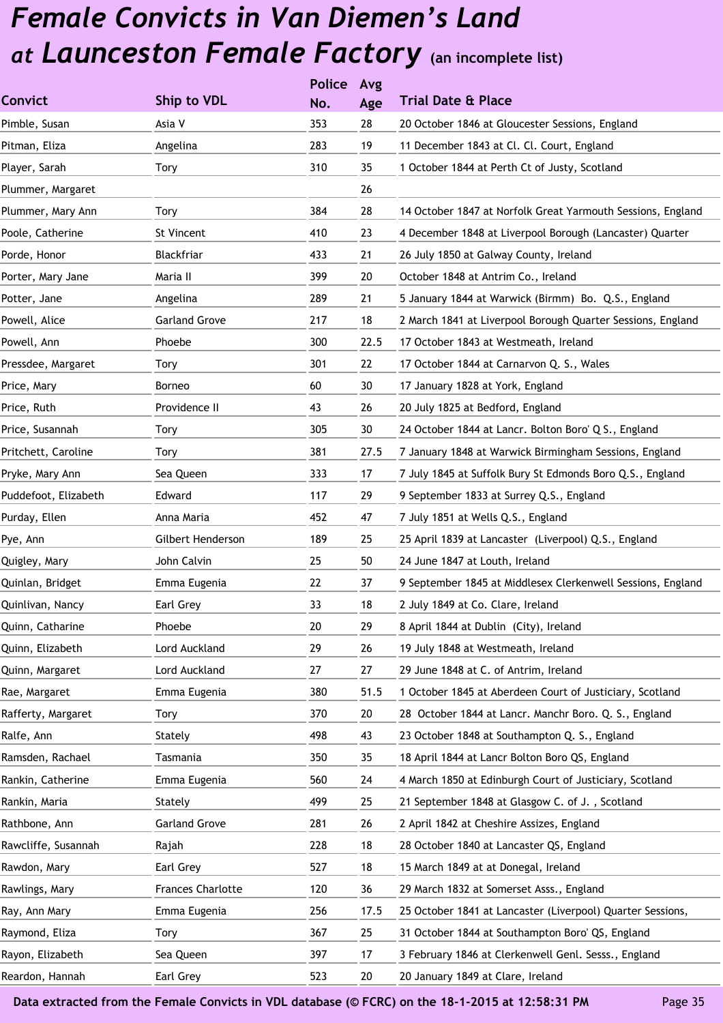|                      |                          | <b>Police</b> | Avg  |                                                             |
|----------------------|--------------------------|---------------|------|-------------------------------------------------------------|
| <b>Convict</b>       | Ship to VDL              | No.           | Age  | <b>Trial Date &amp; Place</b>                               |
| Pimble, Susan        | Asia V                   | 353           | 28   | 20 October 1846 at Gloucester Sessions, England             |
| Pitman, Eliza        | Angelina                 | 283           | 19   | 11 December 1843 at Cl. Cl. Court, England                  |
| Player, Sarah        | Tory                     | 310           | 35   | 1 October 1844 at Perth Ct of Justy, Scotland               |
| Plummer, Margaret    |                          |               | 26   |                                                             |
| Plummer, Mary Ann    | Tory                     | 384           | 28   | 14 October 1847 at Norfolk Great Yarmouth Sessions, England |
| Poole, Catherine     | St Vincent               | 410           | 23   | 4 December 1848 at Liverpool Borough (Lancaster) Quarter    |
| Porde, Honor         | Blackfriar               | 433           | 21   | 26 July 1850 at Galway County, Ireland                      |
| Porter, Mary Jane    | Maria II                 | 399           | 20   | October 1848 at Antrim Co., Ireland                         |
| Potter, Jane         | Angelina                 | 289           | 21   | 5 January 1844 at Warwick (Birmm) Bo. Q.S., England         |
| Powell, Alice        | <b>Garland Grove</b>     | 217           | 18   | 2 March 1841 at Liverpool Borough Quarter Sessions, England |
| Powell, Ann          | Phoebe                   | 300           | 22.5 | 17 October 1843 at Westmeath, Ireland                       |
| Pressdee, Margaret   | Tory                     | 301           | 22   | 17 October 1844 at Carnarvon Q. S., Wales                   |
| Price, Mary          | Borneo                   | 60            | 30   | 17 January 1828 at York, England                            |
| Price, Ruth          | Providence II            | 43            | 26   | 20 July 1825 at Bedford, England                            |
| Price, Susannah      | Tory                     | 305           | 30   | 24 October 1844 at Lancr. Bolton Boro' Q S., England        |
| Pritchett, Caroline  | Tory                     | 381           | 27.5 | 7 January 1848 at Warwick Birmingham Sessions, England      |
| Pryke, Mary Ann      | Sea Queen                | 333           | 17   | 7 July 1845 at Suffolk Bury St Edmonds Boro Q.S., England   |
| Puddefoot, Elizabeth | Edward                   | 117           | 29   | 9 September 1833 at Surrey Q.S., England                    |
| Purday, Ellen        | Anna Maria               | 452           | 47   | 7 July 1851 at Wells Q.S., England                          |
| Pye, Ann             | Gilbert Henderson        | 189           | 25   | 25 April 1839 at Lancaster (Liverpool) Q.S., England        |
| Quigley, Mary        | John Calvin              | 25            | 50   | 24 June 1847 at Louth, Ireland                              |
| Quinlan, Bridget     | Emma Eugenia             | 22            | 37   | 9 September 1845 at Middlesex Clerkenwell Sessions, England |
| Quinlivan, Nancy     | Earl Grey                | 33            | 18   | 2 July 1849 at Co. Clare, Ireland                           |
| Quinn, Catharine     | Phoebe                   | 20            | 29   | 8 April 1844 at Dublin (City), Ireland                      |
| Quinn, Elizabeth     | Lord Auckland            | 29            | 26   | 19 July 1848 at Westmeath, Ireland                          |
| Quinn, Margaret      | Lord Auckland            | 27            | 27   | 29 June 1848 at C. of Antrim, Ireland                       |
| Rae, Margaret        | Emma Eugenia             | 380           | 51.5 | 1 October 1845 at Aberdeen Court of Justiciary, Scotland    |
| Rafferty, Margaret   | Tory                     | 370           | 20   | 28 October 1844 at Lancr. Manchr Boro. Q. S., England       |
| Ralfe, Ann           | Stately                  | 498           | 43   | 23 October 1848 at Southampton Q. S., England               |
| Ramsden, Rachael     | Tasmania                 | 350           | 35   | 18 April 1844 at Lancr Bolton Boro QS, England              |
| Rankin, Catherine    | Emma Eugenia             | 560           | 24   | 4 March 1850 at Edinburgh Court of Justiciary, Scotland     |
| Rankin, Maria        | Stately                  | 499           | 25   | 21 September 1848 at Glasgow C. of J., Scotland             |
| Rathbone, Ann        | <b>Garland Grove</b>     | 281           | 26   | 2 April 1842 at Cheshire Assizes, England                   |
| Rawcliffe, Susannah  | Rajah                    | 228           | 18   | 28 October 1840 at Lancaster QS, England                    |
| Rawdon, Mary         | Earl Grey                | 527           | 18   | 15 March 1849 at at Donegal, Ireland                        |
| Rawlings, Mary       | <b>Frances Charlotte</b> | 120           | 36   | 29 March 1832 at Somerset Asss., England                    |
| Ray, Ann Mary        | Emma Eugenia             | 256           | 17.5 | 25 October 1841 at Lancaster (Liverpool) Quarter Sessions,  |
| Raymond, Eliza       | Tory                     | 367           | 25   | 31 October 1844 at Southampton Boro' QS, England            |
| Rayon, Elizabeth     | Sea Queen                | 397           | 17   | 3 February 1846 at Clerkenwell Genl. Sesss., England        |
| Reardon, Hannah      | Earl Grey                | 523           | 20   | 20 January 1849 at Clare, Ireland                           |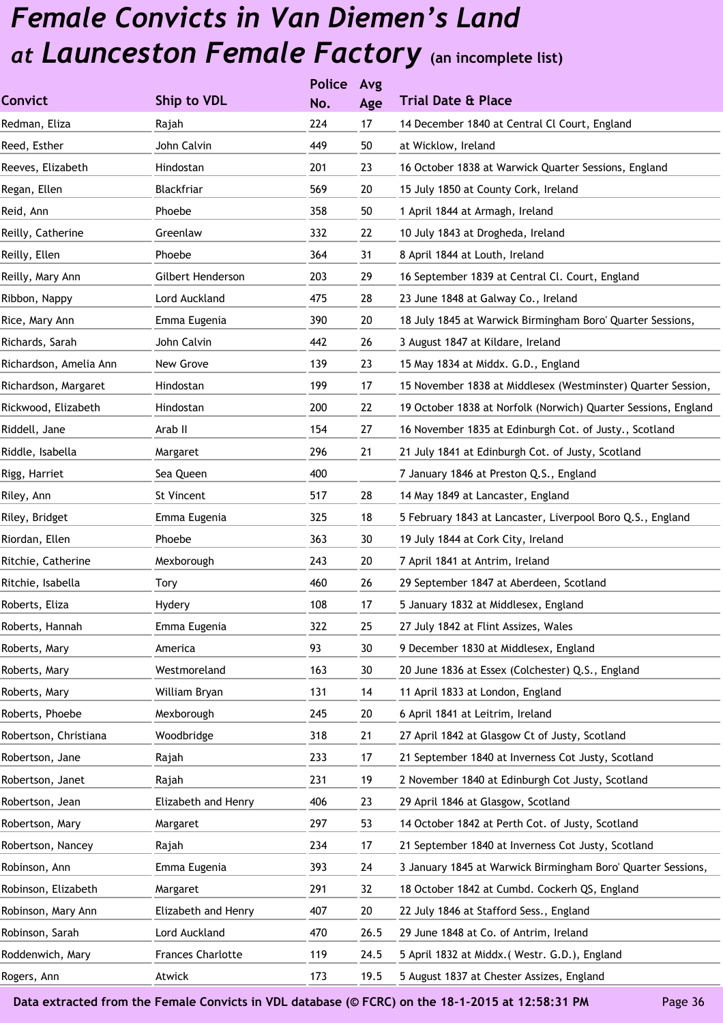|                        |                          | <b>Police</b> | Avg  |                                                                |
|------------------------|--------------------------|---------------|------|----------------------------------------------------------------|
| <b>Convict</b>         | Ship to VDL              | No.           | Age  | <b>Trial Date &amp; Place</b>                                  |
| Redman, Eliza          | Rajah                    | 224           | 17   | 14 December 1840 at Central Cl Court, England                  |
| Reed, Esther           | John Calvin              | 449           | 50   | at Wicklow, Ireland                                            |
| Reeves, Elizabeth      | Hindostan                | 201           | 23   | 16 October 1838 at Warwick Quarter Sessions, England           |
| Regan, Ellen           | Blackfriar               | 569           | 20   | 15 July 1850 at County Cork, Ireland                           |
| Reid, Ann              | Phoebe                   | 358           | 50   | 1 April 1844 at Armagh, Ireland                                |
| Reilly, Catherine      | Greenlaw                 | 332           | 22   | 10 July 1843 at Drogheda, Ireland                              |
| Reilly, Ellen          | Phoebe                   | 364           | 31   | 8 April 1844 at Louth, Ireland                                 |
| Reilly, Mary Ann       | Gilbert Henderson        | 203           | 29   | 16 September 1839 at Central Cl. Court, England                |
| Ribbon, Nappy          | Lord Auckland            | 475           | 28   | 23 June 1848 at Galway Co., Ireland                            |
| Rice, Mary Ann         | Emma Eugenia             | 390           | 20   | 18 July 1845 at Warwick Birmingham Boro' Quarter Sessions,     |
| Richards, Sarah        | John Calvin              | 442           | 26   | 3 August 1847 at Kildare, Ireland                              |
| Richardson, Amelia Ann | New Grove                | 139           | 23   | 15 May 1834 at Middx. G.D., England                            |
| Richardson, Margaret   | Hindostan                | 199           | 17   | 15 November 1838 at Middlesex (Westminster) Quarter Session,   |
| Rickwood, Elizabeth    | Hindostan                | 200           | 22   | 19 October 1838 at Norfolk (Norwich) Quarter Sessions, England |
| Riddell, Jane          | Arab II                  | 154           | 27   | 16 November 1835 at Edinburgh Cot. of Justy., Scotland         |
| Riddle, Isabella       | Margaret                 | 296           | 21   | 21 July 1841 at Edinburgh Cot. of Justy, Scotland              |
| Rigg, Harriet          | Sea Queen                | 400           |      | 7 January 1846 at Preston Q.S., England                        |
| Riley, Ann             | St Vincent               | 517           | 28   | 14 May 1849 at Lancaster, England                              |
| Riley, Bridget         | Emma Eugenia             | 325           | 18   | 5 February 1843 at Lancaster, Liverpool Boro Q.S., England     |
| Riordan, Ellen         | Phoebe                   | 363           | 30   | 19 July 1844 at Cork City, Ireland                             |
| Ritchie, Catherine     | Mexborough               | 243           | 20   | 7 April 1841 at Antrim, Ireland                                |
| Ritchie, Isabella      | Tory                     | 460           | 26   | 29 September 1847 at Aberdeen, Scotland                        |
| Roberts, Eliza         | Hydery                   | 108           | 17   | 5 January 1832 at Middlesex, England                           |
| Roberts, Hannah        | Emma Eugenia             | 322           | 25   | 27 July 1842 at Flint Assizes, Wales                           |
| Roberts, Mary          | America                  | 93            | 30   | 9 December 1830 at Middlesex, England                          |
| Roberts, Mary          | Westmoreland             | 163           | 30   | 20 June 1836 at Essex (Colchester) Q.S., England               |
| Roberts, Mary          | William Bryan            | 131           | 14   | 11 April 1833 at London, England                               |
| Roberts, Phoebe        | Mexborough               | 245           | 20   | 6 April 1841 at Leitrim, Ireland                               |
| Robertson, Christiana  | Woodbridge               | 318           | 21   | 27 April 1842 at Glasgow Ct of Justy, Scotland                 |
| Robertson, Jane        | Rajah                    | 233           | 17   | 21 September 1840 at Inverness Cot Justy, Scotland             |
| Robertson, Janet       | Rajah                    | 231           | 19   | 2 November 1840 at Edinburgh Cot Justy, Scotland               |
| Robertson, Jean        | Elizabeth and Henry      | 406           | 23   | 29 April 1846 at Glasgow, Scotland                             |
| Robertson, Mary        | Margaret                 | 297           | 53   | 14 October 1842 at Perth Cot. of Justy, Scotland               |
| Robertson, Nancey      | Rajah                    | 234           | 17   | 21 September 1840 at Inverness Cot Justy, Scotland             |
| Robinson, Ann          | Emma Eugenia             | 393           | 24   | 3 January 1845 at Warwick Birmingham Boro' Quarter Sessions,   |
| Robinson, Elizabeth    | Margaret                 | 291           | 32   | 18 October 1842 at Cumbd. Cockerh QS, England                  |
| Robinson, Mary Ann     | Elizabeth and Henry      | 407           | 20   | 22 July 1846 at Stafford Sess., England                        |
| Robinson, Sarah        | Lord Auckland            | 470           | 26.5 | 29 June 1848 at Co. of Antrim, Ireland                         |
| Roddenwich, Mary       | <b>Frances Charlotte</b> | 119           | 24.5 | 5 April 1832 at Middx. (Westr. G.D.), England                  |
| Rogers, Ann            | Atwick                   | 173           | 19.5 | 5 August 1837 at Chester Assizes, England                      |
|                        |                          |               |      |                                                                |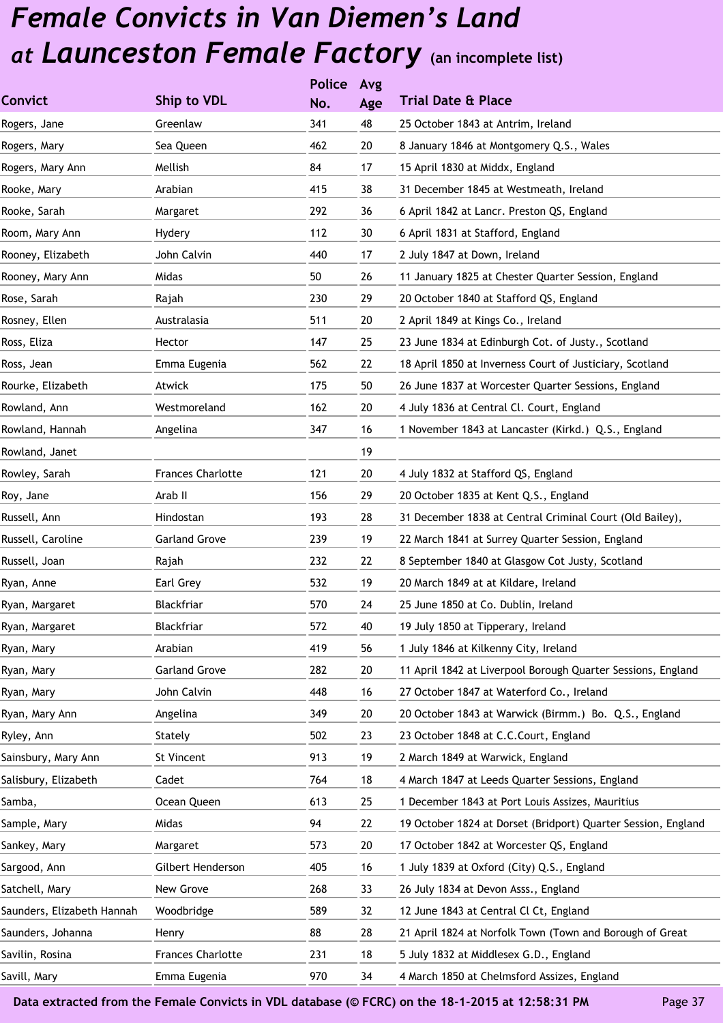|                            |                          | <b>Police</b> | Avg |                                                               |
|----------------------------|--------------------------|---------------|-----|---------------------------------------------------------------|
| <b>Convict</b>             | Ship to VDL              | No.           | Age | <b>Trial Date &amp; Place</b>                                 |
| Rogers, Jane               | Greenlaw                 | 341           | 48  | 25 October 1843 at Antrim, Ireland                            |
| Rogers, Mary               | Sea Queen                | 462           | 20  | 8 January 1846 at Montgomery Q.S., Wales                      |
| Rogers, Mary Ann           | Mellish                  | 84            | 17  | 15 April 1830 at Middx, England                               |
| Rooke, Mary                | Arabian                  | 415           | 38  | 31 December 1845 at Westmeath, Ireland                        |
| Rooke, Sarah               | Margaret                 | 292           | 36  | 6 April 1842 at Lancr. Preston QS, England                    |
| Room, Mary Ann             | Hydery                   | 112           | 30  | 6 April 1831 at Stafford, England                             |
| Rooney, Elizabeth          | John Calvin              | 440           | 17  | 2 July 1847 at Down, Ireland                                  |
| Rooney, Mary Ann           | Midas                    | 50            | 26  | 11 January 1825 at Chester Quarter Session, England           |
| Rose, Sarah                | Rajah                    | 230           | 29  | 20 October 1840 at Stafford QS, England                       |
| Rosney, Ellen              | Australasia              | 511           | 20  | 2 April 1849 at Kings Co., Ireland                            |
| Ross, Eliza                | Hector                   | 147           | 25  | 23 June 1834 at Edinburgh Cot. of Justy., Scotland            |
| Ross, Jean                 | Emma Eugenia             | 562           | 22  | 18 April 1850 at Inverness Court of Justiciary, Scotland      |
| Rourke, Elizabeth          | Atwick                   | 175           | 50  | 26 June 1837 at Worcester Quarter Sessions, England           |
| Rowland, Ann               | Westmoreland             | 162           | 20  | 4 July 1836 at Central Cl. Court, England                     |
| Rowland, Hannah            | Angelina                 | 347           | 16  | 1 November 1843 at Lancaster (Kirkd.) Q.S., England           |
| Rowland, Janet             |                          |               | 19  |                                                               |
| Rowley, Sarah              | <b>Frances Charlotte</b> | 121           | 20  | 4 July 1832 at Stafford QS, England                           |
| Roy, Jane                  | Arab II                  | 156           | 29  | 20 October 1835 at Kent Q.S., England                         |
| Russell, Ann               | Hindostan                | 193           | 28  | 31 December 1838 at Central Criminal Court (Old Bailey),      |
| Russell, Caroline          | <b>Garland Grove</b>     | 239           | 19  | 22 March 1841 at Surrey Quarter Session, England              |
| Russell, Joan              | Rajah                    | 232           | 22  | 8 September 1840 at Glasgow Cot Justy, Scotland               |
| Ryan, Anne                 | Earl Grey                | 532           | 19  | 20 March 1849 at at Kildare, Ireland                          |
| Ryan, Margaret             | Blackfriar               | 570           | 24  | 25 June 1850 at Co. Dublin, Ireland                           |
| Ryan, Margaret             | Blackfriar               | 572           | 40  | 19 July 1850 at Tipperary, Ireland                            |
| Ryan, Mary                 | Arabian                  | 419           | 56  | 1 July 1846 at Kilkenny City, Ireland                         |
| Ryan, Mary                 | <b>Garland Grove</b>     | 282           | 20  | 11 April 1842 at Liverpool Borough Quarter Sessions, England  |
| Ryan, Mary                 | John Calvin              | 448           | 16  | 27 October 1847 at Waterford Co., Ireland                     |
| Ryan, Mary Ann             | Angelina                 | 349           | 20  | 20 October 1843 at Warwick (Birmm.) Bo. Q.S., England         |
| Ryley, Ann                 | Stately                  | 502           | 23  | 23 October 1848 at C.C.Court, England                         |
| Sainsbury, Mary Ann        | St Vincent               | 913           | 19  | 2 March 1849 at Warwick, England                              |
| Salisbury, Elizabeth       | Cadet                    | 764           | 18  | 4 March 1847 at Leeds Quarter Sessions, England               |
| Samba,                     | Ocean Queen              | 613           | 25  | 1 December 1843 at Port Louis Assizes, Mauritius              |
| Sample, Mary               | Midas                    | 94            | 22  | 19 October 1824 at Dorset (Bridport) Quarter Session, England |
| Sankey, Mary               | Margaret                 | 573           | 20  | 17 October 1842 at Worcester QS, England                      |
| Sargood, Ann               | Gilbert Henderson        | 405           | 16  | 1 July 1839 at Oxford (City) Q.S., England                    |
| Satchell, Mary             | New Grove                | 268           | 33  | 26 July 1834 at Devon Asss., England                          |
| Saunders, Elizabeth Hannah | Woodbridge               | 589           | 32  | 12 June 1843 at Central Cl Ct, England                        |
| Saunders, Johanna          | Henry                    | 88            | 28  | 21 April 1824 at Norfolk Town (Town and Borough of Great      |
| Savilin, Rosina            | <b>Frances Charlotte</b> | 231           | 18  | 5 July 1832 at Middlesex G.D., England                        |
| Savill, Mary               | Emma Eugenia             | 970           | 34  | 4 March 1850 at Chelmsford Assizes, England                   |
|                            |                          |               |     |                                                               |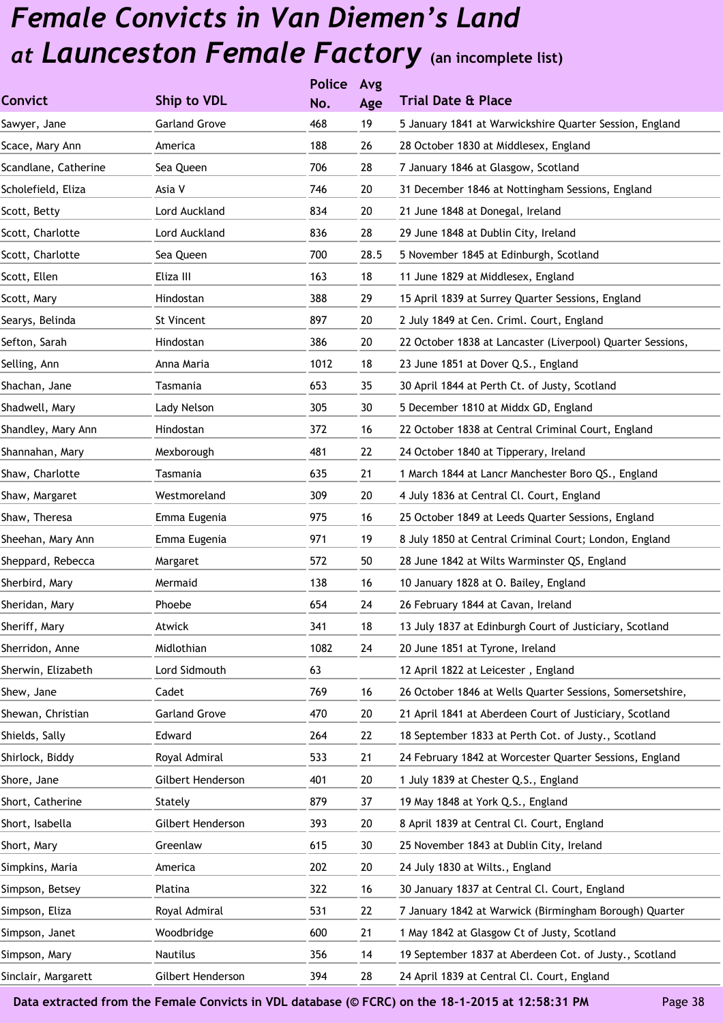|                      |                      | <b>Police</b> | Avg  |                                                            |
|----------------------|----------------------|---------------|------|------------------------------------------------------------|
| <b>Convict</b>       | Ship to VDL          | No.           | Age  | <b>Trial Date &amp; Place</b>                              |
| Sawyer, Jane         | <b>Garland Grove</b> | 468           | 19   | 5 January 1841 at Warwickshire Quarter Session, England    |
| Scace, Mary Ann      | America              | 188           | 26   | 28 October 1830 at Middlesex, England                      |
| Scandlane, Catherine | Sea Queen            | 706           | 28   | 7 January 1846 at Glasgow, Scotland                        |
| Scholefield, Eliza   | Asia V               | 746           | 20   | 31 December 1846 at Nottingham Sessions, England           |
| Scott, Betty         | Lord Auckland        | 834           | 20   | 21 June 1848 at Donegal, Ireland                           |
| Scott, Charlotte     | Lord Auckland        | 836           | 28   | 29 June 1848 at Dublin City, Ireland                       |
| Scott, Charlotte     | Sea Queen            | 700           | 28.5 | 5 November 1845 at Edinburgh, Scotland                     |
| Scott, Ellen         | Eliza III            | 163           | 18   | 11 June 1829 at Middlesex, England                         |
| Scott, Mary          | Hindostan            | 388           | 29   | 15 April 1839 at Surrey Quarter Sessions, England          |
| Searys, Belinda      | St Vincent           | 897           | 20   | 2 July 1849 at Cen. Criml. Court, England                  |
| Sefton, Sarah        | Hindostan            | 386           | 20   | 22 October 1838 at Lancaster (Liverpool) Quarter Sessions, |
| Selling, Ann         | Anna Maria           | 1012          | 18   | 23 June 1851 at Dover Q.S., England                        |
| Shachan, Jane        | Tasmania             | 653           | 35   | 30 April 1844 at Perth Ct. of Justy, Scotland              |
| Shadwell, Mary       | Lady Nelson          | 305           | 30   | 5 December 1810 at Middx GD, England                       |
| Shandley, Mary Ann   | Hindostan            | 372           | 16   | 22 October 1838 at Central Criminal Court, England         |
| Shannahan, Mary      | Mexborough           | 481           | 22   | 24 October 1840 at Tipperary, Ireland                      |
| Shaw, Charlotte      | Tasmania             | 635           | 21   | 1 March 1844 at Lancr Manchester Boro QS., England         |
| Shaw, Margaret       | Westmoreland         | 309           | 20   | 4 July 1836 at Central Cl. Court, England                  |
| Shaw, Theresa        | Emma Eugenia         | 975           | 16   | 25 October 1849 at Leeds Quarter Sessions, England         |
| Sheehan, Mary Ann    | Emma Eugenia         | 971           | 19   | 8 July 1850 at Central Criminal Court; London, England     |
| Sheppard, Rebecca    | Margaret             | 572           | 50   | 28 June 1842 at Wilts Warminster QS, England               |
| Sherbird, Mary       | Mermaid              | 138           | 16   | 10 January 1828 at O. Bailey, England                      |
| Sheridan, Mary       | Phoebe               | 654           | 24   | 26 February 1844 at Cavan, Ireland                         |
| Sheriff, Mary        | Atwick               | 341           | 18   | 13 July 1837 at Edinburgh Court of Justiciary, Scotland    |
| Sherridon, Anne      | Midlothian           | 1082          | 24   | 20 June 1851 at Tyrone, Ireland                            |
| Sherwin, Elizabeth   | Lord Sidmouth        | 63            |      | 12 April 1822 at Leicester, England                        |
| Shew, Jane           | Cadet                | 769           | 16   | 26 October 1846 at Wells Quarter Sessions, Somersetshire,  |
| Shewan, Christian    | <b>Garland Grove</b> | 470           | 20   | 21 April 1841 at Aberdeen Court of Justiciary, Scotland    |
| Shields, Sally       | Edward               | 264           | 22   | 18 September 1833 at Perth Cot. of Justy., Scotland        |
| Shirlock, Biddy      | Royal Admiral        | 533           | 21   | 24 February 1842 at Worcester Quarter Sessions, England    |
| Shore, Jane          | Gilbert Henderson    | 401           | 20   | 1 July 1839 at Chester Q.S., England                       |
| Short, Catherine     | Stately              | 879           | 37   | 19 May 1848 at York Q.S., England                          |
| Short, Isabella      | Gilbert Henderson    | 393           | 20   | 8 April 1839 at Central Cl. Court, England                 |
| Short, Mary          | Greenlaw             | 615           | 30   | 25 November 1843 at Dublin City, Ireland                   |
| Simpkins, Maria      | America              | 202           | 20   | 24 July 1830 at Wilts., England                            |
| Simpson, Betsey      | Platina              | 322           | 16   | 30 January 1837 at Central Cl. Court, England              |
| Simpson, Eliza       | Royal Admiral        | 531           | 22   | 7 January 1842 at Warwick (Birmingham Borough) Quarter     |
| Simpson, Janet       | Woodbridge           | 600           | 21   | 1 May 1842 at Glasgow Ct of Justy, Scotland                |
| Simpson, Mary        | Nautilus             | 356           | 14   | 19 September 1837 at Aberdeen Cot. of Justy., Scotland     |
| Sinclair, Margarett  | Gilbert Henderson    | 394           | 28   | 24 April 1839 at Central Cl. Court, England                |
|                      |                      |               |      |                                                            |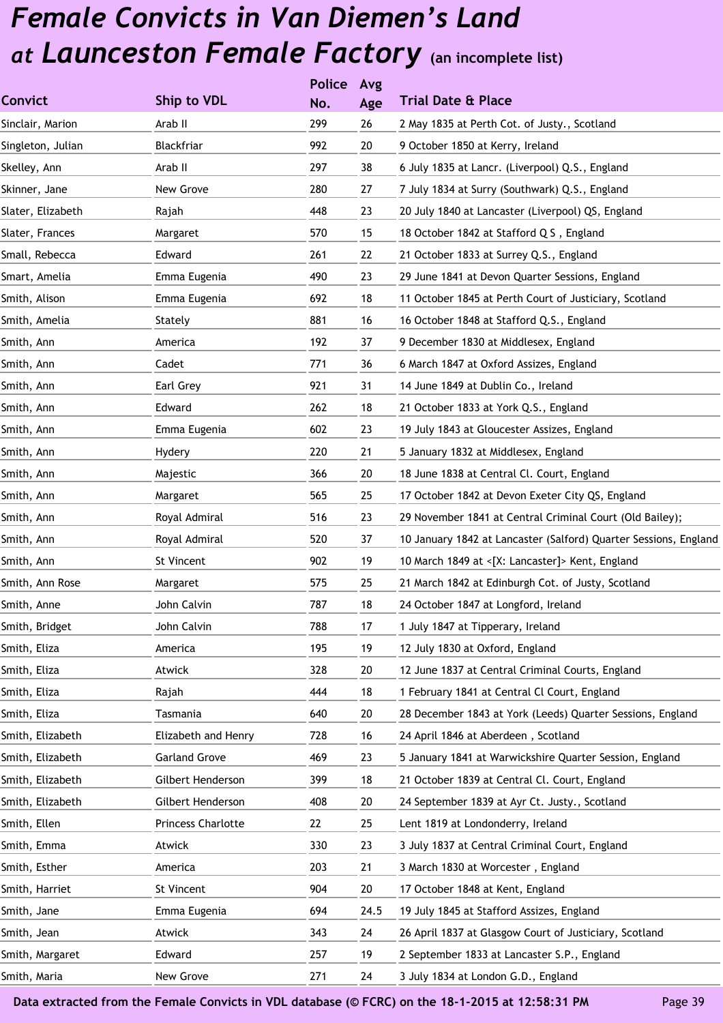|                   |                      | <b>Police</b> | Avg  |                                                                  |
|-------------------|----------------------|---------------|------|------------------------------------------------------------------|
| <b>Convict</b>    | Ship to VDL          | No.           | Age  | <b>Trial Date &amp; Place</b>                                    |
| Sinclair, Marion  | Arab II              | 299           | 26   | 2 May 1835 at Perth Cot. of Justy., Scotland                     |
| Singleton, Julian | Blackfriar           | 992           | 20   | 9 October 1850 at Kerry, Ireland                                 |
| Skelley, Ann      | Arab II              | 297           | 38   | 6 July 1835 at Lancr. (Liverpool) Q.S., England                  |
| Skinner, Jane     | New Grove            | 280           | 27   | 7 July 1834 at Surry (Southwark) Q.S., England                   |
| Slater, Elizabeth | Rajah                | 448           | 23   | 20 July 1840 at Lancaster (Liverpool) QS, England                |
| Slater, Frances   | Margaret             | 570           | 15   | 18 October 1842 at Stafford Q S, England                         |
| Small, Rebecca    | Edward               | 261           | 22   | 21 October 1833 at Surrey Q.S., England                          |
| Smart, Amelia     | Emma Eugenia         | 490           | 23   | 29 June 1841 at Devon Quarter Sessions, England                  |
| Smith, Alison     | Emma Eugenia         | 692           | 18   | 11 October 1845 at Perth Court of Justiciary, Scotland           |
| Smith, Amelia     | Stately              | 881           | 16   | 16 October 1848 at Stafford Q.S., England                        |
| Smith, Ann        | America              | 192           | 37   | 9 December 1830 at Middlesex, England                            |
| Smith, Ann        | Cadet                | 771           | 36   | 6 March 1847 at Oxford Assizes, England                          |
| Smith, Ann        | Earl Grey            | 921           | 31   | 14 June 1849 at Dublin Co., Ireland                              |
| Smith, Ann        | Edward               | 262           | 18   | 21 October 1833 at York Q.S., England                            |
| Smith, Ann        | Emma Eugenia         | 602           | 23   | 19 July 1843 at Gloucester Assizes, England                      |
| Smith, Ann        | Hydery               | 220           | 21   | 5 January 1832 at Middlesex, England                             |
| Smith, Ann        | Majestic             | 366           | 20   | 18 June 1838 at Central Cl. Court, England                       |
| Smith, Ann        | Margaret             | 565           | 25   | 17 October 1842 at Devon Exeter City QS, England                 |
| Smith, Ann        | Royal Admiral        | 516           | 23   | 29 November 1841 at Central Criminal Court (Old Bailey);         |
| Smith, Ann        | Royal Admiral        | 520           | 37   | 10 January 1842 at Lancaster (Salford) Quarter Sessions, England |
| Smith, Ann        | St Vincent           | 902           | 19   | 10 March 1849 at <[X: Lancaster]> Kent, England                  |
| Smith, Ann Rose   | Margaret             | 575           | 25   | 21 March 1842 at Edinburgh Cot. of Justy, Scotland               |
| Smith, Anne       | John Calvin          | 787           | 18   | 24 October 1847 at Longford, Ireland                             |
| Smith, Bridget    | John Calvin          | 788           | 17   | 1 July 1847 at Tipperary, Ireland                                |
| Smith, Eliza      | America              | 195           | 19   | 12 July 1830 at Oxford, England                                  |
| Smith, Eliza      | Atwick               | 328           | 20   | 12 June 1837 at Central Criminal Courts, England                 |
| Smith, Eliza      | Rajah                | 444           | 18   | 1 February 1841 at Central Cl Court, England                     |
| Smith, Eliza      | Tasmania             | 640           | 20   | 28 December 1843 at York (Leeds) Quarter Sessions, England       |
| Smith, Elizabeth  | Elizabeth and Henry  | 728           | 16   | 24 April 1846 at Aberdeen, Scotland                              |
| Smith, Elizabeth  | <b>Garland Grove</b> | 469           | 23   | 5 January 1841 at Warwickshire Quarter Session, England          |
| Smith, Elizabeth  | Gilbert Henderson    | 399           | 18   | 21 October 1839 at Central Cl. Court, England                    |
| Smith, Elizabeth  | Gilbert Henderson    | 408           | 20   | 24 September 1839 at Ayr Ct. Justy., Scotland                    |
| Smith, Ellen      | Princess Charlotte   | 22            | 25   | Lent 1819 at Londonderry, Ireland                                |
| Smith, Emma       | Atwick               | 330           | 23   | 3 July 1837 at Central Criminal Court, England                   |
| Smith, Esther     | America              | 203           | 21   | 3 March 1830 at Worcester, England                               |
| Smith, Harriet    | St Vincent           | 904           | 20   | 17 October 1848 at Kent, England                                 |
| Smith, Jane       | Emma Eugenia         | 694           | 24.5 | 19 July 1845 at Stafford Assizes, England                        |
| Smith, Jean       | Atwick               | 343           | 24   | 26 April 1837 at Glasgow Court of Justiciary, Scotland           |
| Smith, Margaret   | Edward               | 257           | 19   | 2 September 1833 at Lancaster S.P., England                      |
| Smith, Maria      | New Grove            | 271           | 24   | 3 July 1834 at London G.D., England                              |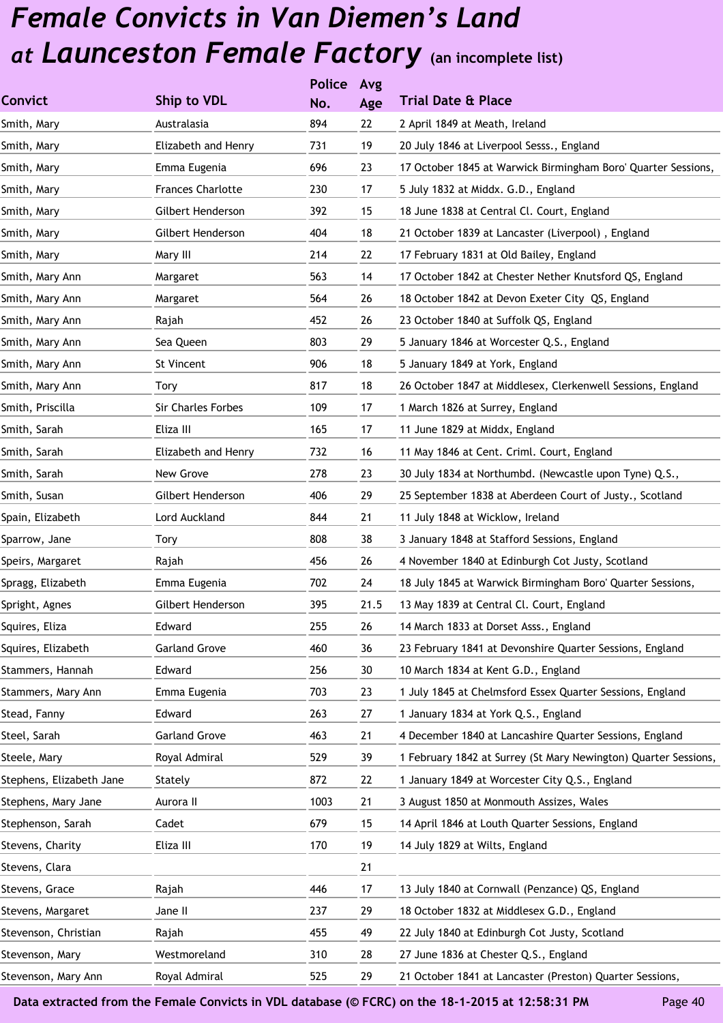|                          |                           | <b>Police</b> | Avg  |                                                                 |
|--------------------------|---------------------------|---------------|------|-----------------------------------------------------------------|
| <b>Convict</b>           | Ship to VDL               | No.           | Age  | <b>Trial Date &amp; Place</b>                                   |
| Smith, Mary              | Australasia               | 894           | 22   | 2 April 1849 at Meath, Ireland                                  |
| Smith, Mary              | Elizabeth and Henry       | 731           | 19   | 20 July 1846 at Liverpool Sesss., England                       |
| Smith, Mary              | Emma Eugenia              | 696           | 23   | 17 October 1845 at Warwick Birmingham Boro' Quarter Sessions,   |
| Smith, Mary              | <b>Frances Charlotte</b>  | 230           | 17   | 5 July 1832 at Middx. G.D., England                             |
| Smith, Mary              | Gilbert Henderson         | 392           | 15   | 18 June 1838 at Central Cl. Court, England                      |
| Smith, Mary              | Gilbert Henderson         | 404           | 18   | 21 October 1839 at Lancaster (Liverpool), England               |
| Smith, Mary              | Mary III                  | 214           | 22   | 17 February 1831 at Old Bailey, England                         |
| Smith, Mary Ann          | Margaret                  | 563           | 14   | 17 October 1842 at Chester Nether Knutsford QS, England         |
| Smith, Mary Ann          | Margaret                  | 564           | 26   | 18 October 1842 at Devon Exeter City QS, England                |
| Smith, Mary Ann          | Rajah                     | 452           | 26   | 23 October 1840 at Suffolk QS, England                          |
| Smith, Mary Ann          | Sea Queen                 | 803           | 29   | 5 January 1846 at Worcester Q.S., England                       |
| Smith, Mary Ann          | St Vincent                | 906           | 18   | 5 January 1849 at York, England                                 |
| Smith, Mary Ann          | <b>Tory</b>               | 817           | 18   | 26 October 1847 at Middlesex, Clerkenwell Sessions, England     |
| Smith, Priscilla         | <b>Sir Charles Forbes</b> | 109           | 17   | 1 March 1826 at Surrey, England                                 |
| Smith, Sarah             | Eliza III                 | 165           | 17   | 11 June 1829 at Middx, England                                  |
| Smith, Sarah             | Elizabeth and Henry       | 732           | 16   | 11 May 1846 at Cent. Criml. Court, England                      |
| Smith, Sarah             | New Grove                 | 278           | 23   | 30 July 1834 at Northumbd. (Newcastle upon Tyne) Q.S.,          |
| Smith, Susan             | Gilbert Henderson         | 406           | 29   | 25 September 1838 at Aberdeen Court of Justy., Scotland         |
| Spain, Elizabeth         | Lord Auckland             | 844           | 21   | 11 July 1848 at Wicklow, Ireland                                |
| Sparrow, Jane            | Tory                      | 808           | 38   | 3 January 1848 at Stafford Sessions, England                    |
| Speirs, Margaret         | Rajah                     | 456           | 26   | 4 November 1840 at Edinburgh Cot Justy, Scotland                |
| Spragg, Elizabeth        | Emma Eugenia              | 702           | 24   | 18 July 1845 at Warwick Birmingham Boro' Quarter Sessions,      |
| Spright, Agnes           | Gilbert Henderson         | 395           | 21.5 | 13 May 1839 at Central Cl. Court, England                       |
| Squires, Eliza           | Edward                    | 255           | 26   | 14 March 1833 at Dorset Asss., England                          |
| Squires, Elizabeth       | <b>Garland Grove</b>      | 460           | 36   | 23 February 1841 at Devonshire Quarter Sessions, England        |
| Stammers, Hannah         | Edward                    | 256           | 30   | 10 March 1834 at Kent G.D., England                             |
| Stammers, Mary Ann       | Emma Eugenia              | 703           | 23   | 1 July 1845 at Chelmsford Essex Quarter Sessions, England       |
| Stead, Fanny             | Edward                    | 263           | 27   | 1 January 1834 at York Q.S., England                            |
| Steel, Sarah             | <b>Garland Grove</b>      | 463           | 21   | 4 December 1840 at Lancashire Quarter Sessions, England         |
| Steele, Mary             | Royal Admiral             | 529           | 39   | 1 February 1842 at Surrey (St Mary Newington) Quarter Sessions, |
| Stephens, Elizabeth Jane | Stately                   | 872           | 22   | 1 January 1849 at Worcester City Q.S., England                  |
| Stephens, Mary Jane      | Aurora II                 | 1003          | 21   | 3 August 1850 at Monmouth Assizes, Wales                        |
| Stephenson, Sarah        | Cadet                     | 679           | 15   | 14 April 1846 at Louth Quarter Sessions, England                |
| Stevens, Charity         | Eliza III                 | 170           | 19   | 14 July 1829 at Wilts, England                                  |
| Stevens, Clara           |                           |               | 21   |                                                                 |
| Stevens, Grace           | Rajah                     | 446           | 17   | 13 July 1840 at Cornwall (Penzance) QS, England                 |
| Stevens, Margaret        | Jane II                   | 237           | 29   | 18 October 1832 at Middlesex G.D., England                      |
| Stevenson, Christian     | Rajah                     | 455           | 49   | 22 July 1840 at Edinburgh Cot Justy, Scotland                   |
| Stevenson, Mary          | Westmoreland              | 310           | 28   | 27 June 1836 at Chester Q.S., England                           |
| Stevenson, Mary Ann      | Royal Admiral             | 525           | 29   | 21 October 1841 at Lancaster (Preston) Quarter Sessions,        |
|                          |                           |               |      |                                                                 |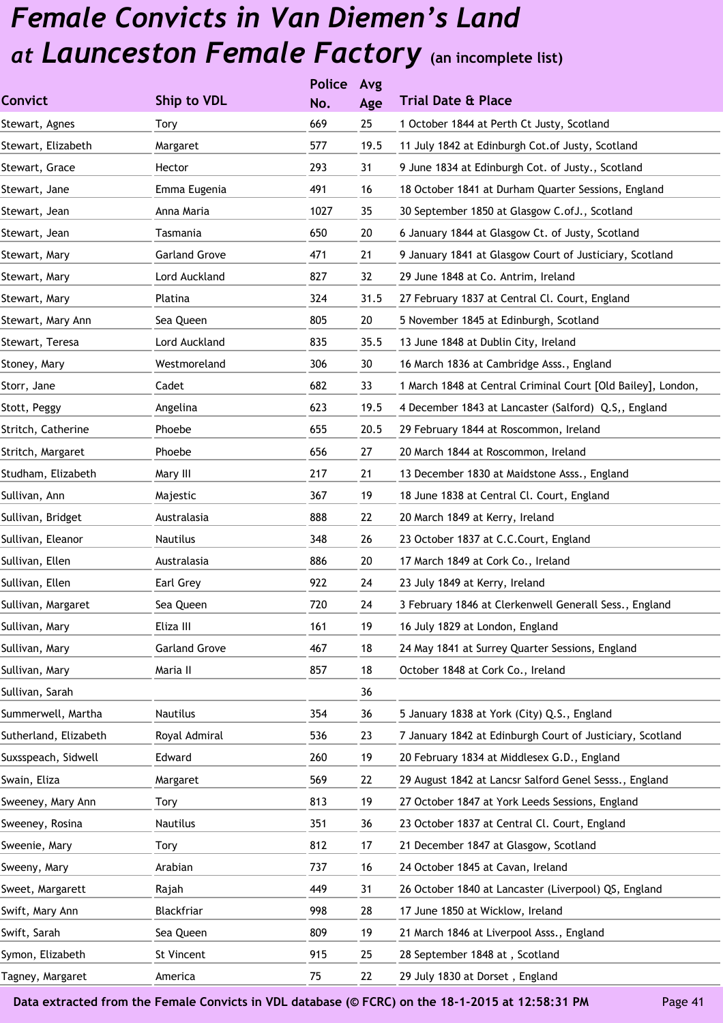|                       |                      | <b>Police</b> | Avg  |                                                              |
|-----------------------|----------------------|---------------|------|--------------------------------------------------------------|
| <b>Convict</b>        | Ship to VDL          | No.           | Age  | <b>Trial Date &amp; Place</b>                                |
| Stewart, Agnes        | Tory                 | 669           | 25   | 1 October 1844 at Perth Ct Justy, Scotland                   |
| Stewart, Elizabeth    | Margaret             | 577           | 19.5 | 11 July 1842 at Edinburgh Cot. of Justy, Scotland            |
| Stewart, Grace        | Hector               | 293           | 31   | 9 June 1834 at Edinburgh Cot. of Justy., Scotland            |
| Stewart, Jane         | Emma Eugenia         | 491           | 16   | 18 October 1841 at Durham Quarter Sessions, England          |
| Stewart, Jean         | Anna Maria           | 1027          | 35   | 30 September 1850 at Glasgow C.ofJ., Scotland                |
| Stewart, Jean         | Tasmania             | 650           | 20   | 6 January 1844 at Glasgow Ct. of Justy, Scotland             |
| Stewart, Mary         | <b>Garland Grove</b> | 471           | 21   | 9 January 1841 at Glasgow Court of Justiciary, Scotland      |
| Stewart, Mary         | Lord Auckland        | 827           | 32   | 29 June 1848 at Co. Antrim, Ireland                          |
| Stewart, Mary         | Platina              | 324           | 31.5 | 27 February 1837 at Central Cl. Court, England               |
| Stewart, Mary Ann     | Sea Queen            | 805           | 20   | 5 November 1845 at Edinburgh, Scotland                       |
| Stewart, Teresa       | Lord Auckland        | 835           | 35.5 | 13 June 1848 at Dublin City, Ireland                         |
| Stoney, Mary          | Westmoreland         | 306           | 30   | 16 March 1836 at Cambridge Asss., England                    |
| Storr, Jane           | Cadet                | 682           | 33   | 1 March 1848 at Central Criminal Court [Old Bailey], London, |
| Stott, Peggy          | Angelina             | 623           | 19.5 | 4 December 1843 at Lancaster (Salford) Q.S,, England         |
| Stritch, Catherine    | Phoebe               | 655           | 20.5 | 29 February 1844 at Roscommon, Ireland                       |
| Stritch, Margaret     | Phoebe               | 656           | 27   | 20 March 1844 at Roscommon, Ireland                          |
| Studham, Elizabeth    | Mary III             | 217           | 21   | 13 December 1830 at Maidstone Asss., England                 |
| Sullivan, Ann         | Majestic             | 367           | 19   | 18 June 1838 at Central Cl. Court, England                   |
| Sullivan, Bridget     | Australasia          | 888           | 22   | 20 March 1849 at Kerry, Ireland                              |
| Sullivan, Eleanor     | Nautilus             | 348           | 26   | 23 October 1837 at C.C.Court, England                        |
| Sullivan, Ellen       | Australasia          | 886           | 20   | 17 March 1849 at Cork Co., Ireland                           |
| Sullivan, Ellen       | Earl Grey            | 922           | 24   | 23 July 1849 at Kerry, Ireland                               |
| Sullivan, Margaret    | Sea Queen            | 720           | 24   | 3 February 1846 at Clerkenwell Generall Sess., England       |
| Sullivan, Mary        | Eliza III            | 161           | 19   | 16 July 1829 at London, England                              |
| Sullivan, Mary        | <b>Garland Grove</b> | 467           | 18   | 24 May 1841 at Surrey Quarter Sessions, England              |
| Sullivan, Mary        | Maria II             | 857           | 18   | October 1848 at Cork Co., Ireland                            |
| Sullivan, Sarah       |                      |               | 36   |                                                              |
| Summerwell, Martha    | Nautilus             | 354           | 36   | 5 January 1838 at York (City) Q.S., England                  |
| Sutherland, Elizabeth | Royal Admiral        | 536           | 23   | 7 January 1842 at Edinburgh Court of Justiciary, Scotland    |
| Suxsspeach, Sidwell   | Edward               | 260           | 19   | 20 February 1834 at Middlesex G.D., England                  |
| Swain, Eliza          | Margaret             | 569           | 22   | 29 August 1842 at Lancsr Salford Genel Sesss., England       |
| Sweeney, Mary Ann     | Tory                 | 813           | 19   | 27 October 1847 at York Leeds Sessions, England              |
| Sweeney, Rosina       | Nautilus             | 351           | 36   | 23 October 1837 at Central Cl. Court, England                |
| Sweenie, Mary         | Tory                 | 812           | 17   | 21 December 1847 at Glasgow, Scotland                        |
| Sweeny, Mary          | Arabian              | 737           | 16   | 24 October 1845 at Cavan, Ireland                            |
| Sweet, Margarett      | Rajah                | 449           | 31   | 26 October 1840 at Lancaster (Liverpool) QS, England         |
| Swift, Mary Ann       | Blackfriar           | 998           | 28   | 17 June 1850 at Wicklow, Ireland                             |
| Swift, Sarah          | Sea Queen            | 809           | 19   | 21 March 1846 at Liverpool Asss., England                    |
| Symon, Elizabeth      | St Vincent           | 915           | 25   | 28 September 1848 at, Scotland                               |
| Tagney, Margaret      | America              | 75            | 22   | 29 July 1830 at Dorset, England                              |
|                       |                      |               |      |                                                              |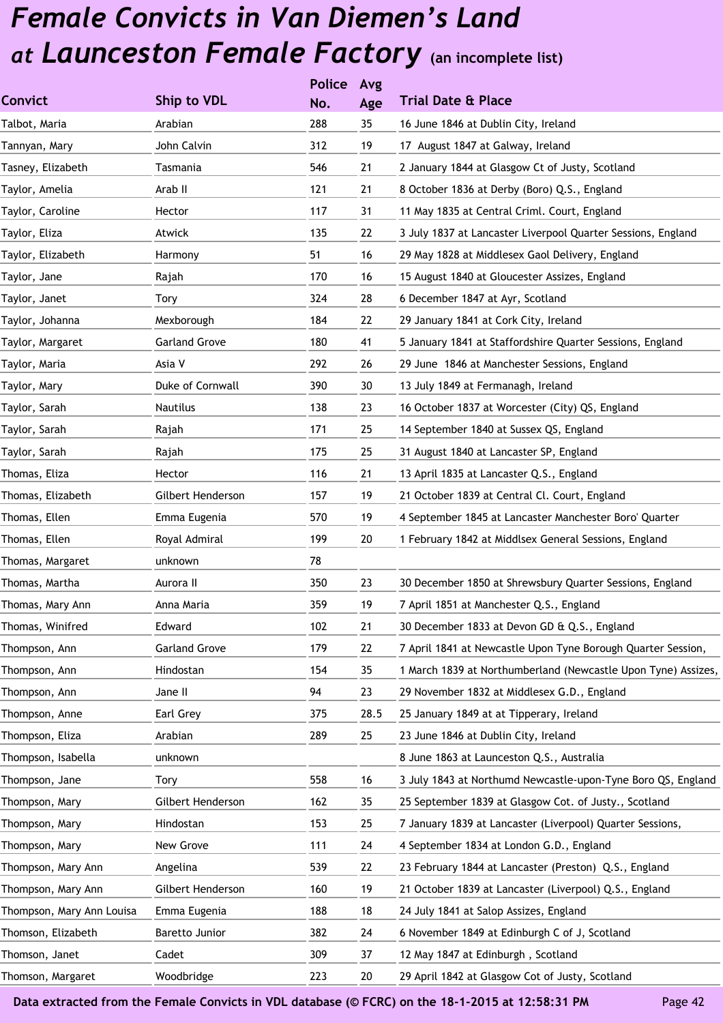|                           |                      | <b>Police</b> | Avg  |                                                               |
|---------------------------|----------------------|---------------|------|---------------------------------------------------------------|
| <b>Convict</b>            | Ship to VDL          | No.           | Age  | <b>Trial Date &amp; Place</b>                                 |
| Talbot, Maria             | Arabian              | 288           | 35   | 16 June 1846 at Dublin City, Ireland                          |
| Tannyan, Mary             | John Calvin          | 312           | 19   | 17 August 1847 at Galway, Ireland                             |
| Tasney, Elizabeth         | Tasmania             | 546           | 21   | 2 January 1844 at Glasgow Ct of Justy, Scotland               |
| Taylor, Amelia            | Arab II              | 121           | 21   | 8 October 1836 at Derby (Boro) Q.S., England                  |
| Taylor, Caroline          | Hector               | 117           | 31   | 11 May 1835 at Central Criml. Court, England                  |
| Taylor, Eliza             | Atwick               | 135           | 22   | 3 July 1837 at Lancaster Liverpool Quarter Sessions, England  |
| Taylor, Elizabeth         | Harmony              | 51            | 16   | 29 May 1828 at Middlesex Gaol Delivery, England               |
| Taylor, Jane              | Rajah                | 170           | 16   | 15 August 1840 at Gloucester Assizes, England                 |
| Taylor, Janet             | Tory                 | 324           | 28   | 6 December 1847 at Ayr, Scotland                              |
| Taylor, Johanna           | Mexborough           | 184           | 22   | 29 January 1841 at Cork City, Ireland                         |
| Taylor, Margaret          | <b>Garland Grove</b> | 180           | 41   | 5 January 1841 at Staffordshire Quarter Sessions, England     |
| Taylor, Maria             | Asia V               | 292           | 26   | 29 June 1846 at Manchester Sessions, England                  |
| Taylor, Mary              | Duke of Cornwall     | 390           | 30   | 13 July 1849 at Fermanagh, Ireland                            |
| Taylor, Sarah             | Nautilus             | 138           | 23   | 16 October 1837 at Worcester (City) QS, England               |
| Taylor, Sarah             | Rajah                | 171           | 25   | 14 September 1840 at Sussex QS, England                       |
| Taylor, Sarah             | Rajah                | 175           | 25   | 31 August 1840 at Lancaster SP, England                       |
| Thomas, Eliza             | Hector               | 116           | 21   | 13 April 1835 at Lancaster Q.S., England                      |
| Thomas, Elizabeth         | Gilbert Henderson    | 157           | 19   | 21 October 1839 at Central Cl. Court, England                 |
| Thomas, Ellen             | Emma Eugenia         | 570           | 19   | 4 September 1845 at Lancaster Manchester Boro' Quarter        |
| Thomas, Ellen             | Royal Admiral        | 199           | 20   | 1 February 1842 at Middlsex General Sessions, England         |
| Thomas, Margaret          | unknown              | 78            |      |                                                               |
| Thomas, Martha            | Aurora II            | 350           | 23   | 30 December 1850 at Shrewsbury Quarter Sessions, England      |
| Thomas, Mary Ann          | Anna Maria           | 359           | 19   | 7 April 1851 at Manchester Q.S., England                      |
| Thomas, Winifred          | Edward               | 102           | 21   | 30 December 1833 at Devon GD & Q.S., England                  |
| Thompson, Ann             | <b>Garland Grove</b> | 179           | 22   | 7 April 1841 at Newcastle Upon Tyne Borough Quarter Session,  |
| Thompson, Ann             | Hindostan            | 154           | 35   | 1 March 1839 at Northumberland (Newcastle Upon Tyne) Assizes, |
| Thompson, Ann             | Jane II              | 94            | 23   | 29 November 1832 at Middlesex G.D., England                   |
| Thompson, Anne            | Earl Grey            | 375           | 28.5 | 25 January 1849 at at Tipperary, Ireland                      |
| Thompson, Eliza           | Arabian              | 289           | 25   | 23 June 1846 at Dublin City, Ireland                          |
| Thompson, Isabella        | unknown              |               |      | 8 June 1863 at Launceston Q.S., Australia                     |
| Thompson, Jane            | Tory                 | 558           | 16   | 3 July 1843 at Northumd Newcastle-upon-Tyne Boro QS, England  |
| Thompson, Mary            | Gilbert Henderson    | 162           | 35   | 25 September 1839 at Glasgow Cot. of Justy., Scotland         |
| Thompson, Mary            | Hindostan            | 153           | 25   | 7 January 1839 at Lancaster (Liverpool) Quarter Sessions,     |
| Thompson, Mary            | New Grove            | 111           | 24   | 4 September 1834 at London G.D., England                      |
| Thompson, Mary Ann        | Angelina             | 539           | 22   | 23 February 1844 at Lancaster (Preston) Q.S., England         |
| Thompson, Mary Ann        | Gilbert Henderson    | 160           | 19   | 21 October 1839 at Lancaster (Liverpool) Q.S., England        |
| Thompson, Mary Ann Louisa | Emma Eugenia         | 188           | 18   | 24 July 1841 at Salop Assizes, England                        |
| Thomson, Elizabeth        | Baretto Junior       | 382           | 24   | 6 November 1849 at Edinburgh C of J, Scotland                 |
| Thomson, Janet            | Cadet                | 309           | 37   | 12 May 1847 at Edinburgh, Scotland                            |
| Thomson, Margaret         | Woodbridge           | 223           | 20   | 29 April 1842 at Glasgow Cot of Justy, Scotland               |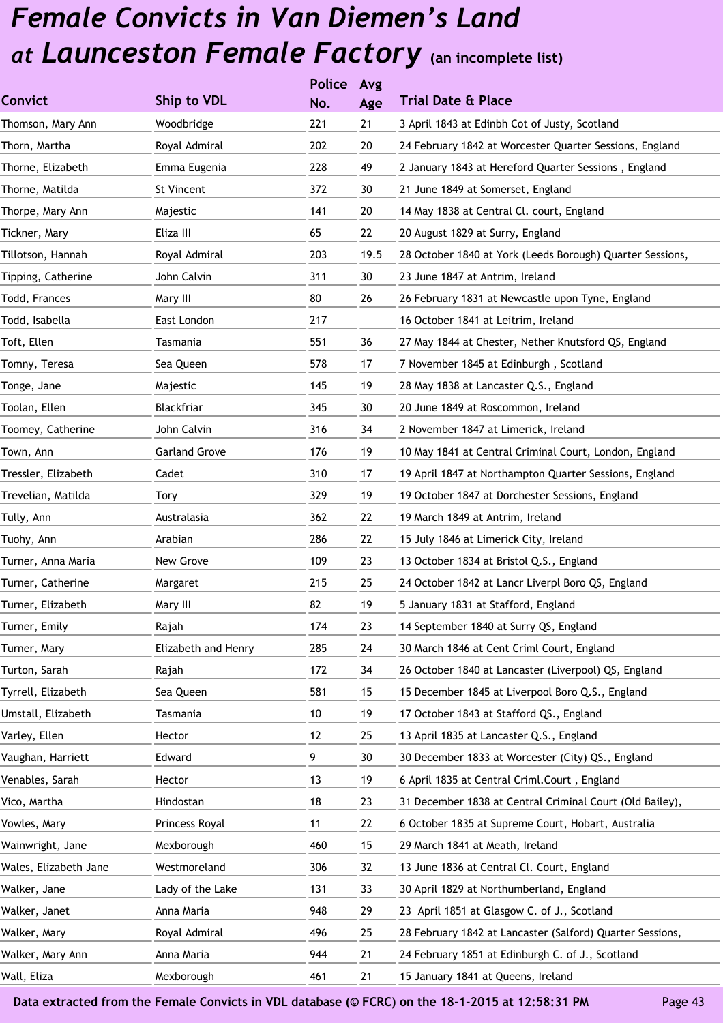|                       |                      | <b>Police</b> | Avg  |                                                           |
|-----------------------|----------------------|---------------|------|-----------------------------------------------------------|
| <b>Convict</b>        | Ship to VDL          | No.           | Age  | <b>Trial Date &amp; Place</b>                             |
| Thomson, Mary Ann     | Woodbridge           | 221           | 21   | 3 April 1843 at Edinbh Cot of Justy, Scotland             |
| Thorn, Martha         | Royal Admiral        | 202           | 20   | 24 February 1842 at Worcester Quarter Sessions, England   |
| Thorne, Elizabeth     | Emma Eugenia         | 228           | 49   | 2 January 1843 at Hereford Quarter Sessions, England      |
| Thorne, Matilda       | St Vincent           | 372           | 30   | 21 June 1849 at Somerset, England                         |
| Thorpe, Mary Ann      | Majestic             | 141           | 20   | 14 May 1838 at Central Cl. court, England                 |
| Tickner, Mary         | Eliza III            | 65            | 22   | 20 August 1829 at Surry, England                          |
| Tillotson, Hannah     | Royal Admiral        | 203           | 19.5 | 28 October 1840 at York (Leeds Borough) Quarter Sessions, |
| Tipping, Catherine    | John Calvin          | 311           | 30   | 23 June 1847 at Antrim, Ireland                           |
| Todd, Frances         | Mary III             | 80            | 26   | 26 February 1831 at Newcastle upon Tyne, England          |
| Todd, Isabella        | East London          | 217           |      | 16 October 1841 at Leitrim, Ireland                       |
| Toft, Ellen           | Tasmania             | 551           | 36   | 27 May 1844 at Chester, Nether Knutsford QS, England      |
| Tomny, Teresa         | Sea Queen            | 578           | 17   | 7 November 1845 at Edinburgh, Scotland                    |
| Tonge, Jane           | Majestic             | 145           | 19   | 28 May 1838 at Lancaster Q.S., England                    |
| Toolan, Ellen         | Blackfriar           | 345           | 30   | 20 June 1849 at Roscommon, Ireland                        |
| Toomey, Catherine     | John Calvin          | 316           | 34   | 2 November 1847 at Limerick, Ireland                      |
| Town, Ann             | <b>Garland Grove</b> | 176           | 19   | 10 May 1841 at Central Criminal Court, London, England    |
| Tressler, Elizabeth   | Cadet                | 310           | 17   | 19 April 1847 at Northampton Quarter Sessions, England    |
| Trevelian, Matilda    | Tory                 | 329           | 19   | 19 October 1847 at Dorchester Sessions, England           |
| Tully, Ann            | Australasia          | 362           | 22   | 19 March 1849 at Antrim, Ireland                          |
| Tuohy, Ann            | Arabian              | 286           | 22   | 15 July 1846 at Limerick City, Ireland                    |
| Turner, Anna Maria    | New Grove            | 109           | 23   | 13 October 1834 at Bristol Q.S., England                  |
| Turner, Catherine     | Margaret             | 215           | 25   | 24 October 1842 at Lancr Liverpl Boro QS, England         |
| Turner, Elizabeth     | Mary III             | 82            | 19   | 5 January 1831 at Stafford, England                       |
| Turner, Emily         | Rajah                | 174           | 23   | 14 September 1840 at Surry QS, England                    |
| Turner, Mary          | Elizabeth and Henry  | 285           | 24   | 30 March 1846 at Cent Criml Court, England                |
| Turton, Sarah         | Rajah                | 172           | 34   | 26 October 1840 at Lancaster (Liverpool) QS, England      |
| Tyrrell, Elizabeth    | Sea Queen            | 581           | 15   | 15 December 1845 at Liverpool Boro Q.S., England          |
| Umstall, Elizabeth    | Tasmania             | 10            | 19   | 17 October 1843 at Stafford QS., England                  |
| Varley, Ellen         | Hector               | 12            | 25   | 13 April 1835 at Lancaster Q.S., England                  |
| Vaughan, Harriett     | Edward               | 9             | 30   | 30 December 1833 at Worcester (City) QS., England         |
| Venables, Sarah       | Hector               | 13            | 19   | 6 April 1835 at Central Criml. Court, England             |
| Vico, Martha          | Hindostan            | 18            | 23   | 31 December 1838 at Central Criminal Court (Old Bailey),  |
| Vowles, Mary          | Princess Royal       | 11            | 22   | 6 October 1835 at Supreme Court, Hobart, Australia        |
| Wainwright, Jane      | Mexborough           | 460           | 15   | 29 March 1841 at Meath, Ireland                           |
| Wales, Elizabeth Jane | Westmoreland         | 306           | 32   | 13 June 1836 at Central Cl. Court, England                |
| Walker, Jane          | Lady of the Lake     | 131           | 33   | 30 April 1829 at Northumberland, England                  |
| Walker, Janet         | Anna Maria           | 948           | 29   | 23 April 1851 at Glasgow C. of J., Scotland               |
| Walker, Mary          | Royal Admiral        | 496           | 25   | 28 February 1842 at Lancaster (Salford) Quarter Sessions, |
| Walker, Mary Ann      | Anna Maria           | 944           | 21   | 24 February 1851 at Edinburgh C. of J., Scotland          |
| Wall, Eliza           | Mexborough           | 461           | 21   | 15 January 1841 at Queens, Ireland                        |
|                       |                      |               |      |                                                           |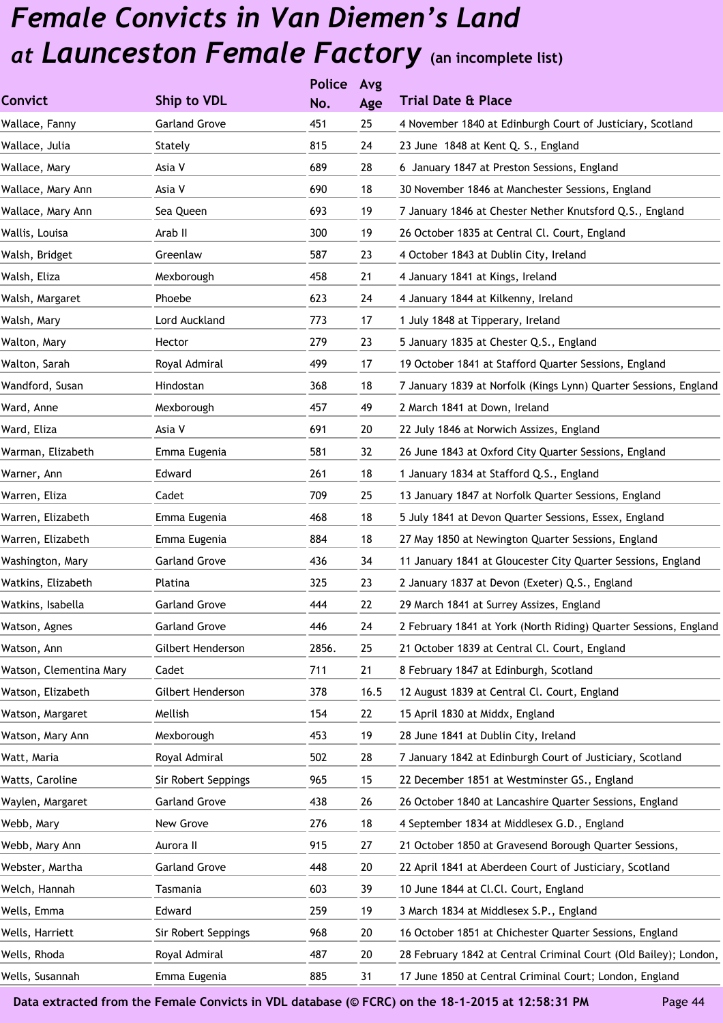|                         |                      | <b>Police</b> | Avg  |                                                                  |
|-------------------------|----------------------|---------------|------|------------------------------------------------------------------|
| <b>Convict</b>          | Ship to VDL          | No.           | Age  | <b>Trial Date &amp; Place</b>                                    |
| Wallace, Fanny          | <b>Garland Grove</b> | 451           | 25   | 4 November 1840 at Edinburgh Court of Justiciary, Scotland       |
| Wallace, Julia          | Stately              | 815           | 24   | 23 June 1848 at Kent Q. S., England                              |
| Wallace, Mary           | Asia V               | 689           | 28   | 6 January 1847 at Preston Sessions, England                      |
| Wallace, Mary Ann       | Asia V               | 690           | 18   | 30 November 1846 at Manchester Sessions, England                 |
| Wallace, Mary Ann       | Sea Queen            | 693           | 19   | 7 January 1846 at Chester Nether Knutsford Q.S., England         |
| Wallis, Louisa          | Arab II              | 300           | 19   | 26 October 1835 at Central Cl. Court, England                    |
| Walsh, Bridget          | Greenlaw             | 587           | 23   | 4 October 1843 at Dublin City, Ireland                           |
| Walsh, Eliza            | Mexborough           | 458           | 21   | 4 January 1841 at Kings, Ireland                                 |
| Walsh, Margaret         | Phoebe               | 623           | 24   | 4 January 1844 at Kilkenny, Ireland                              |
| Walsh, Mary             | Lord Auckland        | 773           | 17   | 1 July 1848 at Tipperary, Ireland                                |
| Walton, Mary            | Hector               | 279           | 23   | 5 January 1835 at Chester Q.S., England                          |
| Walton, Sarah           | Royal Admiral        | 499           | 17   | 19 October 1841 at Stafford Quarter Sessions, England            |
| Wandford, Susan         | Hindostan            | 368           | 18   | 7 January 1839 at Norfolk (Kings Lynn) Quarter Sessions, England |
| Ward, Anne              | Mexborough           | 457           | 49   | 2 March 1841 at Down, Ireland                                    |
| Ward, Eliza             | Asia V               | 691           | 20   | 22 July 1846 at Norwich Assizes, England                         |
| Warman, Elizabeth       | Emma Eugenia         | 581           | 32   | 26 June 1843 at Oxford City Quarter Sessions, England            |
| Warner, Ann             | Edward               | 261           | 18   | 1 January 1834 at Stafford Q.S., England                         |
| Warren, Eliza           | Cadet                | 709           | 25   | 13 January 1847 at Norfolk Quarter Sessions, England             |
| Warren, Elizabeth       | Emma Eugenia         | 468           | 18   | 5 July 1841 at Devon Quarter Sessions, Essex, England            |
| Warren, Elizabeth       | Emma Eugenia         | 884           | 18   | 27 May 1850 at Newington Quarter Sessions, England               |
| Washington, Mary        | <b>Garland Grove</b> | 436           | 34   | 11 January 1841 at Gloucester City Quarter Sessions, England     |
| Watkins, Elizabeth      | Platina              | 325           | 23   | 2 January 1837 at Devon (Exeter) Q.S., England                   |
| Watkins, Isabella       | <b>Garland Grove</b> | 444           | 22   | 29 March 1841 at Surrey Assizes, England                         |
| Watson, Agnes           | <b>Garland Grove</b> | 446           | 24   | 2 February 1841 at York (North Riding) Quarter Sessions, England |
| Watson, Ann             | Gilbert Henderson    | 2856.         | 25   | 21 October 1839 at Central Cl. Court, England                    |
| Watson, Clementina Mary | Cadet                | 711           | 21   | 8 February 1847 at Edinburgh, Scotland                           |
| Watson, Elizabeth       | Gilbert Henderson    | 378           | 16.5 | 12 August 1839 at Central Cl. Court, England                     |
| Watson, Margaret        | Mellish              | 154           | 22   | 15 April 1830 at Middx, England                                  |
| Watson, Mary Ann        | Mexborough           | 453           | 19   | 28 June 1841 at Dublin City, Ireland                             |
| Watt, Maria             | Royal Admiral        | 502           | 28   | 7 January 1842 at Edinburgh Court of Justiciary, Scotland        |
| Watts, Caroline         | Sir Robert Seppings  | 965           | 15   | 22 December 1851 at Westminster GS., England                     |
| Waylen, Margaret        | <b>Garland Grove</b> | 438           | 26   | 26 October 1840 at Lancashire Quarter Sessions, England          |
| Webb, Mary              | New Grove            | 276           | 18   | 4 September 1834 at Middlesex G.D., England                      |
| Webb, Mary Ann          | Aurora II            | 915           | 27   | 21 October 1850 at Gravesend Borough Quarter Sessions,           |
| Webster, Martha         | <b>Garland Grove</b> | 448           | 20   | 22 April 1841 at Aberdeen Court of Justiciary, Scotland          |
| Welch, Hannah           | Tasmania             | 603           | 39   | 10 June 1844 at Cl.Cl. Court, England                            |
| Wells, Emma             | Edward               | 259           | 19   | 3 March 1834 at Middlesex S.P., England                          |
| Wells, Harriett         | Sir Robert Seppings  | 968           | 20   | 16 October 1851 at Chichester Quarter Sessions, England          |
| Wells, Rhoda            | Royal Admiral        | 487           | 20   | 28 February 1842 at Central Criminal Court (Old Bailey); London, |
| Wells, Susannah         | Emma Eugenia         | 885           | 31   | 17 June 1850 at Central Criminal Court; London, England          |
|                         |                      |               |      |                                                                  |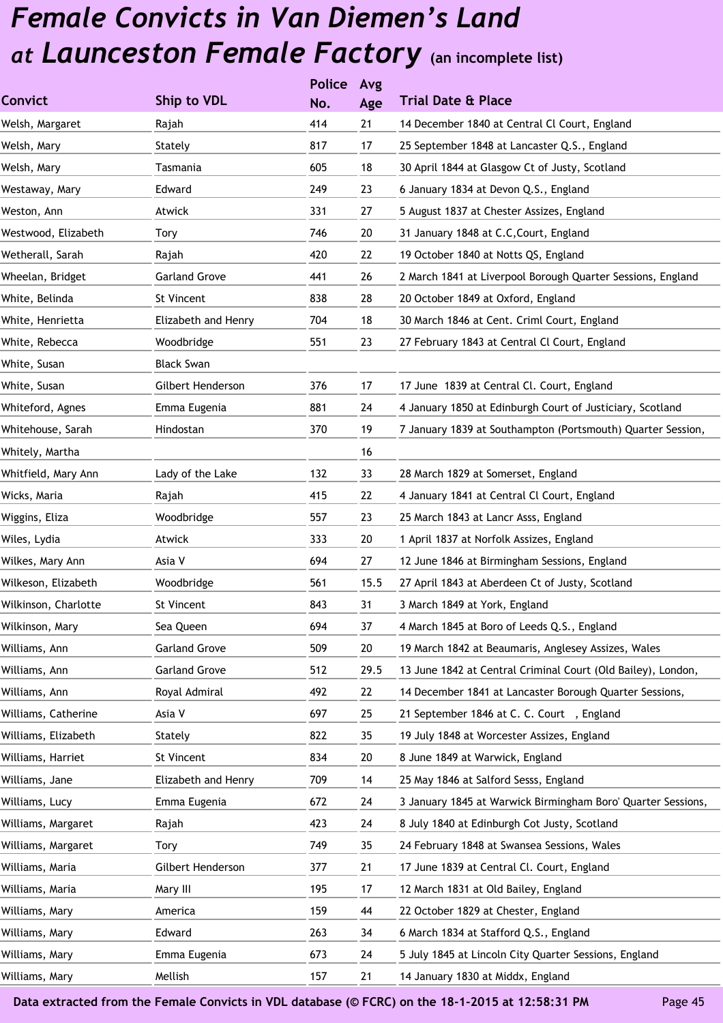|                      |                      | <b>Police</b> | Avg  |                                                              |
|----------------------|----------------------|---------------|------|--------------------------------------------------------------|
| <b>Convict</b>       | Ship to VDL          | No.           | Age  | <b>Trial Date &amp; Place</b>                                |
| Welsh, Margaret      | Rajah                | 414           | 21   | 14 December 1840 at Central Cl Court, England                |
| Welsh, Mary          | Stately              | 817           | 17   | 25 September 1848 at Lancaster Q.S., England                 |
| Welsh, Mary          | Tasmania             | 605           | 18   | 30 April 1844 at Glasgow Ct of Justy, Scotland               |
| Westaway, Mary       | Edward               | 249           | 23   | 6 January 1834 at Devon Q.S., England                        |
| Weston, Ann          | Atwick               | 331           | 27   | 5 August 1837 at Chester Assizes, England                    |
| Westwood, Elizabeth  | <b>Tory</b>          | 746           | 20   | 31 January 1848 at C.C, Court, England                       |
| Wetherall, Sarah     | Rajah                | 420           | 22   | 19 October 1840 at Notts QS, England                         |
| Wheelan, Bridget     | <b>Garland Grove</b> | 441           | 26   | 2 March 1841 at Liverpool Borough Quarter Sessions, England  |
| White, Belinda       | St Vincent           | 838           | 28   | 20 October 1849 at Oxford, England                           |
| White, Henrietta     | Elizabeth and Henry  | 704           | 18   | 30 March 1846 at Cent. Criml Court, England                  |
| White, Rebecca       | Woodbridge           | 551           | 23   | 27 February 1843 at Central Cl Court, England                |
| White, Susan         | <b>Black Swan</b>    |               |      |                                                              |
| White, Susan         | Gilbert Henderson    | 376           | 17   | 17 June 1839 at Central Cl. Court, England                   |
| Whiteford, Agnes     | Emma Eugenia         | 881           | 24   | 4 January 1850 at Edinburgh Court of Justiciary, Scotland    |
| Whitehouse, Sarah    | Hindostan            | 370           | 19   | 7 January 1839 at Southampton (Portsmouth) Quarter Session,  |
| Whitely, Martha      |                      |               | 16   |                                                              |
| Whitfield, Mary Ann  | Lady of the Lake     | 132           | 33   | 28 March 1829 at Somerset, England                           |
| Wicks, Maria         | Rajah                | 415           | 22   | 4 January 1841 at Central Cl Court, England                  |
| Wiggins, Eliza       | Woodbridge           | 557           | 23   | 25 March 1843 at Lancr Asss, England                         |
| Wiles, Lydia         | Atwick               | 333           | 20   | 1 April 1837 at Norfolk Assizes, England                     |
| Wilkes, Mary Ann     | Asia V               | 694           | 27   | 12 June 1846 at Birmingham Sessions, England                 |
| Wilkeson, Elizabeth  | Woodbridge           | 561           | 15.5 | 27 April 1843 at Aberdeen Ct of Justy, Scotland              |
| Wilkinson, Charlotte | St Vincent           | 843           | 31   | 3 March 1849 at York, England                                |
| Wilkinson, Mary      | Sea Queen            | 694           | 37   | 4 March 1845 at Boro of Leeds Q.S., England                  |
| Williams, Ann        | <b>Garland Grove</b> | 509           | 20   | 19 March 1842 at Beaumaris, Anglesey Assizes, Wales          |
| Williams, Ann        | <b>Garland Grove</b> | 512           | 29.5 | 13 June 1842 at Central Criminal Court (Old Bailey), London, |
| Williams, Ann        | Royal Admiral        | 492           | 22   | 14 December 1841 at Lancaster Borough Quarter Sessions,      |
| Williams, Catherine  | Asia V               | 697           | 25   | 21 September 1846 at C. C. Court, England                    |
| Williams, Elizabeth  | Stately              | 822           | 35   | 19 July 1848 at Worcester Assizes, England                   |
| Williams, Harriet    | St Vincent           | 834           | 20   | 8 June 1849 at Warwick, England                              |
| Williams, Jane       | Elizabeth and Henry  | 709           | 14   | 25 May 1846 at Salford Sesss, England                        |
| Williams, Lucy       | Emma Eugenia         | 672           | 24   | 3 January 1845 at Warwick Birmingham Boro' Quarter Sessions, |
| Williams, Margaret   | Rajah                | 423           | 24   | 8 July 1840 at Edinburgh Cot Justy, Scotland                 |
| Williams, Margaret   | Tory                 | 749           | 35   | 24 February 1848 at Swansea Sessions, Wales                  |
| Williams, Maria      | Gilbert Henderson    | 377           | 21   | 17 June 1839 at Central Cl. Court, England                   |
| Williams, Maria      | Mary III             | 195           | 17   | 12 March 1831 at Old Bailey, England                         |
| Williams, Mary       | America              | 159           | 44   | 22 October 1829 at Chester, England                          |
| Williams, Mary       | Edward               | 263           | 34   | 6 March 1834 at Stafford Q.S., England                       |
| Williams, Mary       | Emma Eugenia         | 673           | 24   | 5 July 1845 at Lincoln City Quarter Sessions, England        |
| Williams, Mary       | Mellish              | 157           | 21   | 14 January 1830 at Middx, England                            |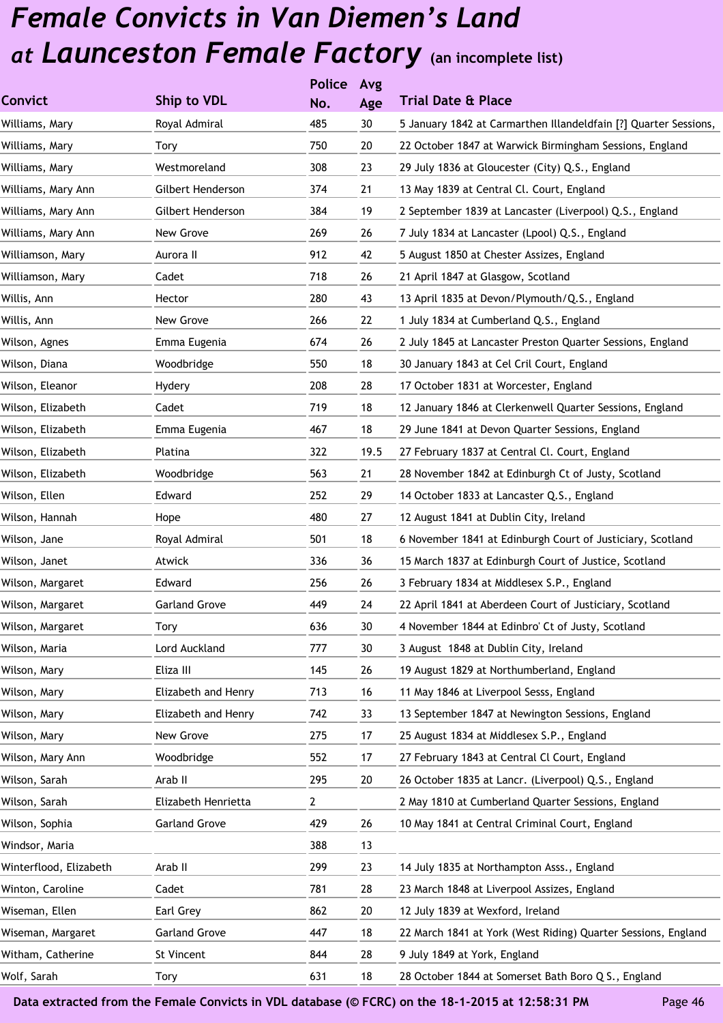|                        |                      | <b>Police</b> | Avg  |                                                                  |
|------------------------|----------------------|---------------|------|------------------------------------------------------------------|
| Convict                | Ship to VDL          | No.           | Age  | <b>Trial Date &amp; Place</b>                                    |
| Williams, Mary         | Royal Admiral        | 485           | 30   | 5 January 1842 at Carmarthen Illandeldfain [?] Quarter Sessions, |
| Williams, Mary         | Tory                 | 750           | 20   | 22 October 1847 at Warwick Birmingham Sessions, England          |
| Williams, Mary         | Westmoreland         | 308           | 23   | 29 July 1836 at Gloucester (City) Q.S., England                  |
| Williams, Mary Ann     | Gilbert Henderson    | 374           | 21   | 13 May 1839 at Central Cl. Court, England                        |
| Williams, Mary Ann     | Gilbert Henderson    | 384           | 19   | 2 September 1839 at Lancaster (Liverpool) Q.S., England          |
| Williams, Mary Ann     | New Grove            | 269           | 26   | 7 July 1834 at Lancaster (Lpool) Q.S., England                   |
| Williamson, Mary       | Aurora II            | 912           | 42   | 5 August 1850 at Chester Assizes, England                        |
| Williamson, Mary       | Cadet                | 718           | 26   | 21 April 1847 at Glasgow, Scotland                               |
| Willis, Ann            | Hector               | 280           | 43   | 13 April 1835 at Devon/Plymouth/Q.S., England                    |
| Willis, Ann            | New Grove            | 266           | 22   | 1 July 1834 at Cumberland Q.S., England                          |
| Wilson, Agnes          | Emma Eugenia         | 674           | 26   | 2 July 1845 at Lancaster Preston Quarter Sessions, England       |
| Wilson, Diana          | Woodbridge           | 550           | 18   | 30 January 1843 at Cel Cril Court, England                       |
| Wilson, Eleanor        | Hydery               | 208           | 28   | 17 October 1831 at Worcester, England                            |
| Wilson, Elizabeth      | Cadet                | 719           | 18   | 12 January 1846 at Clerkenwell Quarter Sessions, England         |
| Wilson, Elizabeth      | Emma Eugenia         | 467           | 18   | 29 June 1841 at Devon Quarter Sessions, England                  |
| Wilson, Elizabeth      | Platina              | 322           | 19.5 | 27 February 1837 at Central Cl. Court, England                   |
| Wilson, Elizabeth      | Woodbridge           | 563           | 21   | 28 November 1842 at Edinburgh Ct of Justy, Scotland              |
| Wilson, Ellen          | Edward               | 252           | 29   | 14 October 1833 at Lancaster Q.S., England                       |
| Wilson, Hannah         | Hope                 | 480           | 27   | 12 August 1841 at Dublin City, Ireland                           |
| Wilson, Jane           | Royal Admiral        | 501           | 18   | 6 November 1841 at Edinburgh Court of Justiciary, Scotland       |
| Wilson, Janet          | Atwick               | 336           | 36   | 15 March 1837 at Edinburgh Court of Justice, Scotland            |
| Wilson, Margaret       | Edward               | 256           | 26   | 3 February 1834 at Middlesex S.P., England                       |
| Wilson, Margaret       | <b>Garland Grove</b> | 449           | 24   | 22 April 1841 at Aberdeen Court of Justiciary, Scotland          |
| Wilson, Margaret       | Tory                 | 636           | 30   | 4 November 1844 at Edinbro' Ct of Justy, Scotland                |
| Wilson, Maria          | Lord Auckland        | 777           | 30   | 3 August 1848 at Dublin City, Ireland                            |
| Wilson, Mary           | Eliza III            | 145           | 26   | 19 August 1829 at Northumberland, England                        |
| Wilson, Mary           | Elizabeth and Henry  | 713           | 16   | 11 May 1846 at Liverpool Sesss, England                          |
| Wilson, Mary           | Elizabeth and Henry  | 742           | 33   | 13 September 1847 at Newington Sessions, England                 |
| Wilson, Mary           | New Grove            | 275           | 17   | 25 August 1834 at Middlesex S.P., England                        |
| Wilson, Mary Ann       | Woodbridge           | 552           | 17   | 27 February 1843 at Central Cl Court, England                    |
| Wilson, Sarah          | Arab II              | 295           | 20   | 26 October 1835 at Lancr. (Liverpool) Q.S., England              |
| Wilson, Sarah          | Elizabeth Henrietta  | 2             |      | 2 May 1810 at Cumberland Quarter Sessions, England               |
| Wilson, Sophia         | <b>Garland Grove</b> | 429           | 26   | 10 May 1841 at Central Criminal Court, England                   |
| Windsor, Maria         |                      | 388           | 13   |                                                                  |
| Winterflood, Elizabeth | Arab II              | 299           | 23   | 14 July 1835 at Northampton Asss., England                       |
| Winton, Caroline       | Cadet                | 781           | 28   | 23 March 1848 at Liverpool Assizes, England                      |
| Wiseman, Ellen         | Earl Grey            | 862           | 20   | 12 July 1839 at Wexford, Ireland                                 |
| Wiseman, Margaret      | <b>Garland Grove</b> | 447           | 18   | 22 March 1841 at York (West Riding) Quarter Sessions, England    |
| Witham, Catherine      | St Vincent           | 844           | 28   | 9 July 1849 at York, England                                     |
| Wolf, Sarah            | Tory                 | 631           | 18   | 28 October 1844 at Somerset Bath Boro Q S., England              |
|                        |                      |               |      |                                                                  |